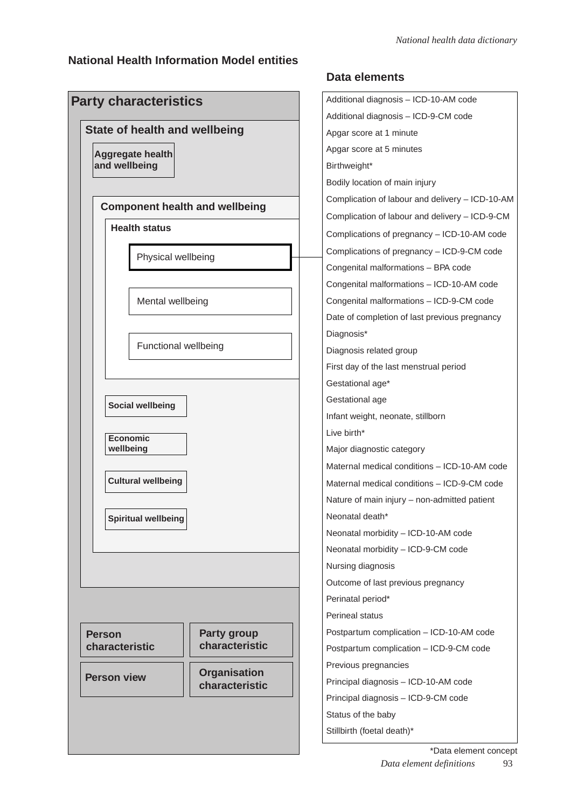### **National Health Information Model entities**

|                                 | <b>State of health and wellbeing</b> |                                       |
|---------------------------------|--------------------------------------|---------------------------------------|
| and wellbeing                   | <b>Aggregate health</b>              |                                       |
|                                 |                                      |                                       |
|                                 | <b>Health status</b>                 | <b>Component health and wellbeing</b> |
|                                 | Physical wellbeing                   |                                       |
|                                 | Mental wellbeing                     |                                       |
|                                 | Functional wellbeing                 |                                       |
| wellbeing                       | <b>Economic</b>                      |                                       |
|                                 | <b>Cultural wellbeing</b>            |                                       |
|                                 | <b>Spiritual wellbeing</b>           |                                       |
|                                 |                                      |                                       |
|                                 |                                      |                                       |
|                                 |                                      |                                       |
| <b>Person</b><br>characteristic |                                      | <b>Party group</b><br>characteristic  |
|                                 |                                      | <b>Organisation</b>                   |

### **Data elements**

| Additional diagnosis - ICD-10-AM code           |
|-------------------------------------------------|
| Additional diagnosis - ICD-9-CM code            |
| Apgar score at 1 minute                         |
| Apgar score at 5 minutes                        |
| Birthweight*                                    |
| Bodily location of main injury                  |
| Complication of labour and delivery - ICD-10-AM |
| Complication of labour and delivery - ICD-9-CM  |
| Complications of pregnancy - ICD-10-AM code     |
| Complications of pregnancy - ICD-9-CM code      |
| Congenital malformations - BPA code             |
| Congenital malformations - ICD-10-AM code       |
| Congenital malformations - ICD-9-CM code        |
| Date of completion of last previous pregnancy   |
| Diagnosis*                                      |
| Diagnosis related group                         |
| First day of the last menstrual period          |
| Gestational age*                                |
| Gestational age                                 |
| Infant weight, neonate, stillborn               |
| Live birth*                                     |
| Major diagnostic category                       |
| Maternal medical conditions - ICD-10-AM code    |
| Maternal medical conditions - ICD-9-CM code     |
| Nature of main injury - non-admitted patient    |
| Neonatal death*                                 |
| Neonatal morbidity - ICD-10-AM code             |
| Neonatal morbidity - ICD-9-CM code              |
| Nursing diagnosis                               |
| Outcome of last previous pregnancy              |
| Perinatal period*                               |
| Perineal status                                 |
| Postpartum complication - ICD-10-AM code        |
| Postpartum complication - ICD-9-CM code         |
| Previous pregnancies                            |
| Principal diagnosis - ICD-10-AM code            |
| Principal diagnosis - ICD-9-CM code             |
| Status of the baby                              |
| Stillbirth (foetal death)*                      |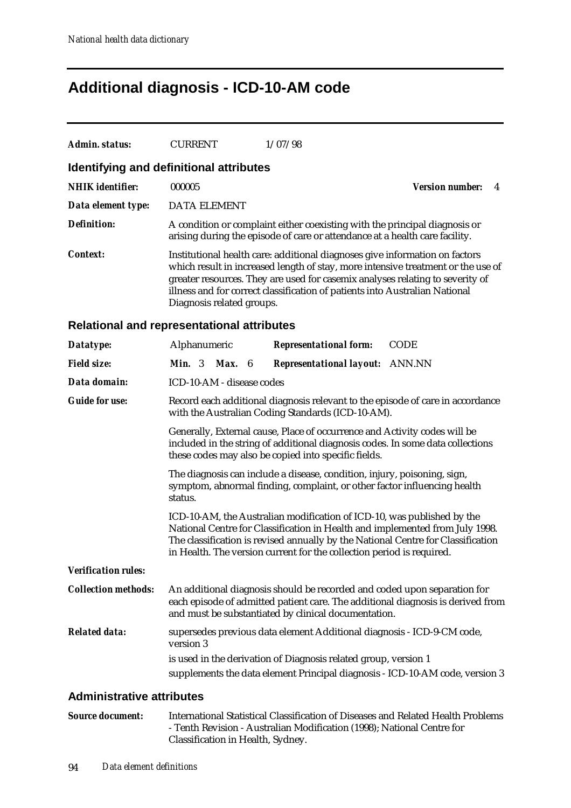## **Additional diagnosis - ICD-10-AM code**

| Identifying and definitional attributes<br><b>NHIK</b> identifier:<br>000005<br><b>Version number:</b><br>4<br>Data element type:<br><b>DATA ELEMENT</b><br><b>Definition:</b><br>A condition or complaint either coexisting with the principal diagnosis or<br>arising during the episode of care or attendance at a health care facility.<br><b>Context:</b><br>Institutional health care: additional diagnoses give information on factors<br>which result in increased length of stay, more intensive treatment or the use of<br>greater resources. They are used for casemix analyses relating to severity of<br>illness and for correct classification of patients into Australian National<br>Diagnosis related groups.<br>Relational and representational attributes<br>Alphanumeric<br><b>Representational form:</b><br><b>CODE</b><br>Datatype:<br><b>Field size:</b><br><b>Min.</b> $3$<br>Max.<br><b>Representational layout:</b> ANN.NN<br>- 6<br>Data domain:<br>ICD-10-AM - disease codes<br><b>Guide for use:</b><br>Record each additional diagnosis relevant to the episode of care in accordance<br>with the Australian Coding Standards (ICD-10-AM).<br>Generally, External cause, Place of occurrence and Activity codes will be<br>included in the string of additional diagnosis codes. In some data collections |
|-----------------------------------------------------------------------------------------------------------------------------------------------------------------------------------------------------------------------------------------------------------------------------------------------------------------------------------------------------------------------------------------------------------------------------------------------------------------------------------------------------------------------------------------------------------------------------------------------------------------------------------------------------------------------------------------------------------------------------------------------------------------------------------------------------------------------------------------------------------------------------------------------------------------------------------------------------------------------------------------------------------------------------------------------------------------------------------------------------------------------------------------------------------------------------------------------------------------------------------------------------------------------------------------------------------------------------------------|
|                                                                                                                                                                                                                                                                                                                                                                                                                                                                                                                                                                                                                                                                                                                                                                                                                                                                                                                                                                                                                                                                                                                                                                                                                                                                                                                                         |
|                                                                                                                                                                                                                                                                                                                                                                                                                                                                                                                                                                                                                                                                                                                                                                                                                                                                                                                                                                                                                                                                                                                                                                                                                                                                                                                                         |
|                                                                                                                                                                                                                                                                                                                                                                                                                                                                                                                                                                                                                                                                                                                                                                                                                                                                                                                                                                                                                                                                                                                                                                                                                                                                                                                                         |
|                                                                                                                                                                                                                                                                                                                                                                                                                                                                                                                                                                                                                                                                                                                                                                                                                                                                                                                                                                                                                                                                                                                                                                                                                                                                                                                                         |
|                                                                                                                                                                                                                                                                                                                                                                                                                                                                                                                                                                                                                                                                                                                                                                                                                                                                                                                                                                                                                                                                                                                                                                                                                                                                                                                                         |
|                                                                                                                                                                                                                                                                                                                                                                                                                                                                                                                                                                                                                                                                                                                                                                                                                                                                                                                                                                                                                                                                                                                                                                                                                                                                                                                                         |
|                                                                                                                                                                                                                                                                                                                                                                                                                                                                                                                                                                                                                                                                                                                                                                                                                                                                                                                                                                                                                                                                                                                                                                                                                                                                                                                                         |
|                                                                                                                                                                                                                                                                                                                                                                                                                                                                                                                                                                                                                                                                                                                                                                                                                                                                                                                                                                                                                                                                                                                                                                                                                                                                                                                                         |
|                                                                                                                                                                                                                                                                                                                                                                                                                                                                                                                                                                                                                                                                                                                                                                                                                                                                                                                                                                                                                                                                                                                                                                                                                                                                                                                                         |
|                                                                                                                                                                                                                                                                                                                                                                                                                                                                                                                                                                                                                                                                                                                                                                                                                                                                                                                                                                                                                                                                                                                                                                                                                                                                                                                                         |
| these codes may also be copied into specific fields.                                                                                                                                                                                                                                                                                                                                                                                                                                                                                                                                                                                                                                                                                                                                                                                                                                                                                                                                                                                                                                                                                                                                                                                                                                                                                    |
| The diagnosis can include a disease, condition, injury, poisoning, sign,<br>symptom, abnormal finding, complaint, or other factor influencing health<br>status.                                                                                                                                                                                                                                                                                                                                                                                                                                                                                                                                                                                                                                                                                                                                                                                                                                                                                                                                                                                                                                                                                                                                                                         |
| ICD-10-AM, the Australian modification of ICD-10, was published by the<br>National Centre for Classification in Health and implemented from July 1998.<br>The classification is revised annually by the National Centre for Classification<br>in Health. The version current for the collection period is required.                                                                                                                                                                                                                                                                                                                                                                                                                                                                                                                                                                                                                                                                                                                                                                                                                                                                                                                                                                                                                     |
| <b>Verification rules:</b>                                                                                                                                                                                                                                                                                                                                                                                                                                                                                                                                                                                                                                                                                                                                                                                                                                                                                                                                                                                                                                                                                                                                                                                                                                                                                                              |
| <b>Collection methods:</b><br>An additional diagnosis should be recorded and coded upon separation for<br>each episode of admitted patient care. The additional diagnosis is derived from<br>and must be substantiated by clinical documentation.                                                                                                                                                                                                                                                                                                                                                                                                                                                                                                                                                                                                                                                                                                                                                                                                                                                                                                                                                                                                                                                                                       |
| <b>Related data:</b><br>supersedes previous data element Additional diagnosis - ICD-9-CM code,<br>version 3                                                                                                                                                                                                                                                                                                                                                                                                                                                                                                                                                                                                                                                                                                                                                                                                                                                                                                                                                                                                                                                                                                                                                                                                                             |
| is used in the derivation of Diagnosis related group, version 1                                                                                                                                                                                                                                                                                                                                                                                                                                                                                                                                                                                                                                                                                                                                                                                                                                                                                                                                                                                                                                                                                                                                                                                                                                                                         |
| supplements the data element Principal diagnosis - ICD-10-AM code, version 3                                                                                                                                                                                                                                                                                                                                                                                                                                                                                                                                                                                                                                                                                                                                                                                                                                                                                                                                                                                                                                                                                                                                                                                                                                                            |

### **Administrative attributes**

*Source document:* International Statistical Classification of Diseases and Related Health Problems - Tenth Revision - Australian Modification (1998); National Centre for Classification in Health, Sydney.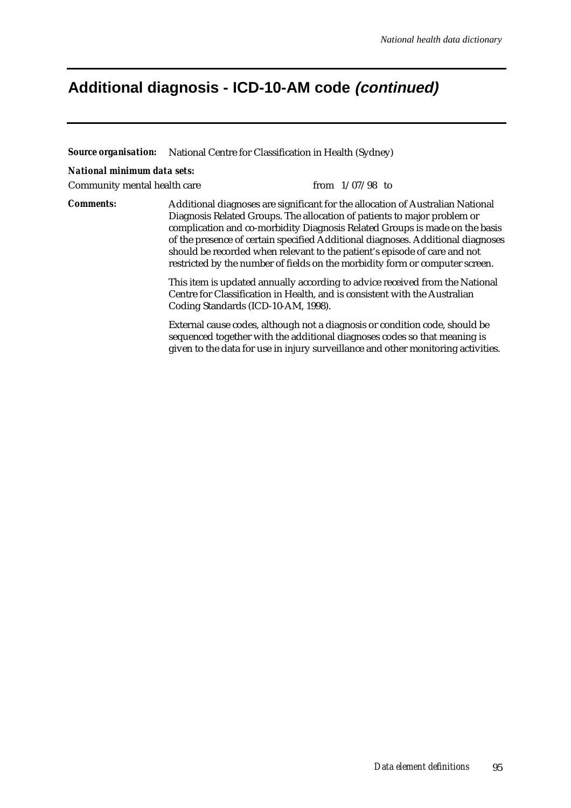### **Additional diagnosis - ICD-10-AM code (continued)**

*Source organisation:* National Centre for Classification in Health (Sydney)

#### *National minimum data sets:*

Community mental health care from  $1/07/98$  to

*Comments:* Additional diagnoses are significant for the allocation of Australian National Diagnosis Related Groups. The allocation of patients to major problem or complication and co-morbidity Diagnosis Related Groups is made on the basis of the presence of certain specified Additional diagnoses. Additional diagnoses should be recorded when relevant to the patient's episode of care and not restricted by the number of fields on the morbidity form or computer screen.

> This item is updated annually according to advice received from the National Centre for Classification in Health, and is consistent with the Australian Coding Standards (ICD-10-AM, 1998).

> External cause codes, although not a diagnosis or condition code, should be sequenced together with the additional diagnoses codes so that meaning is given to the data for use in injury surveillance and other monitoring activities.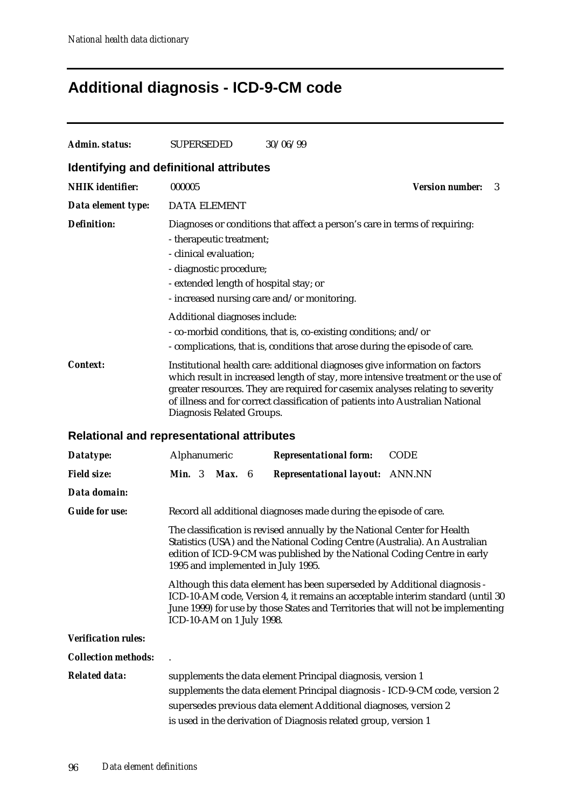# **Additional diagnosis - ICD-9-CM code**

| <b>Admin. status:</b>      | <b>SUPERSEDED</b>                                                                                                                                                      | 30/06/99                                                                                                                                                                                                                                                                                                                            |                             |
|----------------------------|------------------------------------------------------------------------------------------------------------------------------------------------------------------------|-------------------------------------------------------------------------------------------------------------------------------------------------------------------------------------------------------------------------------------------------------------------------------------------------------------------------------------|-----------------------------|
|                            | Identifying and definitional attributes                                                                                                                                |                                                                                                                                                                                                                                                                                                                                     |                             |
| <b>NHIK</b> identifier:    | 000005                                                                                                                                                                 |                                                                                                                                                                                                                                                                                                                                     | <b>Version number:</b><br>3 |
| Data element type:         | <b>DATA ELEMENT</b>                                                                                                                                                    |                                                                                                                                                                                                                                                                                                                                     |                             |
| <b>Definition:</b>         | - therapeutic treatment;<br>- clinical evaluation;<br>- diagnostic procedure;<br>- extended length of hospital stay; or<br>- increased nursing care and/or monitoring. | Diagnoses or conditions that affect a person's care in terms of requiring:                                                                                                                                                                                                                                                          |                             |
|                            | Additional diagnoses include:                                                                                                                                          | - co-morbid conditions, that is, co-existing conditions; and/or<br>- complications, that is, conditions that arose during the episode of care.                                                                                                                                                                                      |                             |
| <b>Context:</b>            | Diagnosis Related Groups.                                                                                                                                              | Institutional health care: additional diagnoses give information on factors<br>which result in increased length of stay, more intensive treatment or the use of<br>greater resources. They are required for casemix analyses relating to severity<br>of illness and for correct classification of patients into Australian National |                             |
|                            | <b>Relational and representational attributes</b>                                                                                                                      |                                                                                                                                                                                                                                                                                                                                     |                             |
| Datatype:                  | Alphanumeric                                                                                                                                                           | <b>CODE</b><br><b>Representational form:</b>                                                                                                                                                                                                                                                                                        |                             |
| <b>Field size:</b>         | <b>Min.</b> 3<br>Max.<br>- 6                                                                                                                                           | <b>Representational layout: ANN.NN</b>                                                                                                                                                                                                                                                                                              |                             |
| Data domain:               |                                                                                                                                                                        |                                                                                                                                                                                                                                                                                                                                     |                             |
| <b>Guide for use:</b>      |                                                                                                                                                                        | Record all additional diagnoses made during the episode of care.                                                                                                                                                                                                                                                                    |                             |
|                            | 1995 and implemented in July 1995.                                                                                                                                     | The classification is revised annually by the National Center for Health<br>Statistics (USA) and the National Coding Centre (Australia). An Australian<br>edition of ICD-9-CM was published by the National Coding Centre in early                                                                                                  |                             |
|                            | ICD-10-AM on 1 July 1998.                                                                                                                                              | Although this data element has been superseded by Additional diagnosis -<br>ICD-10-AM code, Version 4, it remains an acceptable interim standard (until 30<br>June 1999) for use by those States and Territories that will not be implementing                                                                                      |                             |
| <b>Verification rules:</b> |                                                                                                                                                                        |                                                                                                                                                                                                                                                                                                                                     |                             |
| <b>Collection methods:</b> |                                                                                                                                                                        |                                                                                                                                                                                                                                                                                                                                     |                             |
| <b>Related data:</b>       |                                                                                                                                                                        | supplements the data element Principal diagnosis, version 1<br>supplements the data element Principal diagnosis - ICD-9-CM code, version 2<br>supersedes previous data element Additional diagnoses, version 2<br>is used in the derivation of Diagnosis related group, version 1                                                   |                             |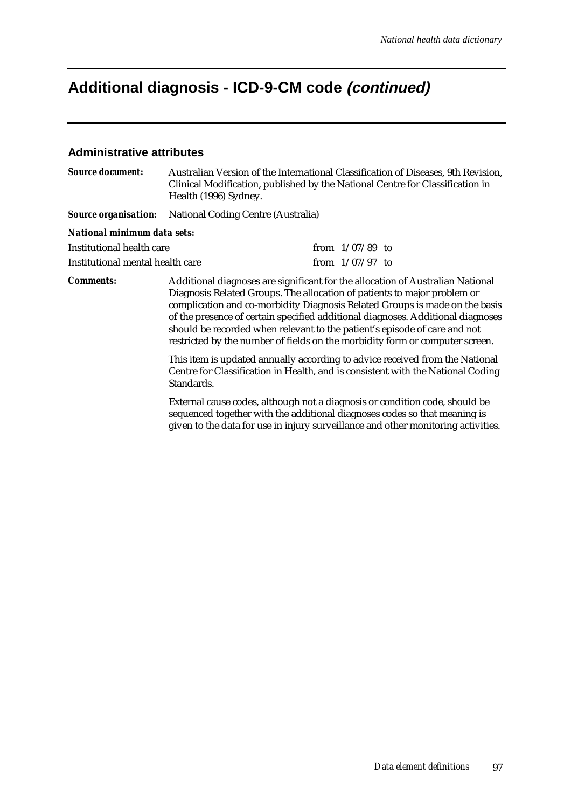# **Additional diagnosis - ICD-9-CM code (continued)**

#### **Administrative attributes**

| <b>Source document:</b>          | Australian Version of the International Classification of Diseases, 9th Revision,<br>Clinical Modification, published by the National Centre for Classification in<br>Health (1996) Sydney.                                                                                                                                                                                                                                                                                               |  |                   |  |
|----------------------------------|-------------------------------------------------------------------------------------------------------------------------------------------------------------------------------------------------------------------------------------------------------------------------------------------------------------------------------------------------------------------------------------------------------------------------------------------------------------------------------------------|--|-------------------|--|
| <b>Source organisation:</b>      | <b>National Coding Centre (Australia)</b>                                                                                                                                                                                                                                                                                                                                                                                                                                                 |  |                   |  |
| National minimum data sets:      |                                                                                                                                                                                                                                                                                                                                                                                                                                                                                           |  |                   |  |
| Institutional health care        |                                                                                                                                                                                                                                                                                                                                                                                                                                                                                           |  | from $1/07/89$ to |  |
| Institutional mental health care |                                                                                                                                                                                                                                                                                                                                                                                                                                                                                           |  | from $1/07/97$ to |  |
| <b>Comments:</b>                 | Additional diagnoses are significant for the allocation of Australian National<br>Diagnosis Related Groups. The allocation of patients to major problem or<br>complication and co-morbidity Diagnosis Related Groups is made on the basis<br>of the presence of certain specified additional diagnoses. Additional diagnoses<br>should be recorded when relevant to the patient's episode of care and not<br>restricted by the number of fields on the morbidity form or computer screen. |  |                   |  |
|                                  | This item is updated annually according to advice received from the National<br>Centre for Classification in Health, and is consistent with the National Coding<br>Standards.                                                                                                                                                                                                                                                                                                             |  |                   |  |
|                                  | External cause codes, although not a diagnosis or condition code, should be<br>sequenced together with the additional diagnoses codes so that meaning is<br>given to the data for use in injury surveillance and other monitoring activities.                                                                                                                                                                                                                                             |  |                   |  |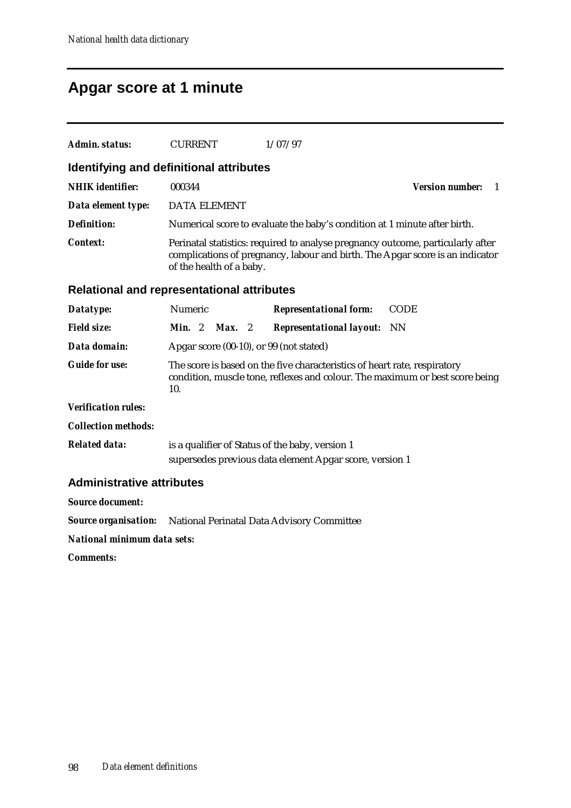## **Apgar score at 1 minute**

| Admin. status:                   | <b>CURRENT</b>                                    | 1/07/97                                                                                                                                                          |                             |
|----------------------------------|---------------------------------------------------|------------------------------------------------------------------------------------------------------------------------------------------------------------------|-----------------------------|
|                                  | Identifying and definitional attributes           |                                                                                                                                                                  |                             |
| <b>NHIK</b> identifier:          | 000344                                            |                                                                                                                                                                  | <b>Version number:</b><br>1 |
| Data element type:               | <b>DATA ELEMENT</b>                               |                                                                                                                                                                  |                             |
| <b>Definition:</b>               |                                                   | Numerical score to evaluate the baby's condition at 1 minute after birth.                                                                                        |                             |
| <b>Context:</b>                  | of the health of a baby.                          | Perinatal statistics: required to analyse pregnancy outcome, particularly after<br>complications of pregnancy, labour and birth. The Apgar score is an indicator |                             |
|                                  | <b>Relational and representational attributes</b> |                                                                                                                                                                  |                             |
| Datatype:                        | Numeric                                           | <b>Representational form:</b>                                                                                                                                    | <b>CODE</b>                 |
| <b>Field size:</b>               | Min. 2<br>$Max.$ 2                                | <b>Representational layout:</b>                                                                                                                                  | NN                          |
| Data domain:                     | Apgar score (00-10), or 99 (not stated)           |                                                                                                                                                                  |                             |
| <b>Guide for use:</b>            | 10.                                               | The score is based on the five characteristics of heart rate, respiratory<br>condition, muscle tone, reflexes and colour. The maximum or best score being        |                             |
| <b>Verification rules:</b>       |                                                   |                                                                                                                                                                  |                             |
| <b>Collection methods:</b>       |                                                   |                                                                                                                                                                  |                             |
| <b>Related data:</b>             | is a qualifier of Status of the baby, version 1   | supersedes previous data element Apgar score, version 1                                                                                                          |                             |
| <b>Administrative attributes</b> |                                                   |                                                                                                                                                                  |                             |
| <b>Source document:</b>          |                                                   |                                                                                                                                                                  |                             |
| <b>Source organisation:</b>      |                                                   | National Perinatal Data Advisory Committee                                                                                                                       |                             |

*National minimum data sets:*

*Comments:*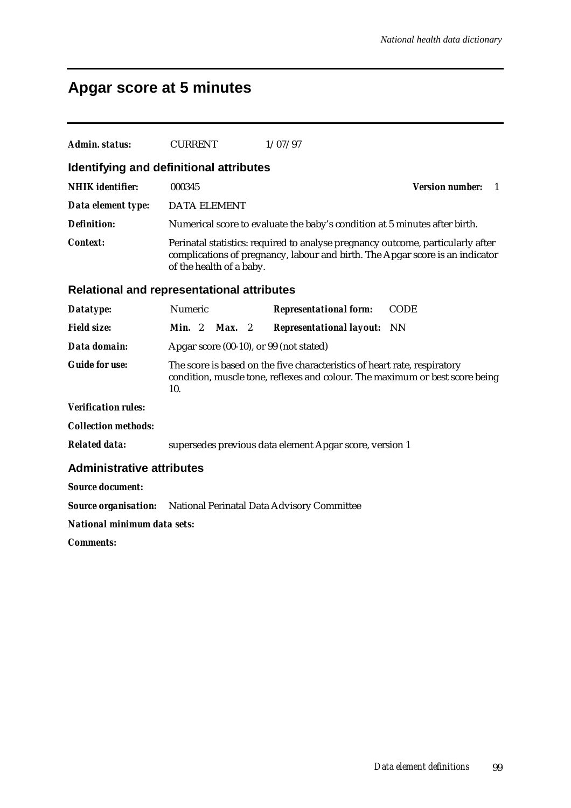# **Apgar score at 5 minutes**

| Admin. status:                                                         | <b>CURRENT</b>                                                                                                                                                                               |        | 1/07/97                                                                   |                                                                              |
|------------------------------------------------------------------------|----------------------------------------------------------------------------------------------------------------------------------------------------------------------------------------------|--------|---------------------------------------------------------------------------|------------------------------------------------------------------------------|
| Identifying and definitional attributes                                |                                                                                                                                                                                              |        |                                                                           |                                                                              |
| <b>NHIK</b> identifier:                                                | 000345                                                                                                                                                                                       |        |                                                                           | <b>Version number:</b><br>$\overline{1}$                                     |
| Data element type:                                                     | <b>DATA ELEMENT</b>                                                                                                                                                                          |        |                                                                           |                                                                              |
| <b>Definition:</b>                                                     |                                                                                                                                                                                              |        |                                                                           | Numerical score to evaluate the baby's condition at 5 minutes after birth.   |
| <b>Context:</b>                                                        | Perinatal statistics: required to analyse pregnancy outcome, particularly after<br>complications of pregnancy, labour and birth. The Apgar score is an indicator<br>of the health of a baby. |        |                                                                           |                                                                              |
| <b>Relational and representational attributes</b>                      |                                                                                                                                                                                              |        |                                                                           |                                                                              |
| Datatype:                                                              | Numeric                                                                                                                                                                                      |        | <b>Representational form:</b>                                             | <b>CODE</b>                                                                  |
| <b>Field size:</b>                                                     | Min. 2                                                                                                                                                                                       | Max. 2 | <b>Representational layout:</b> NN                                        |                                                                              |
| Data domain:                                                           |                                                                                                                                                                                              |        | Apgar score (00-10), or 99 (not stated)                                   |                                                                              |
| <b>Guide for use:</b>                                                  | 10.                                                                                                                                                                                          |        | The score is based on the five characteristics of heart rate, respiratory | condition, muscle tone, reflexes and colour. The maximum or best score being |
| <b>Verification rules:</b>                                             |                                                                                                                                                                                              |        |                                                                           |                                                                              |
| <b>Collection methods:</b>                                             |                                                                                                                                                                                              |        |                                                                           |                                                                              |
| <b>Related data:</b>                                                   |                                                                                                                                                                                              |        | supersedes previous data element Apgar score, version 1                   |                                                                              |
| <b>Administrative attributes</b>                                       |                                                                                                                                                                                              |        |                                                                           |                                                                              |
| <b>Source document:</b>                                                |                                                                                                                                                                                              |        |                                                                           |                                                                              |
| <b>Source organisation:</b> National Perinatal Data Advisory Committee |                                                                                                                                                                                              |        |                                                                           |                                                                              |
| <b>National minimum data sets:</b>                                     |                                                                                                                                                                                              |        |                                                                           |                                                                              |
| <b>Comments:</b>                                                       |                                                                                                                                                                                              |        |                                                                           |                                                                              |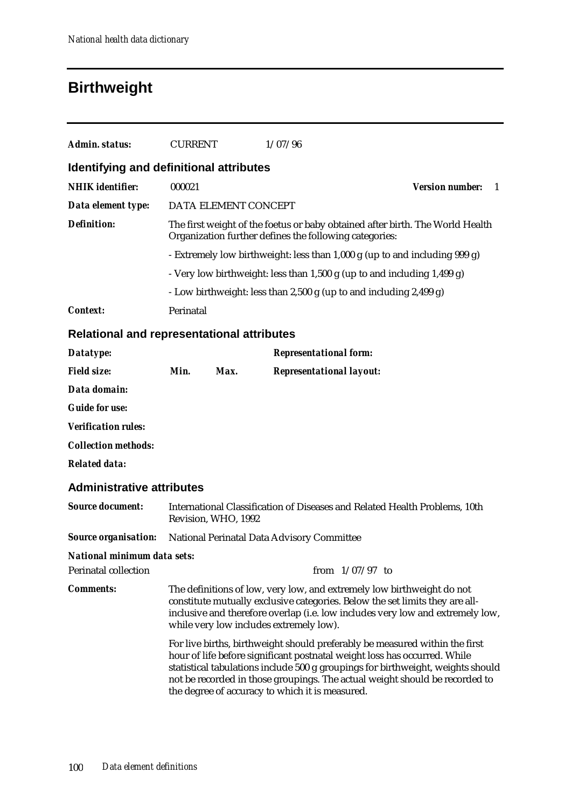# **Birthweight**

| Admin. status:                                    | <b>CURRENT</b>                                                                                                                          |                      | 1/07/96                                                                    |                        |    |
|---------------------------------------------------|-----------------------------------------------------------------------------------------------------------------------------------------|----------------------|----------------------------------------------------------------------------|------------------------|----|
| Identifying and definitional attributes           |                                                                                                                                         |                      |                                                                            |                        |    |
| <b>NHIK</b> identifier:                           | 000021                                                                                                                                  |                      |                                                                            | <b>Version number:</b> | -1 |
| Data element type:                                |                                                                                                                                         | DATA ELEMENT CONCEPT |                                                                            |                        |    |
| <b>Definition:</b>                                | The first weight of the foetus or baby obtained after birth. The World Health<br>Organization further defines the following categories: |                      |                                                                            |                        |    |
|                                                   |                                                                                                                                         |                      | - Extremely low birthweight: less than 1,000 g (up to and including 999 g) |                        |    |
|                                                   | - Very low birthweight: less than 1,500 g (up to and including 1,499 g)                                                                 |                      |                                                                            |                        |    |
|                                                   |                                                                                                                                         |                      | - Low birthweight: less than 2,500 g (up to and including 2,499 g)         |                        |    |
| <b>Context:</b>                                   | Perinatal                                                                                                                               |                      |                                                                            |                        |    |
| <b>Relational and representational attributes</b> |                                                                                                                                         |                      |                                                                            |                        |    |
| Datatype:                                         |                                                                                                                                         |                      | <b>Representational form:</b>                                              |                        |    |
| <b>Field size:</b>                                | Min.                                                                                                                                    | Max.                 | <b>Representational layout:</b>                                            |                        |    |
| Data domain:                                      |                                                                                                                                         |                      |                                                                            |                        |    |
| <b>Guide for use:</b>                             |                                                                                                                                         |                      |                                                                            |                        |    |
| <b>Verification rules:</b>                        |                                                                                                                                         |                      |                                                                            |                        |    |
| <b>Collection methods:</b>                        |                                                                                                                                         |                      |                                                                            |                        |    |

*Related data:*

#### **Administrative attributes**

| <b>Source document:</b>     | International Classification of Diseases and Related Health Problems, 10th<br>Revision, WHO, 1992                                                                                                                                                                                                                                                                             |  |  |  |
|-----------------------------|-------------------------------------------------------------------------------------------------------------------------------------------------------------------------------------------------------------------------------------------------------------------------------------------------------------------------------------------------------------------------------|--|--|--|
| <b>Source organisation:</b> | National Perinatal Data Advisory Committee                                                                                                                                                                                                                                                                                                                                    |  |  |  |
| National minimum data sets: |                                                                                                                                                                                                                                                                                                                                                                               |  |  |  |
| <b>Perinatal collection</b> | from $1/07/97$ to                                                                                                                                                                                                                                                                                                                                                             |  |  |  |
| <b>Comments:</b>            | The definitions of low, very low, and extremely low birthweight do not<br>constitute mutually exclusive categories. Below the set limits they are all-<br>inclusive and therefore overlap (i.e. low includes very low and extremely low,<br>while very low includes extremely low).                                                                                           |  |  |  |
|                             | For live births, birthweight should preferably be measured within the first<br>hour of life before significant postnatal weight loss has occurred. While<br>statistical tabulations include 500 g groupings for birthweight, weights should<br>not be recorded in those groupings. The actual weight should be recorded to<br>the degree of accuracy to which it is measured. |  |  |  |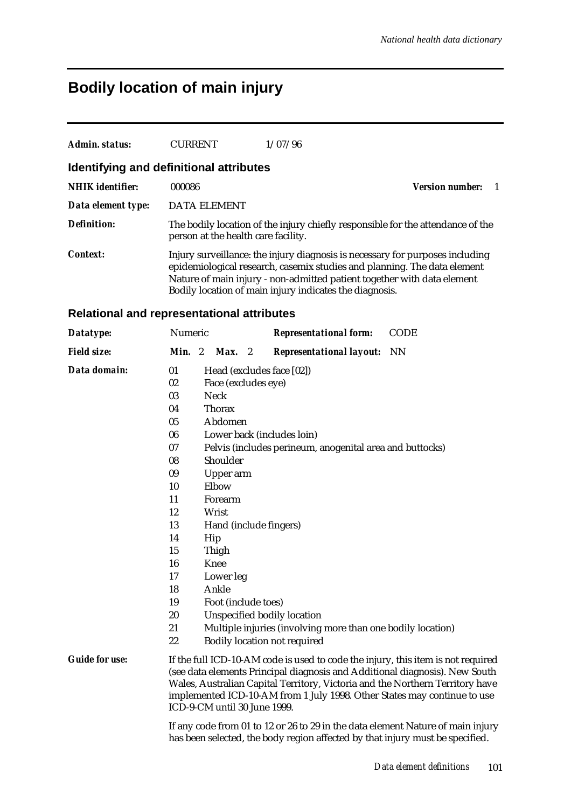# **Bodily location of main injury**

| Admin. status:                          | <b>CURRENT</b>                      | 1/07/96                                                 |                                                                                                                                                                                                                                      |
|-----------------------------------------|-------------------------------------|---------------------------------------------------------|--------------------------------------------------------------------------------------------------------------------------------------------------------------------------------------------------------------------------------------|
| Identifying and definitional attributes |                                     |                                                         |                                                                                                                                                                                                                                      |
| <b>NHIK</b> identifier:                 | 000086                              |                                                         | <b>Version number:</b>                                                                                                                                                                                                               |
| Data element type:                      | DATA ELEMENT                        |                                                         |                                                                                                                                                                                                                                      |
| Definition:                             | person at the health care facility. |                                                         | The bodily location of the injury chiefly responsible for the attendance of the                                                                                                                                                      |
| <b>Context:</b>                         |                                     | Bodily location of main injury indicates the diagnosis. | Injury surveillance: the injury diagnosis is necessary for purposes including<br>epidemiological research, casemix studies and planning. The data element<br>Nature of main injury - non-admitted patient together with data element |

### **Relational and representational attributes**

| Datatype:             | Numeric |                              | <b>Representational form:</b>                                                                                                                                                                                                                                                                                                | <b>CODE</b> |
|-----------------------|---------|------------------------------|------------------------------------------------------------------------------------------------------------------------------------------------------------------------------------------------------------------------------------------------------------------------------------------------------------------------------|-------------|
| <b>Field size:</b>    | Min. 2  | Max. 2                       | <b>Representational layout:</b> NN                                                                                                                                                                                                                                                                                           |             |
| Data domain:          | 01      |                              | Head (excludes face [02])                                                                                                                                                                                                                                                                                                    |             |
|                       | 02      | Face (excludes eye)          |                                                                                                                                                                                                                                                                                                                              |             |
|                       | 03      | <b>Neck</b>                  |                                                                                                                                                                                                                                                                                                                              |             |
|                       | 04      | <b>Thorax</b>                |                                                                                                                                                                                                                                                                                                                              |             |
|                       | 05      | Abdomen                      |                                                                                                                                                                                                                                                                                                                              |             |
|                       | 06      |                              | Lower back (includes loin)                                                                                                                                                                                                                                                                                                   |             |
|                       | 07      |                              | Pelvis (includes perineum, anogenital area and buttocks)                                                                                                                                                                                                                                                                     |             |
|                       | 08      | Shoulder                     |                                                                                                                                                                                                                                                                                                                              |             |
|                       | 09      | Upper arm                    |                                                                                                                                                                                                                                                                                                                              |             |
|                       | 10      | Elbow                        |                                                                                                                                                                                                                                                                                                                              |             |
|                       | 11      | Forearm                      |                                                                                                                                                                                                                                                                                                                              |             |
|                       | 12      | Wrist                        |                                                                                                                                                                                                                                                                                                                              |             |
|                       | 13      |                              | Hand (include fingers)                                                                                                                                                                                                                                                                                                       |             |
|                       | 14      | Hip                          |                                                                                                                                                                                                                                                                                                                              |             |
|                       | 15      | Thigh                        |                                                                                                                                                                                                                                                                                                                              |             |
|                       | 16      | <b>Knee</b>                  |                                                                                                                                                                                                                                                                                                                              |             |
|                       | 17      | Lower leg                    |                                                                                                                                                                                                                                                                                                                              |             |
|                       | 18      | Ankle                        |                                                                                                                                                                                                                                                                                                                              |             |
|                       | 19      | Foot (include toes)          |                                                                                                                                                                                                                                                                                                                              |             |
|                       | 20      |                              | <b>Unspecified bodily location</b>                                                                                                                                                                                                                                                                                           |             |
|                       | 21      |                              | Multiple injuries (involving more than one bodily location)                                                                                                                                                                                                                                                                  |             |
|                       | 22      |                              | <b>Bodily location not required</b>                                                                                                                                                                                                                                                                                          |             |
| <b>Guide for use:</b> |         | ICD-9-CM until 30 June 1999. | If the full ICD-10-AM code is used to code the injury, this item is not required<br>(see data elements Principal diagnosis and Additional diagnosis). New South<br>Wales, Australian Capital Territory, Victoria and the Northern Territory have<br>implemented ICD-10-AM from 1 July 1998. Other States may continue to use |             |
|                       |         |                              | If any code from 01 to 12 or 26 to 29 in the data element Nature of main injury<br>has been selected, the body region affected by that injury must be specified.                                                                                                                                                             |             |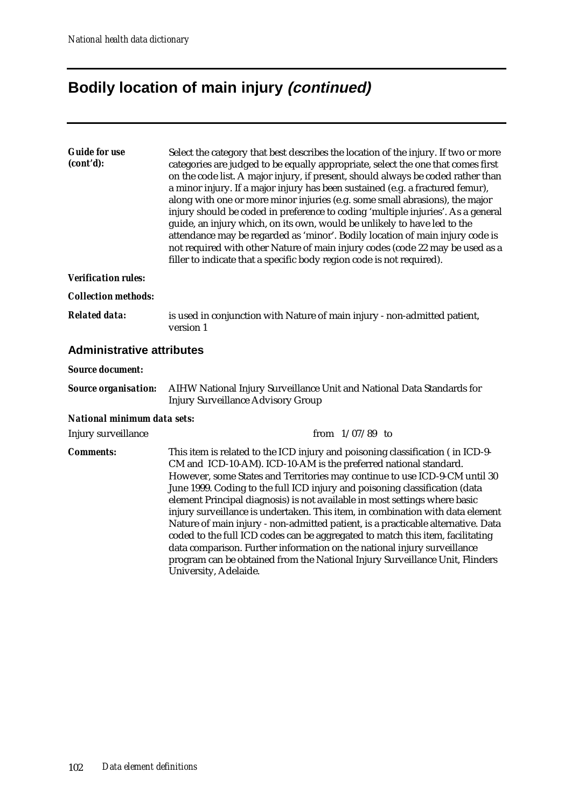# **Bodily location of main injury (continued)**

University, Adelaide.

| <b>Guide for use</b><br>(cont'd): | Select the category that best describes the location of the injury. If two or more<br>categories are judged to be equally appropriate, select the one that comes first<br>on the code list. A major injury, if present, should always be coded rather than<br>a minor injury. If a major injury has been sustained (e.g. a fractured femur),<br>along with one or more minor injuries (e.g. some small abrasions), the major<br>injury should be coded in preference to coding 'multiple injuries'. As a general<br>guide, an injury which, on its own, would be unlikely to have led to the<br>attendance may be regarded as 'minor'. Bodily location of main injury code is<br>not required with other Nature of main injury codes (code 22 may be used as a<br>filler to indicate that a specific body region code is not required). |  |  |
|-----------------------------------|-----------------------------------------------------------------------------------------------------------------------------------------------------------------------------------------------------------------------------------------------------------------------------------------------------------------------------------------------------------------------------------------------------------------------------------------------------------------------------------------------------------------------------------------------------------------------------------------------------------------------------------------------------------------------------------------------------------------------------------------------------------------------------------------------------------------------------------------|--|--|
| <b>Verification rules:</b>        |                                                                                                                                                                                                                                                                                                                                                                                                                                                                                                                                                                                                                                                                                                                                                                                                                                         |  |  |
| <b>Collection methods:</b>        |                                                                                                                                                                                                                                                                                                                                                                                                                                                                                                                                                                                                                                                                                                                                                                                                                                         |  |  |
| <b>Related data:</b>              | is used in conjunction with Nature of main injury - non-admitted patient,<br>version 1                                                                                                                                                                                                                                                                                                                                                                                                                                                                                                                                                                                                                                                                                                                                                  |  |  |
| <b>Administrative attributes</b>  |                                                                                                                                                                                                                                                                                                                                                                                                                                                                                                                                                                                                                                                                                                                                                                                                                                         |  |  |
| <b>Source document:</b>           |                                                                                                                                                                                                                                                                                                                                                                                                                                                                                                                                                                                                                                                                                                                                                                                                                                         |  |  |
| <b>Source organisation:</b>       | AIHW National Injury Surveillance Unit and National Data Standards for<br><b>Injury Surveillance Advisory Group</b>                                                                                                                                                                                                                                                                                                                                                                                                                                                                                                                                                                                                                                                                                                                     |  |  |
| National minimum data sets:       |                                                                                                                                                                                                                                                                                                                                                                                                                                                                                                                                                                                                                                                                                                                                                                                                                                         |  |  |
| Injury surveillance               | from $1/07/89$ to                                                                                                                                                                                                                                                                                                                                                                                                                                                                                                                                                                                                                                                                                                                                                                                                                       |  |  |
| <b>Comments:</b>                  | This item is related to the ICD injury and poisoning classification (in ICD-9-<br>CM and ICD-10-AM). ICD-10-AM is the preferred national standard.<br>However, some States and Territories may continue to use ICD-9-CM until 30<br>June 1999. Coding to the full ICD injury and poisoning classification (data<br>element Principal diagnosis) is not available in most settings where basic<br>injury surveillance is undertaken. This item, in combination with data element<br>Nature of main injury - non-admitted patient, is a practicable alternative. Data<br>coded to the full ICD codes can be aggregated to match this item, facilitating<br>data comparison. Further information on the national injury surveillance<br>program can be obtained from the National Injury Surveillance Unit, Flinders                       |  |  |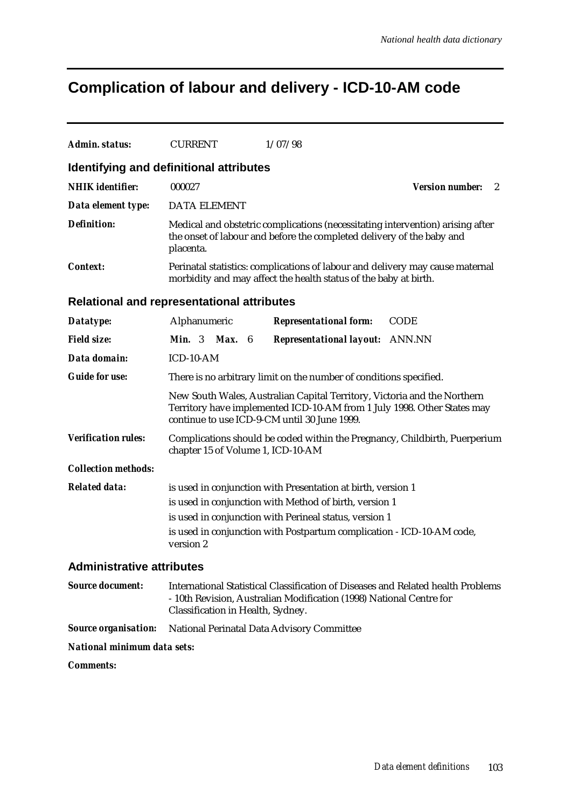# **Complication of labour and delivery - ICD-10-AM code**

| Admin. status:                                 | <b>CURRENT</b>                                                                                                                                                                                      |  | 1/07/98                                                                                                                                                                                                                                                   |                                        |  |
|------------------------------------------------|-----------------------------------------------------------------------------------------------------------------------------------------------------------------------------------------------------|--|-----------------------------------------------------------------------------------------------------------------------------------------------------------------------------------------------------------------------------------------------------------|----------------------------------------|--|
| <b>Identifying and definitional attributes</b> |                                                                                                                                                                                                     |  |                                                                                                                                                                                                                                                           |                                        |  |
| <b>NHIK</b> identifier:                        | 000027                                                                                                                                                                                              |  |                                                                                                                                                                                                                                                           | <b>Version number:</b><br>$\mathbf{2}$ |  |
| Data element type:                             | <b>DATA ELEMENT</b>                                                                                                                                                                                 |  |                                                                                                                                                                                                                                                           |                                        |  |
| <b>Definition:</b>                             | placenta.                                                                                                                                                                                           |  | Medical and obstetric complications (necessitating intervention) arising after<br>the onset of labour and before the completed delivery of the baby and                                                                                                   |                                        |  |
| <b>Context:</b>                                |                                                                                                                                                                                                     |  | Perinatal statistics: complications of labour and delivery may cause maternal<br>morbidity and may affect the health status of the baby at birth.                                                                                                         |                                        |  |
| Relational and representational attributes     |                                                                                                                                                                                                     |  |                                                                                                                                                                                                                                                           |                                        |  |
| Datatype:                                      | Alphanumeric                                                                                                                                                                                        |  | <b>Representational form:</b>                                                                                                                                                                                                                             | <b>CODE</b>                            |  |
| <b>Field size:</b>                             | <b>Min.</b> 3 <b>Max.</b> 6                                                                                                                                                                         |  | <b>Representational layout: ANN.NN</b>                                                                                                                                                                                                                    |                                        |  |
| Data domain:                                   | ICD-10-AM                                                                                                                                                                                           |  |                                                                                                                                                                                                                                                           |                                        |  |
| <b>Guide for use:</b>                          | There is no arbitrary limit on the number of conditions specified.                                                                                                                                  |  |                                                                                                                                                                                                                                                           |                                        |  |
|                                                | New South Wales, Australian Capital Territory, Victoria and the Northern<br>Territory have implemented ICD-10-AM from 1 July 1998. Other States may<br>continue to use ICD-9-CM until 30 June 1999. |  |                                                                                                                                                                                                                                                           |                                        |  |
| <b>Verification rules:</b>                     | chapter 15 of Volume 1, ICD-10-AM                                                                                                                                                                   |  | Complications should be coded within the Pregnancy, Childbirth, Puerperium                                                                                                                                                                                |                                        |  |
| <b>Collection methods:</b>                     |                                                                                                                                                                                                     |  |                                                                                                                                                                                                                                                           |                                        |  |
| <b>Related data:</b>                           | version 2                                                                                                                                                                                           |  | is used in conjunction with Presentation at birth, version 1<br>is used in conjunction with Method of birth, version 1<br>is used in conjunction with Perineal status, version 1<br>is used in conjunction with Postpartum complication - ICD-10-AM code, |                                        |  |
| <b>Administrative attributes</b>               |                                                                                                                                                                                                     |  |                                                                                                                                                                                                                                                           |                                        |  |
| <b>Source document:</b>                        | Classification in Health, Sydney.                                                                                                                                                                   |  | International Statistical Classification of Diseases and Related health Problems<br>- 10th Revision, Australian Modification (1998) National Centre for                                                                                                   |                                        |  |
| <b>Source organisation:</b>                    |                                                                                                                                                                                                     |  | National Perinatal Data Advisory Committee                                                                                                                                                                                                                |                                        |  |
| National minimum data sets:                    |                                                                                                                                                                                                     |  |                                                                                                                                                                                                                                                           |                                        |  |
| <b>Comments:</b>                               |                                                                                                                                                                                                     |  |                                                                                                                                                                                                                                                           |                                        |  |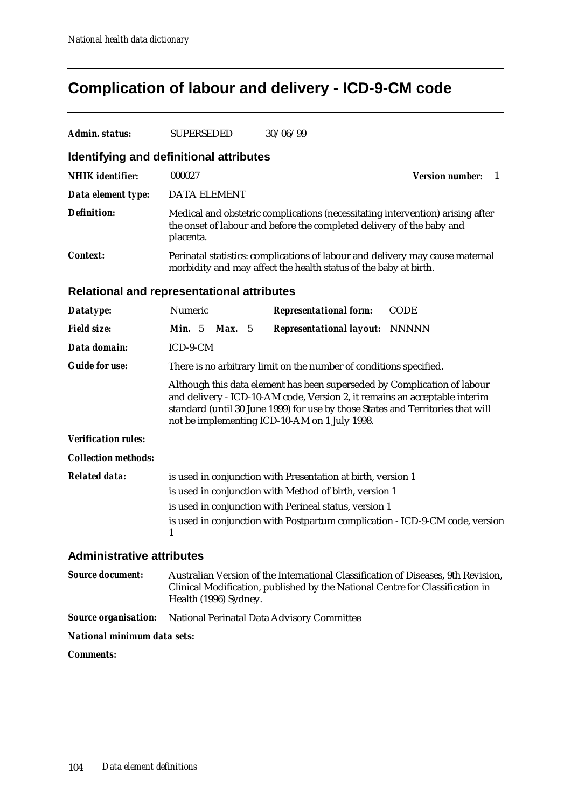## **Complication of labour and delivery - ICD-9-CM code**

| Admin. status:                                    | <b>SUPERSEDED</b>                                                                                                                                                                                                                                                                          |  | 30/06/99                                                                                                                                                           |                             |
|---------------------------------------------------|--------------------------------------------------------------------------------------------------------------------------------------------------------------------------------------------------------------------------------------------------------------------------------------------|--|--------------------------------------------------------------------------------------------------------------------------------------------------------------------|-----------------------------|
| Identifying and definitional attributes           |                                                                                                                                                                                                                                                                                            |  |                                                                                                                                                                    |                             |
| <b>NHIK</b> identifier:                           | 000027                                                                                                                                                                                                                                                                                     |  |                                                                                                                                                                    | <b>Version number:</b><br>1 |
| Data element type:                                | <b>DATA ELEMENT</b>                                                                                                                                                                                                                                                                        |  |                                                                                                                                                                    |                             |
| <b>Definition:</b>                                | placenta.                                                                                                                                                                                                                                                                                  |  | Medical and obstetric complications (necessitating intervention) arising after<br>the onset of labour and before the completed delivery of the baby and            |                             |
| <b>Context:</b>                                   |                                                                                                                                                                                                                                                                                            |  | Perinatal statistics: complications of labour and delivery may cause maternal<br>morbidity and may affect the health status of the baby at birth.                  |                             |
| <b>Relational and representational attributes</b> |                                                                                                                                                                                                                                                                                            |  |                                                                                                                                                                    |                             |
| Datatype:                                         | Numeric                                                                                                                                                                                                                                                                                    |  | <b>Representational form:</b>                                                                                                                                      | <b>CODE</b>                 |
| <b>Field size:</b>                                | <b>Min.</b> $5$<br><b>Max.</b> $5$                                                                                                                                                                                                                                                         |  | <b>Representational layout:</b>                                                                                                                                    | <b>NNNNN</b>                |
| Data domain:                                      | ICD-9-CM                                                                                                                                                                                                                                                                                   |  |                                                                                                                                                                    |                             |
| <b>Guide for use:</b>                             |                                                                                                                                                                                                                                                                                            |  | There is no arbitrary limit on the number of conditions specified.                                                                                                 |                             |
|                                                   | Although this data element has been superseded by Complication of labour<br>and delivery - ICD-10-AM code, Version 2, it remains an acceptable interim<br>standard (until 30 June 1999) for use by those States and Territories that will<br>not be implementing ICD-10-AM on 1 July 1998. |  |                                                                                                                                                                    |                             |
| <b>Verification rules:</b>                        |                                                                                                                                                                                                                                                                                            |  |                                                                                                                                                                    |                             |
| <b>Collection methods:</b>                        |                                                                                                                                                                                                                                                                                            |  |                                                                                                                                                                    |                             |
| <b>Related data:</b>                              |                                                                                                                                                                                                                                                                                            |  | is used in conjunction with Presentation at birth, version 1                                                                                                       |                             |
|                                                   |                                                                                                                                                                                                                                                                                            |  | is used in conjunction with Method of birth, version 1                                                                                                             |                             |
|                                                   | 1                                                                                                                                                                                                                                                                                          |  | is used in conjunction with Perineal status, version 1<br>is used in conjunction with Postpartum complication - ICD-9-CM code, version                             |                             |
| <b>Administrative attributes</b>                  |                                                                                                                                                                                                                                                                                            |  |                                                                                                                                                                    |                             |
| <b>Source document:</b>                           | Health (1996) Sydney.                                                                                                                                                                                                                                                                      |  | Australian Version of the International Classification of Diseases, 9th Revision,<br>Clinical Modification, published by the National Centre for Classification in |                             |
| <b>Source organisation:</b>                       |                                                                                                                                                                                                                                                                                            |  | National Perinatal Data Advisory Committee                                                                                                                         |                             |
| National minimum data sets:                       |                                                                                                                                                                                                                                                                                            |  |                                                                                                                                                                    |                             |

*Comments:*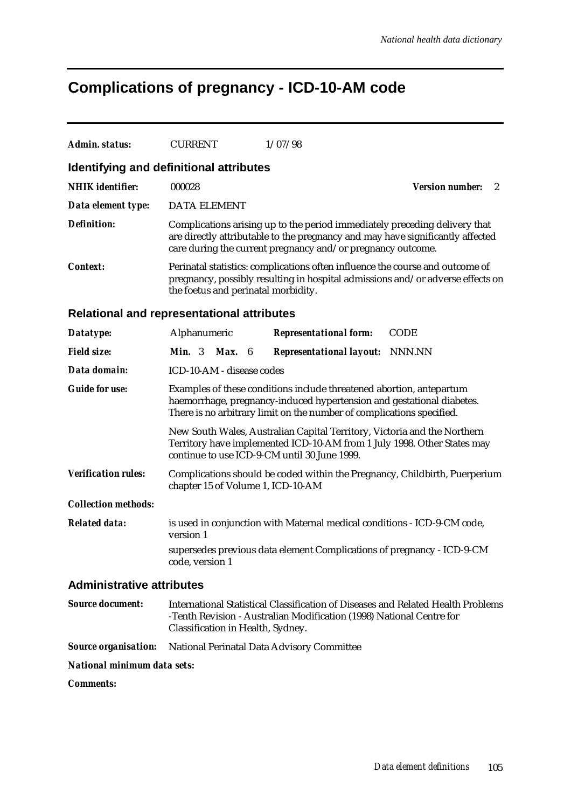# **Complications of pregnancy - ICD-10-AM code**

| Admin. status:                   | <b>CURRENT</b>                                                                                                                                                                                         | 1/07/98                                                                                                                                                                                                                     |                             |  |  |
|----------------------------------|--------------------------------------------------------------------------------------------------------------------------------------------------------------------------------------------------------|-----------------------------------------------------------------------------------------------------------------------------------------------------------------------------------------------------------------------------|-----------------------------|--|--|
|                                  | Identifying and definitional attributes                                                                                                                                                                |                                                                                                                                                                                                                             |                             |  |  |
| <b>NHIK</b> identifier:          | 000028                                                                                                                                                                                                 |                                                                                                                                                                                                                             | <b>Version number:</b><br>2 |  |  |
| Data element type:               | <b>DATA ELEMENT</b>                                                                                                                                                                                    |                                                                                                                                                                                                                             |                             |  |  |
| <b>Definition:</b>               |                                                                                                                                                                                                        | Complications arising up to the period immediately preceding delivery that<br>are directly attributable to the pregnancy and may have significantly affected<br>care during the current pregnancy and/or pregnancy outcome. |                             |  |  |
| <b>Context:</b>                  | Perinatal statistics: complications often influence the course and outcome of<br>pregnancy, possibly resulting in hospital admissions and/or adverse effects on<br>the foetus and perinatal morbidity. |                                                                                                                                                                                                                             |                             |  |  |
|                                  | Relational and representational attributes                                                                                                                                                             |                                                                                                                                                                                                                             |                             |  |  |
| Datatype:                        | Alphanumeric                                                                                                                                                                                           | <b>Representational form:</b>                                                                                                                                                                                               | <b>CODE</b>                 |  |  |
| <b>Field size:</b>               | <b>Min.</b> $3$<br><b>Max.</b> $6$                                                                                                                                                                     | <b>Representational layout:</b>                                                                                                                                                                                             | NNN.NN                      |  |  |
| Data domain:                     | ICD-10-AM - disease codes                                                                                                                                                                              |                                                                                                                                                                                                                             |                             |  |  |
| <b>Guide for use:</b>            |                                                                                                                                                                                                        | Examples of these conditions include threatened abortion, antepartum<br>haemorrhage, pregnancy-induced hypertension and gestational diabetes.<br>There is no arbitrary limit on the number of complications specified.      |                             |  |  |
|                                  | New South Wales, Australian Capital Territory, Victoria and the Northern<br>Territory have implemented ICD-10-AM from 1 July 1998. Other States may<br>continue to use ICD-9-CM until 30 June 1999.    |                                                                                                                                                                                                                             |                             |  |  |
| <b>Verification rules:</b>       | Complications should be coded within the Pregnancy, Childbirth, Puerperium<br>chapter 15 of Volume 1, ICD-10-AM                                                                                        |                                                                                                                                                                                                                             |                             |  |  |
| <b>Collection methods:</b>       |                                                                                                                                                                                                        |                                                                                                                                                                                                                             |                             |  |  |
| <b>Related data:</b>             | version 1                                                                                                                                                                                              | is used in conjunction with Maternal medical conditions - ICD-9-CM code,                                                                                                                                                    |                             |  |  |
|                                  | code, version 1                                                                                                                                                                                        | supersedes previous data element Complications of pregnancy - ICD-9-CM                                                                                                                                                      |                             |  |  |
| <b>Administrative attributes</b> |                                                                                                                                                                                                        |                                                                                                                                                                                                                             |                             |  |  |
| <b>Source document:</b>          | Classification in Health, Sydney.                                                                                                                                                                      | International Statistical Classification of Diseases and Related Health Problems<br>-Tenth Revision - Australian Modification (1998) National Centre for                                                                    |                             |  |  |
| <b>Source organisation:</b>      |                                                                                                                                                                                                        | National Perinatal Data Advisory Committee                                                                                                                                                                                  |                             |  |  |

*National minimum data sets:*

*Comments:*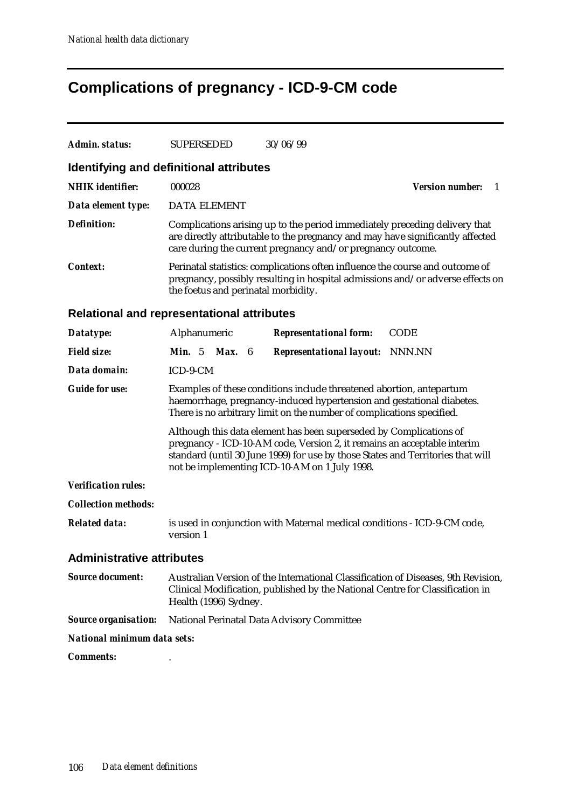# **Complications of pregnancy - ICD-9-CM code**

| Admin. status:                                    | <b>SUPERSEDED</b>                                                                                                                                                                                                                                                                 | 30/06/99                                                                                                                                                                                                                    |                              |  |  |  |
|---------------------------------------------------|-----------------------------------------------------------------------------------------------------------------------------------------------------------------------------------------------------------------------------------------------------------------------------------|-----------------------------------------------------------------------------------------------------------------------------------------------------------------------------------------------------------------------------|------------------------------|--|--|--|
| Identifying and definitional attributes           |                                                                                                                                                                                                                                                                                   |                                                                                                                                                                                                                             |                              |  |  |  |
| <b>NHIK</b> identifier:                           | 000028                                                                                                                                                                                                                                                                            |                                                                                                                                                                                                                             | <b>Version number:</b><br>-1 |  |  |  |
| Data element type:                                | <b>DATA ELEMENT</b>                                                                                                                                                                                                                                                               |                                                                                                                                                                                                                             |                              |  |  |  |
| <b>Definition:</b>                                |                                                                                                                                                                                                                                                                                   | Complications arising up to the period immediately preceding delivery that<br>are directly attributable to the pregnancy and may have significantly affected<br>care during the current pregnancy and/or pregnancy outcome. |                              |  |  |  |
| <b>Context:</b>                                   | the foetus and perinatal morbidity.                                                                                                                                                                                                                                               | Perinatal statistics: complications often influence the course and outcome of<br>pregnancy, possibly resulting in hospital admissions and/or adverse effects on                                                             |                              |  |  |  |
| <b>Relational and representational attributes</b> |                                                                                                                                                                                                                                                                                   |                                                                                                                                                                                                                             |                              |  |  |  |
| Datatype:                                         | Alphanumeric                                                                                                                                                                                                                                                                      | <b>Representational form:</b>                                                                                                                                                                                               | <b>CODE</b>                  |  |  |  |
| <b>Field size:</b>                                | Min. 5 Max. 6                                                                                                                                                                                                                                                                     | <b>Representational layout:</b> NNN.NN                                                                                                                                                                                      |                              |  |  |  |
| Data domain:                                      | ICD-9-CM                                                                                                                                                                                                                                                                          |                                                                                                                                                                                                                             |                              |  |  |  |
| <b>Guide for use:</b>                             | Examples of these conditions include threatened abortion, antepartum<br>haemorrhage, pregnancy-induced hypertension and gestational diabetes.<br>There is no arbitrary limit on the number of complications specified.                                                            |                                                                                                                                                                                                                             |                              |  |  |  |
|                                                   | Although this data element has been superseded by Complications of<br>pregnancy - ICD-10-AM code, Version 2, it remains an acceptable interim<br>standard (until 30 June 1999) for use by those States and Territories that will<br>not be implementing ICD-10-AM on 1 July 1998. |                                                                                                                                                                                                                             |                              |  |  |  |
| <b>Verification rules:</b>                        |                                                                                                                                                                                                                                                                                   |                                                                                                                                                                                                                             |                              |  |  |  |
| <b>Collection methods:</b>                        |                                                                                                                                                                                                                                                                                   |                                                                                                                                                                                                                             |                              |  |  |  |
| <b>Related data:</b>                              | version 1                                                                                                                                                                                                                                                                         | is used in conjunction with Maternal medical conditions - ICD-9-CM code,                                                                                                                                                    |                              |  |  |  |
| <b>Administrative attributes</b>                  |                                                                                                                                                                                                                                                                                   |                                                                                                                                                                                                                             |                              |  |  |  |
| <b>Source document:</b>                           | Health (1996) Sydney.                                                                                                                                                                                                                                                             | Australian Version of the International Classification of Diseases, 9th Revision,<br>Clinical Modification, published by the National Centre for Classification in                                                          |                              |  |  |  |
| <b>Source organisation:</b>                       |                                                                                                                                                                                                                                                                                   | National Perinatal Data Advisory Committee                                                                                                                                                                                  |                              |  |  |  |
| <b>National minimum data sets:</b>                |                                                                                                                                                                                                                                                                                   |                                                                                                                                                                                                                             |                              |  |  |  |
| <b>Comments:</b>                                  |                                                                                                                                                                                                                                                                                   |                                                                                                                                                                                                                             |                              |  |  |  |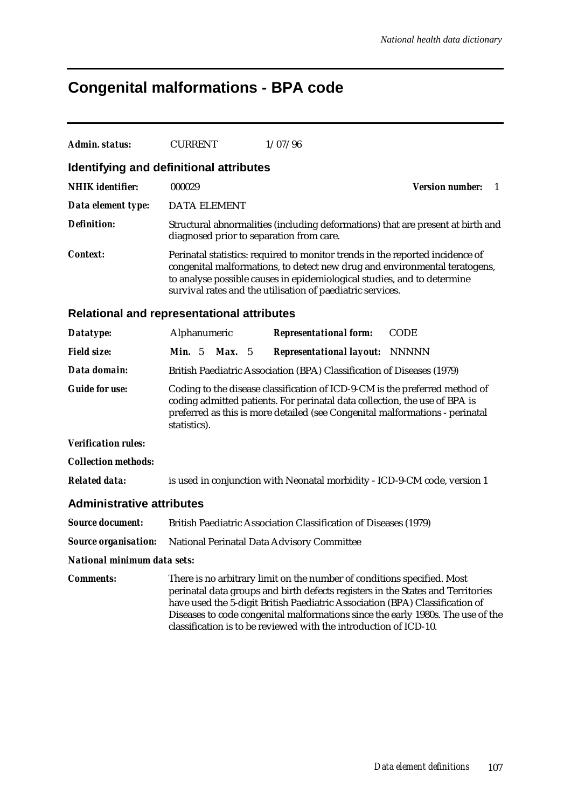# **Congenital malformations - BPA code**

| Admin. status:                                    | <b>CURRENT</b>                           |     | 1/07/96                                                                                                                                                                                                                                                                                              |                                                                                 |
|---------------------------------------------------|------------------------------------------|-----|------------------------------------------------------------------------------------------------------------------------------------------------------------------------------------------------------------------------------------------------------------------------------------------------------|---------------------------------------------------------------------------------|
| Identifying and definitional attributes           |                                          |     |                                                                                                                                                                                                                                                                                                      |                                                                                 |
| <b>NHIK</b> identifier:                           | 000029                                   |     |                                                                                                                                                                                                                                                                                                      | <b>Version number:</b><br>-1                                                    |
| Data element type:                                | <b>DATA ELEMENT</b>                      |     |                                                                                                                                                                                                                                                                                                      |                                                                                 |
| <b>Definition:</b>                                | diagnosed prior to separation from care. |     |                                                                                                                                                                                                                                                                                                      | Structural abnormalities (including deformations) that are present at birth and |
| <i>Context:</i>                                   |                                          |     | Perinatal statistics: required to monitor trends in the reported incidence of<br>congenital malformations, to detect new drug and environmental teratogens,<br>to analyse possible causes in epidemiological studies, and to determine<br>survival rates and the utilisation of paediatric services. |                                                                                 |
| <b>Relational and representational attributes</b> |                                          |     |                                                                                                                                                                                                                                                                                                      |                                                                                 |
| Datatype:                                         | Alphanumeric                             |     | <b>Representational form:</b>                                                                                                                                                                                                                                                                        | <b>CODE</b>                                                                     |
| <b>Field size:</b>                                | <b>Min.</b> $5$<br>Max.                  | - 5 | <b>Representational layout: NNNNN</b>                                                                                                                                                                                                                                                                |                                                                                 |
| Data domain:                                      |                                          |     | British Paediatric Association (BPA) Classification of Diseases (1979)                                                                                                                                                                                                                               |                                                                                 |
| <b>Guide for use:</b>                             | statistics).                             |     | Coding to the disease classification of ICD-9-CM is the preferred method of<br>coding admitted patients. For perinatal data collection, the use of BPA is<br>preferred as this is more detailed (see Congenital malformations - perinatal                                                            |                                                                                 |
| <b>Verification rules:</b>                        |                                          |     |                                                                                                                                                                                                                                                                                                      |                                                                                 |
| <b>Collection methods:</b>                        |                                          |     |                                                                                                                                                                                                                                                                                                      |                                                                                 |
| <b>Related data:</b>                              |                                          |     | is used in conjunction with Neonatal morbidity - ICD-9-CM code, version 1                                                                                                                                                                                                                            |                                                                                 |
| <b>Administrative attributes</b>                  |                                          |     |                                                                                                                                                                                                                                                                                                      |                                                                                 |
| <b>Source document:</b>                           |                                          |     | British Paediatric Association Classification of Diseases (1979)                                                                                                                                                                                                                                     |                                                                                 |
| <b>Source organisation:</b>                       |                                          |     | National Perinatal Data Advisory Committee                                                                                                                                                                                                                                                           |                                                                                 |
| National minimum data sets:                       |                                          |     |                                                                                                                                                                                                                                                                                                      |                                                                                 |
| <i>Comments:</i>                                  |                                          |     | There is no arbitrary limit on the number of conditions specified. Most<br>perinatal data groups and birth defects registers in the States and Territories<br>have used the 5-digit British Paediatric Association (BPA) Classification of                                                           | Diseases to code congenital malformations since the early 1980s. The use of the |

classification is to be reviewed with the introduction of ICD-10.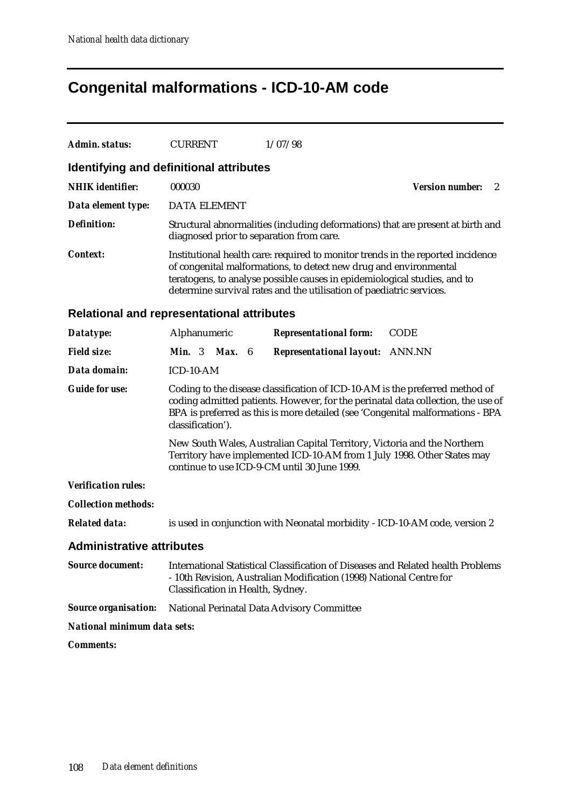# **Congenital malformations - ICD-10-AM code**

| Admin. status:<br><b>CURRENT</b>                  |                                                                                                                                                                                                                                                                                                           | 1/07/98                                                                                                                     |                             |  |  |  |  |
|---------------------------------------------------|-----------------------------------------------------------------------------------------------------------------------------------------------------------------------------------------------------------------------------------------------------------------------------------------------------------|-----------------------------------------------------------------------------------------------------------------------------|-----------------------------|--|--|--|--|
| Identifying and definitional attributes           |                                                                                                                                                                                                                                                                                                           |                                                                                                                             |                             |  |  |  |  |
| <b>NHIK</b> identifier:<br>000030                 |                                                                                                                                                                                                                                                                                                           |                                                                                                                             | <b>Version number:</b><br>2 |  |  |  |  |
| Data element type:                                | <b>DATA ELEMENT</b>                                                                                                                                                                                                                                                                                       |                                                                                                                             |                             |  |  |  |  |
| <b>Definition:</b>                                |                                                                                                                                                                                                                                                                                                           | Structural abnormalities (including deformations) that are present at birth and<br>diagnosed prior to separation from care. |                             |  |  |  |  |
| <b>Context:</b>                                   | Institutional health care: required to monitor trends in the reported incidence<br>of congenital malformations, to detect new drug and environmental<br>teratogens, to analyse possible causes in epidemiological studies, and to<br>determine survival rates and the utilisation of paediatric services. |                                                                                                                             |                             |  |  |  |  |
| <b>Relational and representational attributes</b> |                                                                                                                                                                                                                                                                                                           |                                                                                                                             |                             |  |  |  |  |
| Alphanumeric<br>Datatype:                         |                                                                                                                                                                                                                                                                                                           | <b>Representational form:</b>                                                                                               | <b>CODE</b>                 |  |  |  |  |
| <b>Field size:</b><br><b>Min.</b> 3 <b>Max.</b> 6 |                                                                                                                                                                                                                                                                                                           | <b>Representational layout:</b> ANN.NN                                                                                      |                             |  |  |  |  |
| Data domain:<br>ICD-10-AM                         |                                                                                                                                                                                                                                                                                                           |                                                                                                                             |                             |  |  |  |  |
| <b>Guide for use:</b>                             | Coding to the disease classification of ICD-10-AM is the preferred method of<br>coding admitted patients. However, for the perinatal data collection, the use of<br>BPA is preferred as this is more detailed (see 'Congenital malformations - BPA<br>classification').                                   |                                                                                                                             |                             |  |  |  |  |
|                                                   | New South Wales, Australian Capital Territory, Victoria and the Northern<br>Territory have implemented ICD-10-AM from 1 July 1998. Other States may<br>continue to use ICD-9-CM until 30 June 1999.                                                                                                       |                                                                                                                             |                             |  |  |  |  |
| <b>Verification rules:</b>                        |                                                                                                                                                                                                                                                                                                           |                                                                                                                             |                             |  |  |  |  |
| <b>Collection methods:</b>                        |                                                                                                                                                                                                                                                                                                           |                                                                                                                             |                             |  |  |  |  |
| <b>Related data:</b>                              |                                                                                                                                                                                                                                                                                                           | is used in conjunction with Neonatal morbidity - ICD-10-AM code, version 2                                                  |                             |  |  |  |  |
| <b>Administrative attributes</b>                  |                                                                                                                                                                                                                                                                                                           |                                                                                                                             |                             |  |  |  |  |
| <b>Source document:</b>                           | International Statistical Classification of Diseases and Related health Problems<br>- 10th Revision, Australian Modification (1998) National Centre for<br>Classification in Health, Sydney.                                                                                                              |                                                                                                                             |                             |  |  |  |  |
| <b>Source organisation:</b>                       |                                                                                                                                                                                                                                                                                                           | National Perinatal Data Advisory Committee                                                                                  |                             |  |  |  |  |
| National minimum data sets:                       |                                                                                                                                                                                                                                                                                                           |                                                                                                                             |                             |  |  |  |  |
| <b>Comments:</b>                                  |                                                                                                                                                                                                                                                                                                           |                                                                                                                             |                             |  |  |  |  |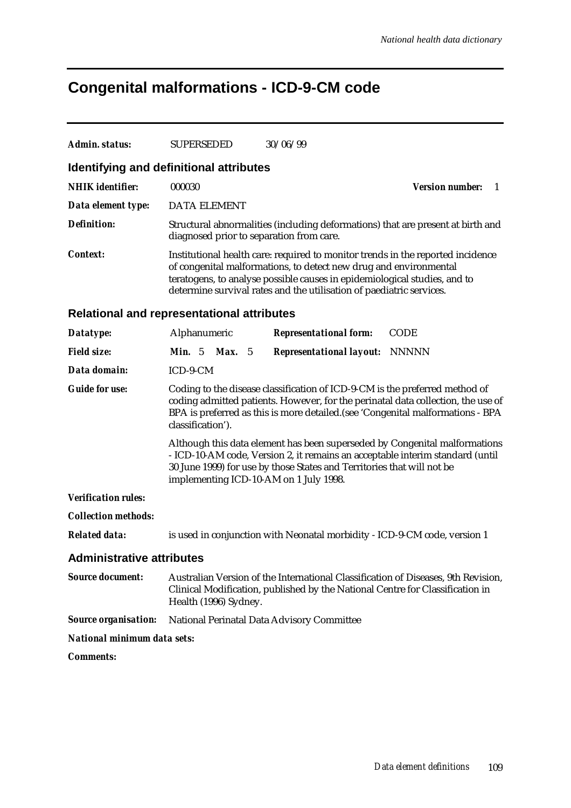# **Congenital malformations - ICD-9-CM code**

| <b>Admin. status:</b>                             | <b>SUPERSEDED</b>                                                                                                                                                                                                                                                                                         | 30/06/99                                                                                                                                                           |                              |  |  |
|---------------------------------------------------|-----------------------------------------------------------------------------------------------------------------------------------------------------------------------------------------------------------------------------------------------------------------------------------------------------------|--------------------------------------------------------------------------------------------------------------------------------------------------------------------|------------------------------|--|--|
| <b>Identifying and definitional attributes</b>    |                                                                                                                                                                                                                                                                                                           |                                                                                                                                                                    |                              |  |  |
| <b>NHIK</b> identifier:                           | 000030                                                                                                                                                                                                                                                                                                    |                                                                                                                                                                    | <b>Version number:</b><br>-1 |  |  |
| Data element type:                                | DATA ELEMENT                                                                                                                                                                                                                                                                                              |                                                                                                                                                                    |                              |  |  |
| <b>Definition:</b>                                | diagnosed prior to separation from care.                                                                                                                                                                                                                                                                  | Structural abnormalities (including deformations) that are present at birth and                                                                                    |                              |  |  |
| Context:                                          | Institutional health care: required to monitor trends in the reported incidence<br>of congenital malformations, to detect new drug and environmental<br>teratogens, to analyse possible causes in epidemiological studies, and to<br>determine survival rates and the utilisation of paediatric services. |                                                                                                                                                                    |                              |  |  |
| <b>Relational and representational attributes</b> |                                                                                                                                                                                                                                                                                                           |                                                                                                                                                                    |                              |  |  |
| Datatype:                                         | Alphanumeric                                                                                                                                                                                                                                                                                              | <b>Representational form:</b>                                                                                                                                      | <b>CODE</b>                  |  |  |
| <b>Field size:</b>                                | <b>Min.</b> $5$<br><b>Max.</b> 5                                                                                                                                                                                                                                                                          | <b>Representational layout:</b>                                                                                                                                    | <b>NNNNN</b>                 |  |  |
| Data domain:                                      | ICD-9-CM                                                                                                                                                                                                                                                                                                  |                                                                                                                                                                    |                              |  |  |
| <b>Guide for use:</b>                             | Coding to the disease classification of ICD-9-CM is the preferred method of<br>coding admitted patients. However, for the perinatal data collection, the use of<br>BPA is preferred as this is more detailed. (see 'Congenital malformations - BPA<br>classification').                                   |                                                                                                                                                                    |                              |  |  |
|                                                   | Although this data element has been superseded by Congenital malformations<br>- ICD-10-AM code, Version 2, it remains an acceptable interim standard (until<br>30 June 1999) for use by those States and Territories that will not be<br>implementing ICD-10-AM on 1 July 1998.                           |                                                                                                                                                                    |                              |  |  |
| <b>Verification rules:</b>                        |                                                                                                                                                                                                                                                                                                           |                                                                                                                                                                    |                              |  |  |
| <b>Collection methods:</b>                        |                                                                                                                                                                                                                                                                                                           |                                                                                                                                                                    |                              |  |  |
| <b>Related data:</b>                              |                                                                                                                                                                                                                                                                                                           | is used in conjunction with Neonatal morbidity - ICD-9-CM code, version 1                                                                                          |                              |  |  |
| <b>Administrative attributes</b>                  |                                                                                                                                                                                                                                                                                                           |                                                                                                                                                                    |                              |  |  |
| <b>Source document:</b>                           | Health (1996) Sydney.                                                                                                                                                                                                                                                                                     | Australian Version of the International Classification of Diseases, 9th Revision,<br>Clinical Modification, published by the National Centre for Classification in |                              |  |  |
| <b>Source organisation:</b>                       |                                                                                                                                                                                                                                                                                                           | National Perinatal Data Advisory Committee                                                                                                                         |                              |  |  |
| National minimum data sets:                       |                                                                                                                                                                                                                                                                                                           |                                                                                                                                                                    |                              |  |  |
| <b>Comments:</b>                                  |                                                                                                                                                                                                                                                                                                           |                                                                                                                                                                    |                              |  |  |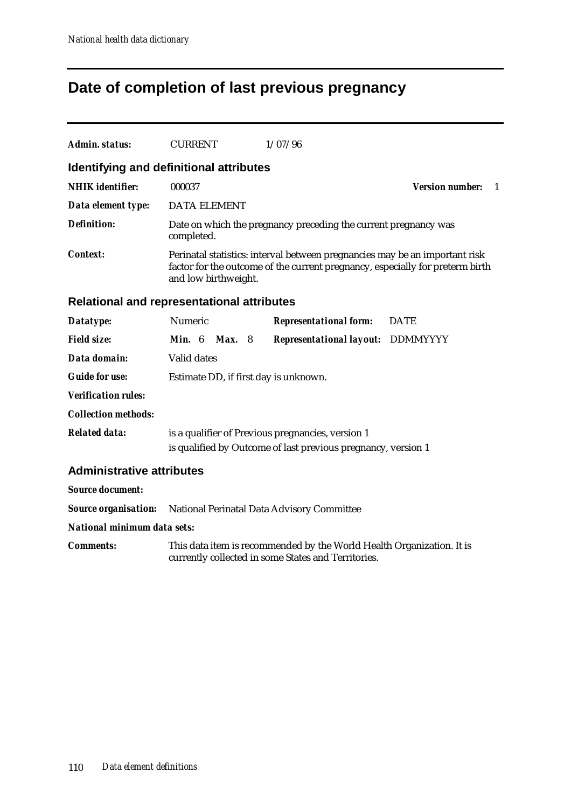## **Date of completion of last previous pregnancy**

| Admin. status:                                                         | <b>CURRENT</b>       |               | 1/07/96                                                                                                                                                      |                              |  |
|------------------------------------------------------------------------|----------------------|---------------|--------------------------------------------------------------------------------------------------------------------------------------------------------------|------------------------------|--|
| <b>Identifying and definitional attributes</b>                         |                      |               |                                                                                                                                                              |                              |  |
| <b>NHIK</b> identifier:                                                | 000037               |               |                                                                                                                                                              | <b>Version number:</b><br>-1 |  |
| Data element type:                                                     | <b>DATA ELEMENT</b>  |               |                                                                                                                                                              |                              |  |
| <b>Definition:</b>                                                     | completed.           |               | Date on which the pregnancy preceding the current pregnancy was                                                                                              |                              |  |
| <b>Context:</b>                                                        | and low birthweight. |               | Perinatal statistics: interval between pregnancies may be an important risk<br>factor for the outcome of the current pregnancy, especially for preterm birth |                              |  |
| <b>Relational and representational attributes</b>                      |                      |               |                                                                                                                                                              |                              |  |
| Datatype:                                                              | Numeric              |               | <b>Representational form:</b>                                                                                                                                | <b>DATE</b>                  |  |
| <b>Field size:</b>                                                     | Min. 6               | <b>Max.</b> 8 | Representational layout: DDMMYYYY                                                                                                                            |                              |  |
| Data domain:                                                           | Valid dates          |               |                                                                                                                                                              |                              |  |
| <b>Guide for use:</b>                                                  |                      |               | Estimate DD, if first day is unknown.                                                                                                                        |                              |  |
| <b>Verification rules:</b>                                             |                      |               |                                                                                                                                                              |                              |  |
| <b>Collection methods:</b>                                             |                      |               |                                                                                                                                                              |                              |  |
| <b>Related data:</b>                                                   |                      |               | is a qualifier of Previous pregnancies, version 1<br>is qualified by Outcome of last previous pregnancy, version 1                                           |                              |  |
| <b>Administrative attributes</b>                                       |                      |               |                                                                                                                                                              |                              |  |
| <b>Source document:</b>                                                |                      |               |                                                                                                                                                              |                              |  |
| <b>Source organisation:</b> National Perinatal Data Advisory Committee |                      |               |                                                                                                                                                              |                              |  |
| National minimum data sets:                                            |                      |               |                                                                                                                                                              |                              |  |
| <b>Comments:</b>                                                       |                      |               | This data item is recommended by the World Health Organization. It is<br>currently collected in some States and Territories.                                 |                              |  |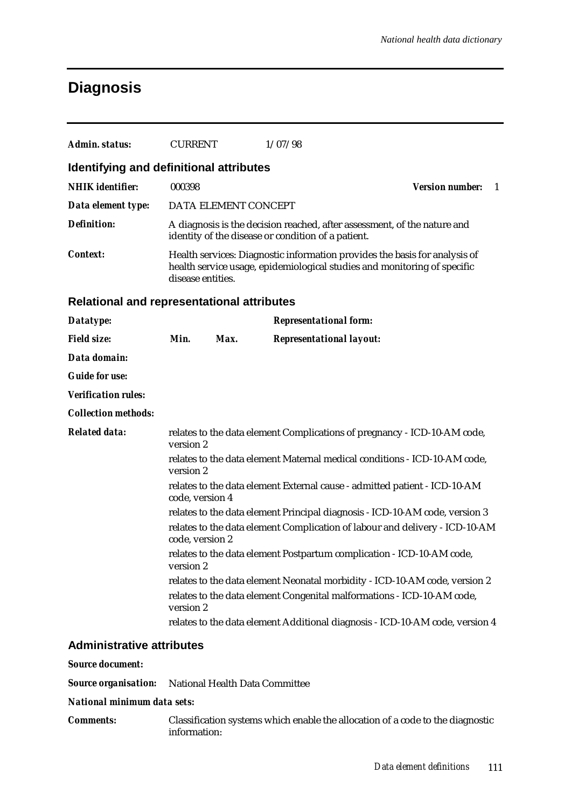## **Diagnosis**

| Admin. status:                             | <b>CURRENT</b>    |                      | 1/07/98                                                                                                                                                |                                        |
|--------------------------------------------|-------------------|----------------------|--------------------------------------------------------------------------------------------------------------------------------------------------------|----------------------------------------|
| Identifying and definitional attributes    |                   |                      |                                                                                                                                                        |                                        |
| <b>NHIK</b> identifier:                    | 000398            |                      |                                                                                                                                                        | <b>Version number:</b><br>$\mathbf{1}$ |
| Data element type:                         |                   | DATA ELEMENT CONCEPT |                                                                                                                                                        |                                        |
| <b>Definition:</b>                         |                   |                      | A diagnosis is the decision reached, after assessment, of the nature and<br>identity of the disease or condition of a patient.                         |                                        |
| <b>Context:</b>                            | disease entities. |                      | Health services: Diagnostic information provides the basis for analysis of<br>health service usage, epidemiological studies and monitoring of specific |                                        |
| Relational and representational attributes |                   |                      |                                                                                                                                                        |                                        |
| Datatype:                                  |                   |                      | <b>Representational form:</b>                                                                                                                          |                                        |
| <b>Field size:</b>                         | Min.              | Max.                 | <b>Representational layout:</b>                                                                                                                        |                                        |
| Data domain:                               |                   |                      |                                                                                                                                                        |                                        |
| <b>Guide for use:</b>                      |                   |                      |                                                                                                                                                        |                                        |
| <b>Verification rules:</b>                 |                   |                      |                                                                                                                                                        |                                        |
| <b>Collection methods:</b>                 |                   |                      |                                                                                                                                                        |                                        |
| <b>Related data:</b>                       | version 2         |                      | relates to the data element Complications of pregnancy - ICD-10-AM code,                                                                               |                                        |
|                                            | version 2         |                      | relates to the data element Maternal medical conditions - ICD-10-AM code,                                                                              |                                        |
|                                            | code, version 4   |                      | relates to the data element External cause - admitted patient - ICD-10-AM                                                                              |                                        |
|                                            |                   |                      | relates to the data element Principal diagnosis - ICD-10-AM code, version 3                                                                            |                                        |
|                                            | code, version 2   |                      | relates to the data element Complication of labour and delivery - ICD-10-AM                                                                            |                                        |
|                                            | version 2         |                      | relates to the data element Postpartum complication - ICD-10-AM code,                                                                                  |                                        |
|                                            |                   |                      | relates to the data element Neonatal morbidity - ICD-10-AM code, version 2                                                                             |                                        |
|                                            | version 2         |                      | relates to the data element Congenital malformations - ICD-10-AM code,                                                                                 |                                        |
|                                            |                   |                      | relates to the data element Additional diagnosis - ICD-10-AM code, version 4                                                                           |                                        |
| <b>Administrative attributes</b>           |                   |                      |                                                                                                                                                        |                                        |
| <b>Source document:</b>                    |                   |                      |                                                                                                                                                        |                                        |

*Source organisation:* National Health Data Committee

*National minimum data sets:*

*Comments:* Classification systems which enable the allocation of a code to the diagnostic information: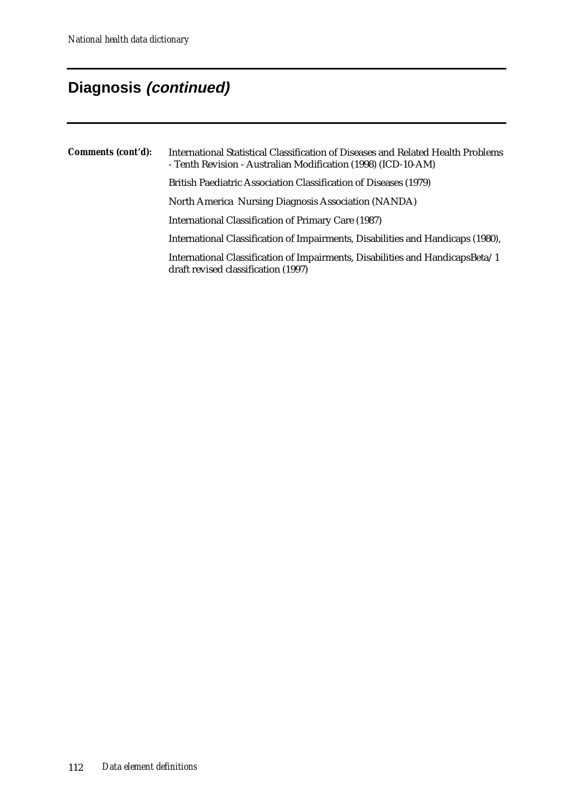# **Diagnosis (continued)**

| Comments (cont'd): | International Statistical Classification of Diseases and Related Health Problems<br>- Tenth Revision - Australian Modification (1998) (ICD-10-AM) |
|--------------------|---------------------------------------------------------------------------------------------------------------------------------------------------|
|                    | British Paediatric Association Classification of Diseases (1979)                                                                                  |
|                    | North America Nursing Diagnosis Association (NANDA)                                                                                               |
|                    | International Classification of Primary Care (1987)                                                                                               |
|                    | International Classification of Impairments, Disabilities and Handicaps (1980),                                                                   |
|                    | International Classification of Impairments, Disabilities and HandicapsBeta/1<br>draft revised classification (1997)                              |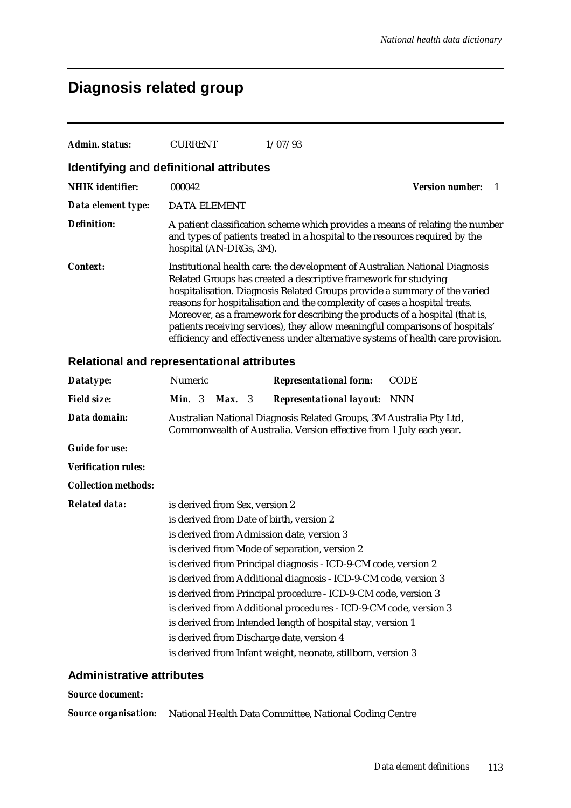## **Diagnosis related group**

| Admin. status:                          | <b>CURRENT</b>          | 1/07/93                                                                                                                                                                                                                                                                                                                                                                                                                                                                                                                                                        |  |  |
|-----------------------------------------|-------------------------|----------------------------------------------------------------------------------------------------------------------------------------------------------------------------------------------------------------------------------------------------------------------------------------------------------------------------------------------------------------------------------------------------------------------------------------------------------------------------------------------------------------------------------------------------------------|--|--|
| Identifying and definitional attributes |                         |                                                                                                                                                                                                                                                                                                                                                                                                                                                                                                                                                                |  |  |
| <b>NHIK</b> identifier:                 | 000042                  | <b>Version number:</b>                                                                                                                                                                                                                                                                                                                                                                                                                                                                                                                                         |  |  |
| Data element type:                      | <b>DATA ELEMENT</b>     |                                                                                                                                                                                                                                                                                                                                                                                                                                                                                                                                                                |  |  |
| Definition:                             | hospital (AN-DRGs, 3M). | A patient classification scheme which provides a means of relating the number<br>and types of patients treated in a hospital to the resources required by the                                                                                                                                                                                                                                                                                                                                                                                                  |  |  |
| <i>Context:</i>                         |                         | Institutional health care: the development of Australian National Diagnosis<br>Related Groups has created a descriptive framework for studying<br>hospitalisation. Diagnosis Related Groups provide a summary of the varied<br>reasons for hospitalisation and the complexity of cases a hospital treats.<br>Moreover, as a framework for describing the products of a hospital (that is,<br>patients receiving services), they allow meaningful comparisons of hospitals'<br>efficiency and effectiveness under alternative systems of health care provision. |  |  |

### **Relational and representational attributes**

| Datatype:                         | Numeric                        |        | <b>Representational form:</b>                                                                                                              | <b>CODE</b> |
|-----------------------------------|--------------------------------|--------|--------------------------------------------------------------------------------------------------------------------------------------------|-------------|
| <b>Field size:</b>                | <b>Min.</b> $3$                | Max. 3 | <b>Representational layout:</b> NNN                                                                                                        |             |
| Data domain:                      |                                |        | Australian National Diagnosis Related Groups, 3M Australia Pty Ltd,<br>Commonwealth of Australia. Version effective from 1 July each year. |             |
| <b>Guide for use:</b>             |                                |        |                                                                                                                                            |             |
| <i><b>Verification rules:</b></i> |                                |        |                                                                                                                                            |             |
| <b>Collection methods:</b>        |                                |        |                                                                                                                                            |             |
| <b>Related data:</b>              | is derived from Sex, version 2 |        |                                                                                                                                            |             |
|                                   |                                |        | is derived from Date of birth, version 2                                                                                                   |             |
|                                   |                                |        | is derived from Admission date, version 3                                                                                                  |             |
|                                   |                                |        | is derived from Mode of separation, version 2                                                                                              |             |
|                                   |                                |        | is derived from Principal diagnosis - ICD-9-CM code, version 2                                                                             |             |
|                                   |                                |        | is derived from Additional diagnosis - ICD-9-CM code, version 3                                                                            |             |
|                                   |                                |        | is derived from Principal procedure - ICD-9-CM code, version 3                                                                             |             |
|                                   |                                |        | is derived from Additional procedures - ICD-9-CM code, version 3                                                                           |             |
|                                   |                                |        | is derived from Intended length of hospital stay, version 1                                                                                |             |
|                                   |                                |        | is derived from Discharge date, version 4                                                                                                  |             |
|                                   |                                |        | is derived from Infant weight, neonate, stillborn, version 3                                                                               |             |

### **Administrative attributes**

#### *Source document:*

*Source organisation:* National Health Data Committee, National Coding Centre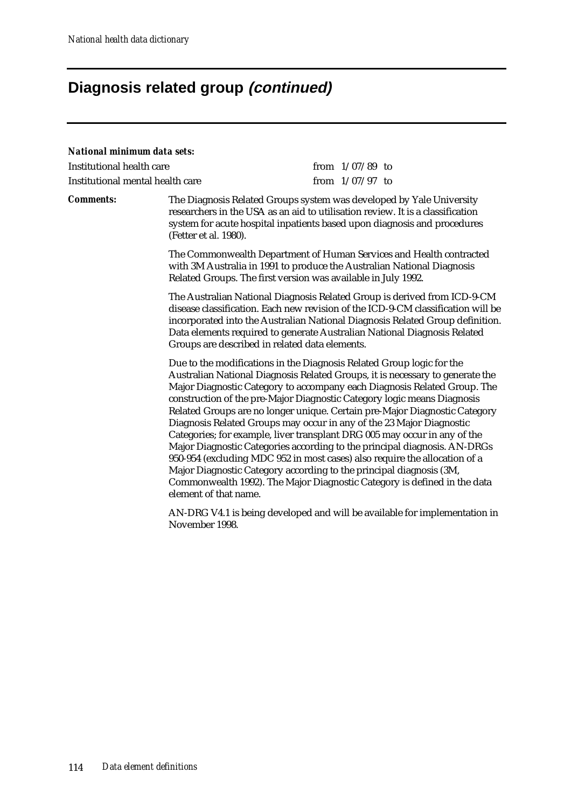### **Diagnosis related group (continued)**

#### *National minimum data sets:*

| Institutional health care        | from $1/07/89$ to |  |
|----------------------------------|-------------------|--|
| Institutional mental health care | from $1/07/97$ to |  |

*Comments:* The Diagnosis Related Groups system was developed by Yale University researchers in the USA as an aid to utilisation review. It is a classification system for acute hospital inpatients based upon diagnosis and procedures (Fetter et al. 1980).

> The Commonwealth Department of Human Services and Health contracted with 3M Australia in 1991 to produce the Australian National Diagnosis Related Groups. The first version was available in July 1992.

The Australian National Diagnosis Related Group is derived from ICD-9-CM disease classification. Each new revision of the ICD-9-CM classification will be incorporated into the Australian National Diagnosis Related Group definition. Data elements required to generate Australian National Diagnosis Related Groups are described in related data elements.

Due to the modifications in the Diagnosis Related Group logic for the Australian National Diagnosis Related Groups, it is necessary to generate the Major Diagnostic Category to accompany each Diagnosis Related Group. The construction of the pre-Major Diagnostic Category logic means Diagnosis Related Groups are no longer unique. Certain pre-Major Diagnostic Category Diagnosis Related Groups may occur in any of the 23 Major Diagnostic Categories; for example, liver transplant DRG 005 may occur in any of the Major Diagnostic Categories according to the principal diagnosis. AN-DRGs 950-954 (excluding MDC 952 in most cases) also require the allocation of a Major Diagnostic Category according to the principal diagnosis (3M, Commonwealth 1992). The Major Diagnostic Category is defined in the data element of that name.

AN-DRG V4.1 is being developed and will be available for implementation in November 1998.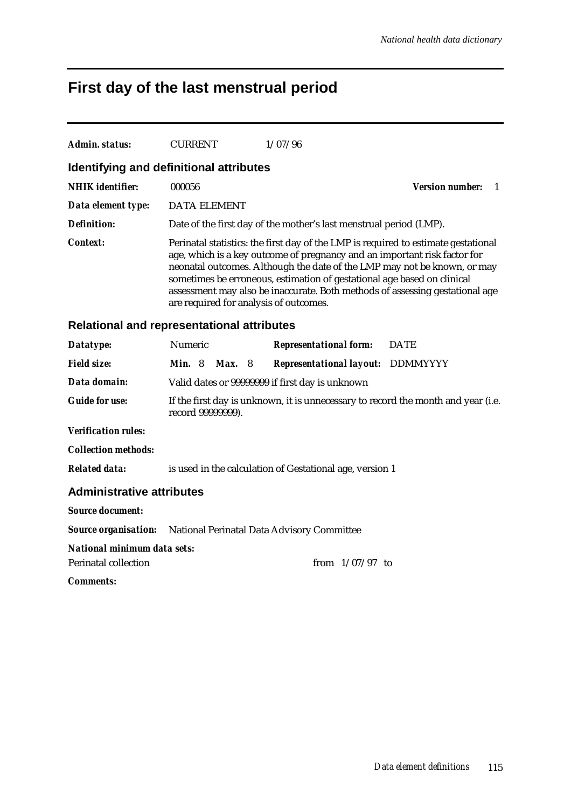# **First day of the last menstrual period**

| Admin. status:                                             | <b>CURRENT</b>                                           |                                                                                                                                                                                                                                                                                                                                                                                                                                                  | 1/07/96                                                            |                             |  |  |
|------------------------------------------------------------|----------------------------------------------------------|--------------------------------------------------------------------------------------------------------------------------------------------------------------------------------------------------------------------------------------------------------------------------------------------------------------------------------------------------------------------------------------------------------------------------------------------------|--------------------------------------------------------------------|-----------------------------|--|--|
| Identifying and definitional attributes                    |                                                          |                                                                                                                                                                                                                                                                                                                                                                                                                                                  |                                                                    |                             |  |  |
| <b>NHIK</b> identifier:                                    | 000056                                                   |                                                                                                                                                                                                                                                                                                                                                                                                                                                  |                                                                    | <b>Version number:</b><br>1 |  |  |
| Data element type:                                         | <b>DATA ELEMENT</b>                                      |                                                                                                                                                                                                                                                                                                                                                                                                                                                  |                                                                    |                             |  |  |
| Definition:                                                |                                                          |                                                                                                                                                                                                                                                                                                                                                                                                                                                  | Date of the first day of the mother's last menstrual period (LMP). |                             |  |  |
| <i>Context:</i>                                            |                                                          | Perinatal statistics: the first day of the LMP is required to estimate gestational<br>age, which is a key outcome of pregnancy and an important risk factor for<br>neonatal outcomes. Although the date of the LMP may not be known, or may<br>sometimes be erroneous, estimation of gestational age based on clinical<br>assessment may also be inaccurate. Both methods of assessing gestational age<br>are required for analysis of outcomes. |                                                                    |                             |  |  |
| <b>Relational and representational attributes</b>          |                                                          |                                                                                                                                                                                                                                                                                                                                                                                                                                                  |                                                                    |                             |  |  |
| Datatype:                                                  | Numeric                                                  |                                                                                                                                                                                                                                                                                                                                                                                                                                                  | <b>Representational form:</b>                                      | <b>DATE</b>                 |  |  |
| <b>Field size:</b>                                         | <b>Min.</b> 8                                            | <b>Max.</b> 8                                                                                                                                                                                                                                                                                                                                                                                                                                    | <b>Representational layout: DDMMYYYY</b>                           |                             |  |  |
| Data domain:                                               |                                                          |                                                                                                                                                                                                                                                                                                                                                                                                                                                  | Valid dates or 99999999 if first day is unknown                    |                             |  |  |
| <b>Guide for use:</b>                                      |                                                          | If the first day is unknown, it is unnecessary to record the month and year (i.e.<br>record 99999999).                                                                                                                                                                                                                                                                                                                                           |                                                                    |                             |  |  |
| <b>Verification rules:</b>                                 |                                                          |                                                                                                                                                                                                                                                                                                                                                                                                                                                  |                                                                    |                             |  |  |
| <b>Collection methods:</b>                                 |                                                          |                                                                                                                                                                                                                                                                                                                                                                                                                                                  |                                                                    |                             |  |  |
| <b>Related data:</b>                                       | is used in the calculation of Gestational age, version 1 |                                                                                                                                                                                                                                                                                                                                                                                                                                                  |                                                                    |                             |  |  |
| <b>Administrative attributes</b>                           |                                                          |                                                                                                                                                                                                                                                                                                                                                                                                                                                  |                                                                    |                             |  |  |
| <b>Source document:</b>                                    |                                                          |                                                                                                                                                                                                                                                                                                                                                                                                                                                  |                                                                    |                             |  |  |
| <b>Source organisation:</b>                                |                                                          | National Perinatal Data Advisory Committee                                                                                                                                                                                                                                                                                                                                                                                                       |                                                                    |                             |  |  |
| National minimum data sets:<br><b>Perinatal collection</b> |                                                          |                                                                                                                                                                                                                                                                                                                                                                                                                                                  | from $1/07/97$ to                                                  |                             |  |  |
| <i>Comments:</i>                                           |                                                          |                                                                                                                                                                                                                                                                                                                                                                                                                                                  |                                                                    |                             |  |  |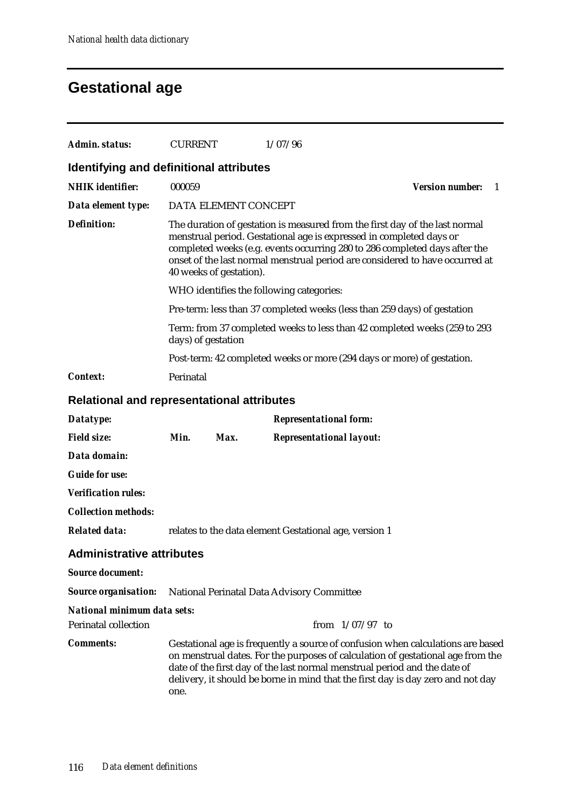## **Gestational age**

| Admin. status:                                    | <b>CURRENT</b>     |                         | 1/07/96                                                                                                                                                                                                                                                                                                                            |                               |  |  |
|---------------------------------------------------|--------------------|-------------------------|------------------------------------------------------------------------------------------------------------------------------------------------------------------------------------------------------------------------------------------------------------------------------------------------------------------------------------|-------------------------------|--|--|
| Identifying and definitional attributes           |                    |                         |                                                                                                                                                                                                                                                                                                                                    |                               |  |  |
| <b>NHIK</b> identifier:                           | 000059             |                         |                                                                                                                                                                                                                                                                                                                                    | <b>Version number:</b><br>- 1 |  |  |
| Data element type:                                |                    | DATA ELEMENT CONCEPT    |                                                                                                                                                                                                                                                                                                                                    |                               |  |  |
| <b>Definition:</b>                                |                    | 40 weeks of gestation). | The duration of gestation is measured from the first day of the last normal<br>menstrual period. Gestational age is expressed in completed days or<br>completed weeks (e.g. events occurring 280 to 286 completed days after the<br>onset of the last normal menstrual period are considered to have occurred at                   |                               |  |  |
|                                                   |                    |                         | WHO identifies the following categories:                                                                                                                                                                                                                                                                                           |                               |  |  |
|                                                   |                    |                         | Pre-term: less than 37 completed weeks (less than 259 days) of gestation                                                                                                                                                                                                                                                           |                               |  |  |
|                                                   | days) of gestation |                         | Term: from 37 completed weeks to less than 42 completed weeks (259 to 293                                                                                                                                                                                                                                                          |                               |  |  |
|                                                   |                    |                         | Post-term: 42 completed weeks or more (294 days or more) of gestation.                                                                                                                                                                                                                                                             |                               |  |  |
| <b>Context:</b>                                   | Perinatal          |                         |                                                                                                                                                                                                                                                                                                                                    |                               |  |  |
| <b>Relational and representational attributes</b> |                    |                         |                                                                                                                                                                                                                                                                                                                                    |                               |  |  |
| Datatype:                                         |                    |                         | <b>Representational form:</b>                                                                                                                                                                                                                                                                                                      |                               |  |  |
| <b>Field size:</b>                                | Min.               | Max.                    | <b>Representational layout:</b>                                                                                                                                                                                                                                                                                                    |                               |  |  |
| Data domain:                                      |                    |                         |                                                                                                                                                                                                                                                                                                                                    |                               |  |  |
| <b>Guide for use:</b>                             |                    |                         |                                                                                                                                                                                                                                                                                                                                    |                               |  |  |
| <b>Verification rules:</b>                        |                    |                         |                                                                                                                                                                                                                                                                                                                                    |                               |  |  |
| <b>Collection methods:</b>                        |                    |                         |                                                                                                                                                                                                                                                                                                                                    |                               |  |  |
| <b>Related data:</b>                              |                    |                         | relates to the data element Gestational age, version 1                                                                                                                                                                                                                                                                             |                               |  |  |
| <b>Administrative attributes</b>                  |                    |                         |                                                                                                                                                                                                                                                                                                                                    |                               |  |  |
| <b>Source document:</b>                           |                    |                         |                                                                                                                                                                                                                                                                                                                                    |                               |  |  |
| <b>Source organisation:</b>                       |                    |                         | National Perinatal Data Advisory Committee                                                                                                                                                                                                                                                                                         |                               |  |  |
| National minimum data sets:                       |                    |                         |                                                                                                                                                                                                                                                                                                                                    |                               |  |  |
| <b>Perinatal collection</b>                       |                    |                         | from $1/07/97$ to                                                                                                                                                                                                                                                                                                                  |                               |  |  |
| <b>Comments:</b>                                  | one.               |                         | Gestational age is frequently a source of confusion when calculations are based<br>on menstrual dates. For the purposes of calculation of gestational age from the<br>date of the first day of the last normal menstrual period and the date of<br>delivery, it should be borne in mind that the first day is day zero and not day |                               |  |  |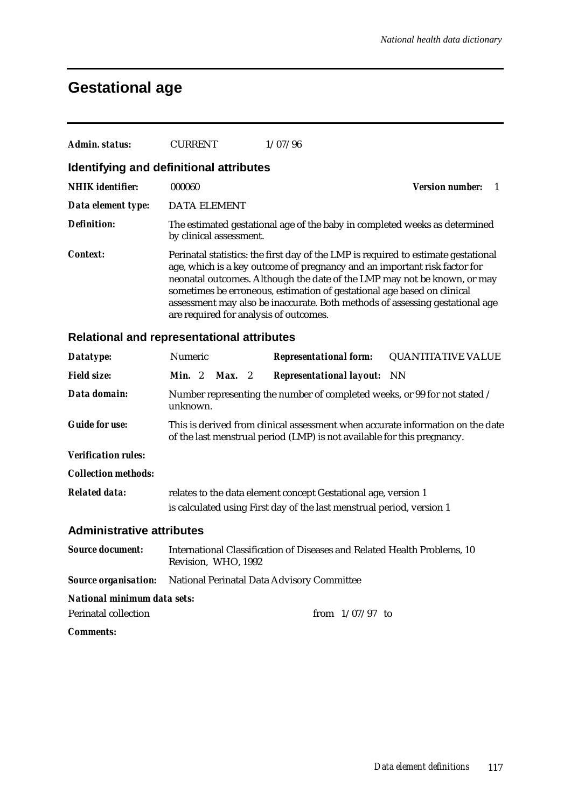## **Gestational age**

| Admin. status:                          | <b>CURRENT</b>          | 1/07/96                                                                                                           |                                                                                                                                                                                                                                                                                                                             |
|-----------------------------------------|-------------------------|-------------------------------------------------------------------------------------------------------------------|-----------------------------------------------------------------------------------------------------------------------------------------------------------------------------------------------------------------------------------------------------------------------------------------------------------------------------|
| Identifying and definitional attributes |                         |                                                                                                                   |                                                                                                                                                                                                                                                                                                                             |
| <b>NHIK</b> identifier:                 | 000060                  |                                                                                                                   | <b>Version number:</b>                                                                                                                                                                                                                                                                                                      |
| Data element type:                      | <b>DATA ELEMENT</b>     |                                                                                                                   |                                                                                                                                                                                                                                                                                                                             |
| <b>Definition:</b>                      | by clinical assessment. |                                                                                                                   | The estimated gestational age of the baby in completed weeks as determined                                                                                                                                                                                                                                                  |
| <b>Context:</b>                         |                         | sometimes be erroneous, estimation of gestational age based on clinical<br>are required for analysis of outcomes. | Perinatal statistics: the first day of the LMP is required to estimate gestational<br>age, which is a key outcome of pregnancy and an important risk factor for<br>neonatal outcomes. Although the date of the LMP may not be known, or may<br>assessment may also be inaccurate. Both methods of assessing gestational age |

### **Relational and representational attributes**

| Datatype:                        | Numeric                                                                                                                                 |  |  |                                                                                                                                                           | <b>Representational form:</b> QUANTITATIVE VALUE |
|----------------------------------|-----------------------------------------------------------------------------------------------------------------------------------------|--|--|-----------------------------------------------------------------------------------------------------------------------------------------------------------|--------------------------------------------------|
| <b>Field size:</b>               | <b>Min.</b> 2 <b>Max.</b> 2                                                                                                             |  |  | <b>Representational layout:</b> NN                                                                                                                        |                                                  |
| Data domain:                     | unknown.                                                                                                                                |  |  | Number representing the number of completed weeks, or 99 for not stated /                                                                                 |                                                  |
| <b>Guide for use:</b>            |                                                                                                                                         |  |  | This is derived from clinical assessment when accurate information on the date<br>of the last menstrual period (LMP) is not available for this pregnancy. |                                                  |
| <b>Verification rules:</b>       |                                                                                                                                         |  |  |                                                                                                                                                           |                                                  |
| <b>Collection methods:</b>       |                                                                                                                                         |  |  |                                                                                                                                                           |                                                  |
| <b>Related data:</b>             | relates to the data element concept Gestational age, version 1<br>is calculated using First day of the last menstrual period, version 1 |  |  |                                                                                                                                                           |                                                  |
| <b>Administrative attributes</b> |                                                                                                                                         |  |  |                                                                                                                                                           |                                                  |
| <b>Source document:</b>          | Revision, WHO, 1992                                                                                                                     |  |  | International Classification of Diseases and Related Health Problems, 10                                                                                  |                                                  |
| <b>Source organisation:</b>      |                                                                                                                                         |  |  | National Perinatal Data Advisory Committee                                                                                                                |                                                  |
| National minimum data sets:      |                                                                                                                                         |  |  |                                                                                                                                                           |                                                  |
| Perinatal collection             |                                                                                                                                         |  |  | from $1/07/97$ to                                                                                                                                         |                                                  |

*Comments:*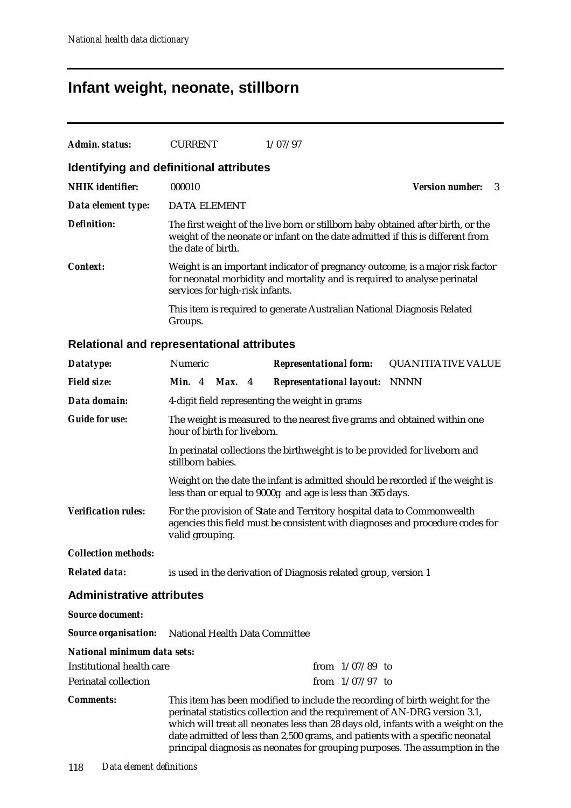## **Infant weight, neonate, stillborn**

| Admin. status:          | <b>CURRENT</b>                          | 1/07/97                                                                                                                                                            |                        |
|-------------------------|-----------------------------------------|--------------------------------------------------------------------------------------------------------------------------------------------------------------------|------------------------|
|                         | Identifying and definitional attributes |                                                                                                                                                                    |                        |
| <b>NHIK</b> identifier: | 000010                                  |                                                                                                                                                                    | Version number:<br>- 3 |
| Data element type:      | <b>DATA ELEMENT</b>                     |                                                                                                                                                                    |                        |
| Definition:             | the date of birth.                      | The first weight of the live born or stillborn baby obtained after birth, or the<br>weight of the neonate or infant on the date admitted if this is different from |                        |
| Context:                | services for high-risk infants.         | Weight is an important indicator of pregnancy outcome, is a major risk factor<br>for neonatal morbidity and mortality and is required to analyse perinatal         |                        |
|                         | Groups.                                 | This item is required to generate Australian National Diagnosis Related                                                                                            |                        |

### **Relational and representational attributes**

| Datatype:                                                  | Numeric                                                                                                                                                                    |                                                                                                         |               |  | <b>Representational form:</b>                                   | <b>QUANTITATIVE VALUE</b>                                                                                                                                                                                                                                                                                                                                                                                        |
|------------------------------------------------------------|----------------------------------------------------------------------------------------------------------------------------------------------------------------------------|---------------------------------------------------------------------------------------------------------|---------------|--|-----------------------------------------------------------------|------------------------------------------------------------------------------------------------------------------------------------------------------------------------------------------------------------------------------------------------------------------------------------------------------------------------------------------------------------------------------------------------------------------|
| <b>Field size:</b>                                         | <b>Min.</b> 4                                                                                                                                                              |                                                                                                         | <b>Max.</b> 4 |  | <b>Representational layout: NNNN</b>                            |                                                                                                                                                                                                                                                                                                                                                                                                                  |
| Data domain:                                               |                                                                                                                                                                            |                                                                                                         |               |  | 4-digit field representing the weight in grams                  |                                                                                                                                                                                                                                                                                                                                                                                                                  |
| <b>Guide for use:</b>                                      |                                                                                                                                                                            | The weight is measured to the nearest five grams and obtained within one<br>hour of birth for liveborn. |               |  |                                                                 |                                                                                                                                                                                                                                                                                                                                                                                                                  |
|                                                            | stillborn babies.                                                                                                                                                          |                                                                                                         |               |  |                                                                 | In perinatal collections the birthweight is to be provided for liveborn and                                                                                                                                                                                                                                                                                                                                      |
|                                                            |                                                                                                                                                                            |                                                                                                         |               |  | less than or equal to 9000g and age is less than 365 days.      | Weight on the date the infant is admitted should be recorded if the weight is                                                                                                                                                                                                                                                                                                                                    |
| <b>Verification rules:</b>                                 | For the provision of State and Territory hospital data to Commonwealth<br>agencies this field must be consistent with diagnoses and procedure codes for<br>valid grouping. |                                                                                                         |               |  |                                                                 |                                                                                                                                                                                                                                                                                                                                                                                                                  |
| <b>Collection methods:</b>                                 |                                                                                                                                                                            |                                                                                                         |               |  |                                                                 |                                                                                                                                                                                                                                                                                                                                                                                                                  |
| <b>Related data:</b>                                       |                                                                                                                                                                            |                                                                                                         |               |  | is used in the derivation of Diagnosis related group, version 1 |                                                                                                                                                                                                                                                                                                                                                                                                                  |
| <b>Administrative attributes</b>                           |                                                                                                                                                                            |                                                                                                         |               |  |                                                                 |                                                                                                                                                                                                                                                                                                                                                                                                                  |
| <b>Source document:</b>                                    |                                                                                                                                                                            |                                                                                                         |               |  |                                                                 |                                                                                                                                                                                                                                                                                                                                                                                                                  |
| <b>Source organisation:</b> National Health Data Committee |                                                                                                                                                                            |                                                                                                         |               |  |                                                                 |                                                                                                                                                                                                                                                                                                                                                                                                                  |
| National minimum data sets:                                |                                                                                                                                                                            |                                                                                                         |               |  |                                                                 |                                                                                                                                                                                                                                                                                                                                                                                                                  |
| <b>Institutional health care</b>                           |                                                                                                                                                                            |                                                                                                         |               |  | from $1/07/89$ to                                               |                                                                                                                                                                                                                                                                                                                                                                                                                  |
| <b>Perinatal collection</b>                                |                                                                                                                                                                            |                                                                                                         |               |  | from $1/07/97$ to                                               |                                                                                                                                                                                                                                                                                                                                                                                                                  |
| <b>Comments:</b>                                           |                                                                                                                                                                            |                                                                                                         |               |  |                                                                 | This item has been modified to include the recording of birth weight for the<br>perinatal statistics collection and the requirement of AN-DRG version 3.1,<br>which will treat all neonates less than 28 days old, infants with a weight on the<br>date admitted of less than 2,500 grams, and patients with a specific neonatal<br>principal diagnosis as neonates for grouping purposes. The assumption in the |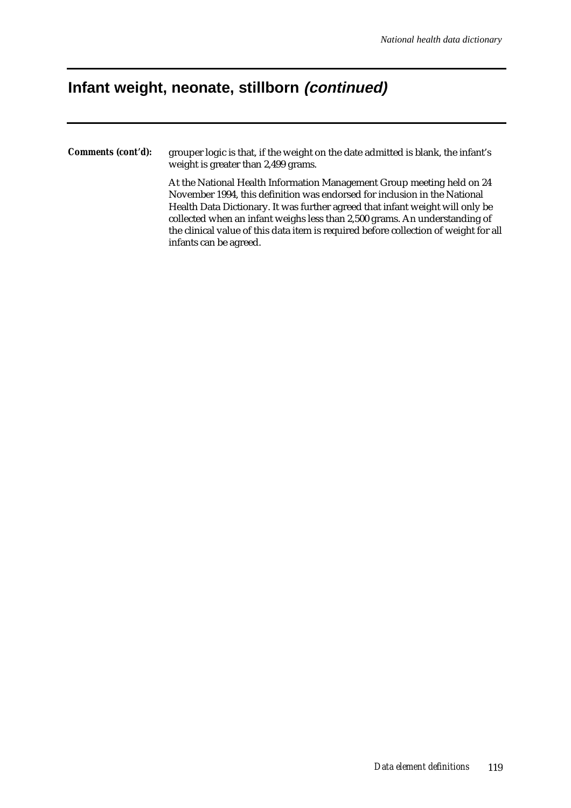### **Infant weight, neonate, stillborn (continued)**

*Comments (cont'd):* grouper logic is that, if the weight on the date admitted is blank, the infant's weight is greater than 2,499 grams.

> At the National Health Information Management Group meeting held on 24 November 1994, this definition was endorsed for inclusion in the National Health Data Dictionary. It was further agreed that infant weight will only be collected when an infant weighs less than 2,500 grams. An understanding of the clinical value of this data item is required before collection of weight for all infants can be agreed.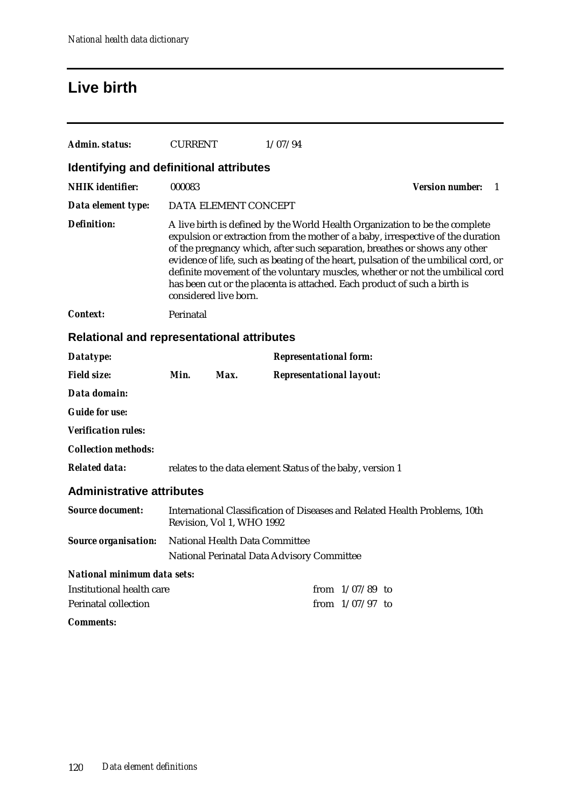## **Live birth**

| Admin. status:                                    | <b>CURRENT</b> |                                | 1/07/94                                                   |                                                                                                                                                         |                                                                                                                                                                                                                                                                                                                                        |    |
|---------------------------------------------------|----------------|--------------------------------|-----------------------------------------------------------|---------------------------------------------------------------------------------------------------------------------------------------------------------|----------------------------------------------------------------------------------------------------------------------------------------------------------------------------------------------------------------------------------------------------------------------------------------------------------------------------------------|----|
| Identifying and definitional attributes           |                |                                |                                                           |                                                                                                                                                         |                                                                                                                                                                                                                                                                                                                                        |    |
| <b>NHIK</b> identifier:                           | 000083         |                                |                                                           |                                                                                                                                                         | <b>Version number:</b>                                                                                                                                                                                                                                                                                                                 | -1 |
| Data element type:                                |                | DATA ELEMENT CONCEPT           |                                                           |                                                                                                                                                         |                                                                                                                                                                                                                                                                                                                                        |    |
| <b>Definition:</b>                                |                | considered live born.          |                                                           | of the pregnancy which, after such separation, breathes or shows any other<br>has been cut or the placenta is attached. Each product of such a birth is | A live birth is defined by the World Health Organization to be the complete<br>expulsion or extraction from the mother of a baby, irrespective of the duration<br>evidence of life, such as beating of the heart, pulsation of the umbilical cord, or<br>definite movement of the voluntary muscles, whether or not the umbilical cord |    |
| <b>Context:</b>                                   | Perinatal      |                                |                                                           |                                                                                                                                                         |                                                                                                                                                                                                                                                                                                                                        |    |
| <b>Relational and representational attributes</b> |                |                                |                                                           |                                                                                                                                                         |                                                                                                                                                                                                                                                                                                                                        |    |
| Datatype:                                         |                |                                | <b>Representational form:</b>                             |                                                                                                                                                         |                                                                                                                                                                                                                                                                                                                                        |    |
| <b>Field size:</b>                                | Min.           | Max.                           | <b>Representational layout:</b>                           |                                                                                                                                                         |                                                                                                                                                                                                                                                                                                                                        |    |
| Data domain:                                      |                |                                |                                                           |                                                                                                                                                         |                                                                                                                                                                                                                                                                                                                                        |    |
| <b>Guide for use:</b>                             |                |                                |                                                           |                                                                                                                                                         |                                                                                                                                                                                                                                                                                                                                        |    |
| <b>Verification rules:</b>                        |                |                                |                                                           |                                                                                                                                                         |                                                                                                                                                                                                                                                                                                                                        |    |
| <b>Collection methods:</b>                        |                |                                |                                                           |                                                                                                                                                         |                                                                                                                                                                                                                                                                                                                                        |    |
| <b>Related data:</b>                              |                |                                | relates to the data element Status of the baby, version 1 |                                                                                                                                                         |                                                                                                                                                                                                                                                                                                                                        |    |
| <b>Administrative attributes</b>                  |                |                                |                                                           |                                                                                                                                                         |                                                                                                                                                                                                                                                                                                                                        |    |
| <b>Source document:</b>                           |                | Revision, Vol 1, WHO 1992      |                                                           | International Classification of Diseases and Related Health Problems, 10th                                                                              |                                                                                                                                                                                                                                                                                                                                        |    |
| <b>Source organisation:</b>                       |                | National Health Data Committee | National Perinatal Data Advisory Committee                |                                                                                                                                                         |                                                                                                                                                                                                                                                                                                                                        |    |
| <b>National minimum data sets:</b>                |                |                                |                                                           |                                                                                                                                                         |                                                                                                                                                                                                                                                                                                                                        |    |
| Institutional health care                         |                |                                |                                                           | from $1/07/89$ to                                                                                                                                       |                                                                                                                                                                                                                                                                                                                                        |    |
| Perinatal collection                              |                |                                |                                                           | from $1/07/97$ to                                                                                                                                       |                                                                                                                                                                                                                                                                                                                                        |    |
| <b>Comments:</b>                                  |                |                                |                                                           |                                                                                                                                                         |                                                                                                                                                                                                                                                                                                                                        |    |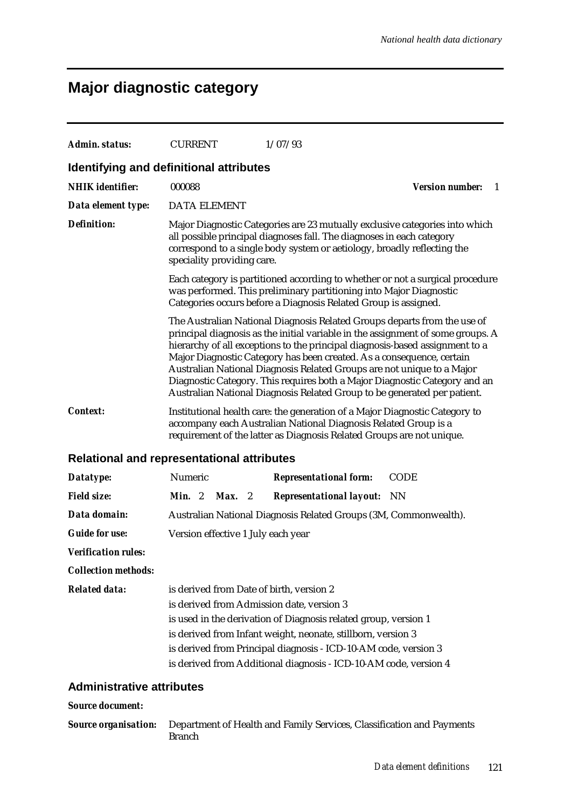## **Major diagnostic category**

| Admin. status:                                    | <b>CURRENT</b>                                                                                                                                                                                                                                                                                                                                                  | 1/07/93                                                                                                                                                                                                                                                                                                                                                                                                                                                                                                                                                  |                              |  |  |  |
|---------------------------------------------------|-----------------------------------------------------------------------------------------------------------------------------------------------------------------------------------------------------------------------------------------------------------------------------------------------------------------------------------------------------------------|----------------------------------------------------------------------------------------------------------------------------------------------------------------------------------------------------------------------------------------------------------------------------------------------------------------------------------------------------------------------------------------------------------------------------------------------------------------------------------------------------------------------------------------------------------|------------------------------|--|--|--|
| Identifying and definitional attributes           |                                                                                                                                                                                                                                                                                                                                                                 |                                                                                                                                                                                                                                                                                                                                                                                                                                                                                                                                                          |                              |  |  |  |
| <b>NHIK</b> identifier:                           | 000088                                                                                                                                                                                                                                                                                                                                                          |                                                                                                                                                                                                                                                                                                                                                                                                                                                                                                                                                          | <b>Version number:</b><br>-1 |  |  |  |
| Data element type:                                | <b>DATA ELEMENT</b>                                                                                                                                                                                                                                                                                                                                             |                                                                                                                                                                                                                                                                                                                                                                                                                                                                                                                                                          |                              |  |  |  |
| <b>Definition:</b>                                | Major Diagnostic Categories are 23 mutually exclusive categories into which<br>all possible principal diagnoses fall. The diagnoses in each category<br>correspond to a single body system or aetiology, broadly reflecting the<br>speciality providing care.                                                                                                   |                                                                                                                                                                                                                                                                                                                                                                                                                                                                                                                                                          |                              |  |  |  |
|                                                   |                                                                                                                                                                                                                                                                                                                                                                 | Each category is partitioned according to whether or not a surgical procedure<br>was performed. This preliminary partitioning into Major Diagnostic<br>Categories occurs before a Diagnosis Related Group is assigned.                                                                                                                                                                                                                                                                                                                                   |                              |  |  |  |
|                                                   |                                                                                                                                                                                                                                                                                                                                                                 | The Australian National Diagnosis Related Groups departs from the use of<br>principal diagnosis as the initial variable in the assignment of some groups. A<br>hierarchy of all exceptions to the principal diagnosis-based assignment to a<br>Major Diagnostic Category has been created. As a consequence, certain<br>Australian National Diagnosis Related Groups are not unique to a Major<br>Diagnostic Category. This requires both a Major Diagnostic Category and an<br>Australian National Diagnosis Related Group to be generated per patient. |                              |  |  |  |
| <i>Context:</i>                                   | Institutional health care: the generation of a Major Diagnostic Category to<br>accompany each Australian National Diagnosis Related Group is a<br>requirement of the latter as Diagnosis Related Groups are not unique.                                                                                                                                         |                                                                                                                                                                                                                                                                                                                                                                                                                                                                                                                                                          |                              |  |  |  |
| <b>Relational and representational attributes</b> |                                                                                                                                                                                                                                                                                                                                                                 |                                                                                                                                                                                                                                                                                                                                                                                                                                                                                                                                                          |                              |  |  |  |
| Datatype:                                         | Numeric                                                                                                                                                                                                                                                                                                                                                         | <b>Representational form:</b>                                                                                                                                                                                                                                                                                                                                                                                                                                                                                                                            | <b>CODE</b>                  |  |  |  |
| <b>Field size:</b>                                | <b>Min.</b> $2$<br>Max.<br>- 2                                                                                                                                                                                                                                                                                                                                  | <b>Representational layout:</b> NN                                                                                                                                                                                                                                                                                                                                                                                                                                                                                                                       |                              |  |  |  |
| Data domain:                                      |                                                                                                                                                                                                                                                                                                                                                                 | Australian National Diagnosis Related Groups (3M, Commonwealth).                                                                                                                                                                                                                                                                                                                                                                                                                                                                                         |                              |  |  |  |
| <b>Guide for use:</b>                             | Version effective 1 July each year                                                                                                                                                                                                                                                                                                                              |                                                                                                                                                                                                                                                                                                                                                                                                                                                                                                                                                          |                              |  |  |  |
| <b>Verification rules:</b>                        |                                                                                                                                                                                                                                                                                                                                                                 |                                                                                                                                                                                                                                                                                                                                                                                                                                                                                                                                                          |                              |  |  |  |
| <b>Collection methods:</b>                        |                                                                                                                                                                                                                                                                                                                                                                 |                                                                                                                                                                                                                                                                                                                                                                                                                                                                                                                                                          |                              |  |  |  |
| <b>Related data:</b>                              | is derived from Date of birth, version 2<br>is derived from Admission date, version 3<br>is used in the derivation of Diagnosis related group, version 1<br>is derived from Infant weight, neonate, stillborn, version 3<br>is derived from Principal diagnosis - ICD-10-AM code, version 3<br>is derived from Additional diagnosis - ICD-10-AM code, version 4 |                                                                                                                                                                                                                                                                                                                                                                                                                                                                                                                                                          |                              |  |  |  |
| <b>Administrative attributes</b>                  |                                                                                                                                                                                                                                                                                                                                                                 |                                                                                                                                                                                                                                                                                                                                                                                                                                                                                                                                                          |                              |  |  |  |
| <b>Source document:</b>                           |                                                                                                                                                                                                                                                                                                                                                                 |                                                                                                                                                                                                                                                                                                                                                                                                                                                                                                                                                          |                              |  |  |  |

*Source organisation:* Department of Health and Family Services, Classification and Payments Branch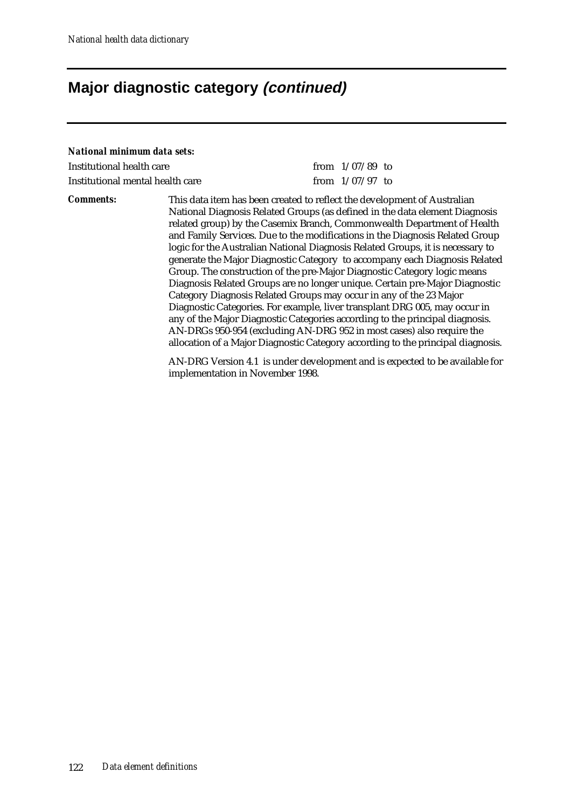## **Major diagnostic category (continued)**

#### *National minimum data sets:*

| Institutional health care        | from $1/07/89$ to |  |
|----------------------------------|-------------------|--|
| Institutional mental health care | from $1/07/97$ to |  |

*Comments:* This data item has been created to reflect the development of Australian National Diagnosis Related Groups (as defined in the data element Diagnosis related group) by the Casemix Branch, Commonwealth Department of Health and Family Services. Due to the modifications in the Diagnosis Related Group logic for the Australian National Diagnosis Related Groups, it is necessary to generate the Major Diagnostic Category to accompany each Diagnosis Related Group. The construction of the pre-Major Diagnostic Category logic means Diagnosis Related Groups are no longer unique. Certain pre-Major Diagnostic Category Diagnosis Related Groups may occur in any of the 23 Major Diagnostic Categories. For example, liver transplant DRG 005, may occur in any of the Major Diagnostic Categories according to the principal diagnosis. AN-DRGs 950-954 (excluding AN-DRG 952 in most cases) also require the allocation of a Major Diagnostic Category according to the principal diagnosis.

> AN-DRG Version 4.1 is under development and is expected to be available for implementation in November 1998.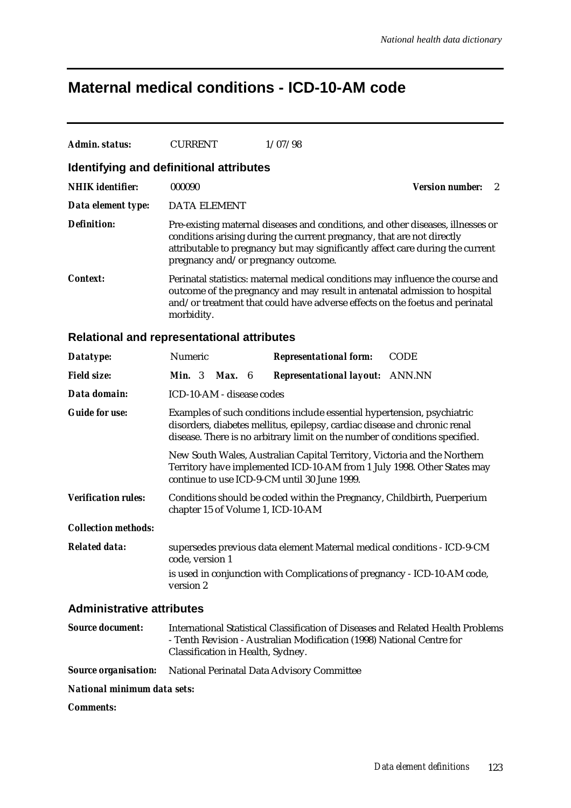### **Maternal medical conditions - ICD-10-AM code**

| Admin. status:                                    | <b>CURRENT</b>                                                                                                                                                                                                                                             | 1/07/98                                                                                                                                                                                                                                                                            |                             |  |  |
|---------------------------------------------------|------------------------------------------------------------------------------------------------------------------------------------------------------------------------------------------------------------------------------------------------------------|------------------------------------------------------------------------------------------------------------------------------------------------------------------------------------------------------------------------------------------------------------------------------------|-----------------------------|--|--|
| <b>Identifying and definitional attributes</b>    |                                                                                                                                                                                                                                                            |                                                                                                                                                                                                                                                                                    |                             |  |  |
| <b>NHIK</b> identifier:                           | 000090                                                                                                                                                                                                                                                     |                                                                                                                                                                                                                                                                                    | <b>Version number:</b><br>2 |  |  |
| Data element type:                                | <b>DATA ELEMENT</b>                                                                                                                                                                                                                                        |                                                                                                                                                                                                                                                                                    |                             |  |  |
|                                                   |                                                                                                                                                                                                                                                            |                                                                                                                                                                                                                                                                                    |                             |  |  |
| <b>Definition:</b>                                |                                                                                                                                                                                                                                                            | Pre-existing maternal diseases and conditions, and other diseases, illnesses or<br>conditions arising during the current pregnancy, that are not directly<br>attributable to pregnancy but may significantly affect care during the current<br>pregnancy and/or pregnancy outcome. |                             |  |  |
| <i>Context:</i>                                   | Perinatal statistics: maternal medical conditions may influence the course and<br>outcome of the pregnancy and may result in antenatal admission to hospital<br>and/or treatment that could have adverse effects on the foetus and perinatal<br>morbidity. |                                                                                                                                                                                                                                                                                    |                             |  |  |
| <b>Relational and representational attributes</b> |                                                                                                                                                                                                                                                            |                                                                                                                                                                                                                                                                                    |                             |  |  |
| Datatype:                                         | Numeric                                                                                                                                                                                                                                                    | <b>Representational form:</b>                                                                                                                                                                                                                                                      | <b>CODE</b>                 |  |  |
| <b>Field size:</b>                                | Min. 3 Max. 6                                                                                                                                                                                                                                              | <b>Representational layout: ANN.NN</b>                                                                                                                                                                                                                                             |                             |  |  |
| Data domain:                                      | ICD-10-AM - disease codes                                                                                                                                                                                                                                  |                                                                                                                                                                                                                                                                                    |                             |  |  |
| <b>Guide for use:</b>                             |                                                                                                                                                                                                                                                            | Examples of such conditions include essential hypertension, psychiatric<br>disorders, diabetes mellitus, epilepsy, cardiac disease and chronic renal<br>disease. There is no arbitrary limit on the number of conditions specified.                                                |                             |  |  |
|                                                   |                                                                                                                                                                                                                                                            | New South Wales, Australian Capital Territory, Victoria and the Northern<br>Territory have implemented ICD-10-AM from 1 July 1998. Other States may<br>continue to use ICD-9-CM until 30 June 1999.                                                                                |                             |  |  |
| <b>Verification rules:</b>                        | chapter 15 of Volume 1, ICD-10-AM                                                                                                                                                                                                                          | Conditions should be coded within the Pregnancy, Childbirth, Puerperium                                                                                                                                                                                                            |                             |  |  |
| <b>Collection methods:</b>                        |                                                                                                                                                                                                                                                            |                                                                                                                                                                                                                                                                                    |                             |  |  |
| <b>Related data:</b>                              | code, version 1                                                                                                                                                                                                                                            | supersedes previous data element Maternal medical conditions - ICD-9-CM                                                                                                                                                                                                            |                             |  |  |
|                                                   | version 2                                                                                                                                                                                                                                                  | is used in conjunction with Complications of pregnancy - ICD-10-AM code,                                                                                                                                                                                                           |                             |  |  |
| <b>Administrative attributes</b>                  |                                                                                                                                                                                                                                                            |                                                                                                                                                                                                                                                                                    |                             |  |  |

*Source document:* International Statistical Classification of Diseases and Related Health Problems - Tenth Revision - Australian Modification (1998) National Centre for Classification in Health, Sydney.

### *Source organisation:* National Perinatal Data Advisory Committee

### *National minimum data sets:*

*Comments:*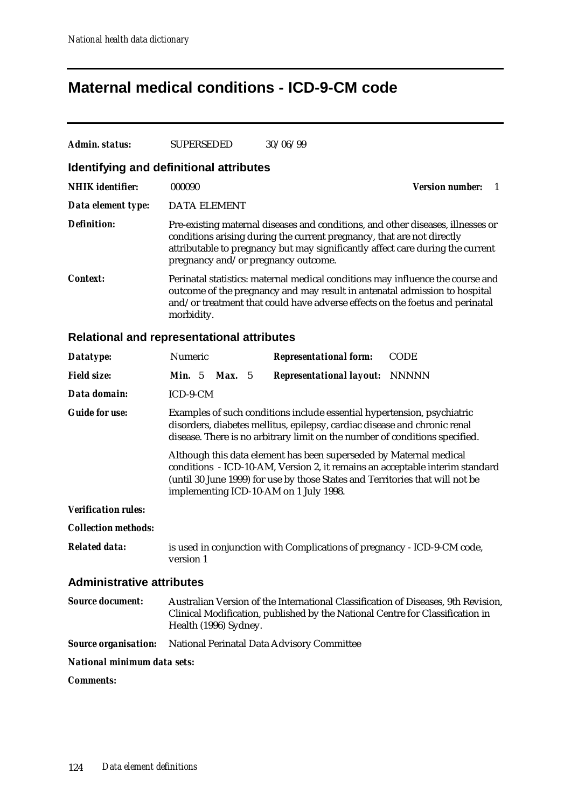## **Maternal medical conditions - ICD-9-CM code**

| <b>Admin. status:</b>                             | <b>SUPERSEDED</b>                                                                                                                                                                                                                                                             | 30/06/99                                                                                                                                                                                                                                     |                               |  |
|---------------------------------------------------|-------------------------------------------------------------------------------------------------------------------------------------------------------------------------------------------------------------------------------------------------------------------------------|----------------------------------------------------------------------------------------------------------------------------------------------------------------------------------------------------------------------------------------------|-------------------------------|--|
| Identifying and definitional attributes           |                                                                                                                                                                                                                                                                               |                                                                                                                                                                                                                                              |                               |  |
| <b>NHIK</b> identifier:                           | 000090                                                                                                                                                                                                                                                                        |                                                                                                                                                                                                                                              | <b>Version number:</b><br>- 1 |  |
| Data element type:                                | <b>DATA ELEMENT</b>                                                                                                                                                                                                                                                           |                                                                                                                                                                                                                                              |                               |  |
| <b>Definition:</b>                                | pregnancy and/or pregnancy outcome.                                                                                                                                                                                                                                           | Pre-existing maternal diseases and conditions, and other diseases, illnesses or<br>conditions arising during the current pregnancy, that are not directly<br>attributable to pregnancy but may significantly affect care during the current  |                               |  |
| Context:                                          | morbidity.                                                                                                                                                                                                                                                                    | Perinatal statistics: maternal medical conditions may influence the course and<br>outcome of the pregnancy and may result in antenatal admission to hospital<br>and/or treatment that could have adverse effects on the foetus and perinatal |                               |  |
| <b>Relational and representational attributes</b> |                                                                                                                                                                                                                                                                               |                                                                                                                                                                                                                                              |                               |  |
| Datatype:                                         | Numeric                                                                                                                                                                                                                                                                       | <b>CODE</b><br><b>Representational form:</b>                                                                                                                                                                                                 |                               |  |
| <b>Field size:</b>                                | <b>Min.</b> 5 <b>Max.</b> 5                                                                                                                                                                                                                                                   | <b>Representational layout: NNNNN</b>                                                                                                                                                                                                        |                               |  |
| Data domain:                                      | ICD-9-CM                                                                                                                                                                                                                                                                      |                                                                                                                                                                                                                                              |                               |  |
| <b>Guide for use:</b>                             |                                                                                                                                                                                                                                                                               | Examples of such conditions include essential hypertension, psychiatric<br>disorders, diabetes mellitus, epilepsy, cardiac disease and chronic renal<br>disease. There is no arbitrary limit on the number of conditions specified.          |                               |  |
|                                                   | Although this data element has been superseded by Maternal medical<br>conditions - ICD-10-AM, Version 2, it remains an acceptable interim standard<br>(until 30 June 1999) for use by those States and Territories that will not be<br>implementing ICD-10-AM on 1 July 1998. |                                                                                                                                                                                                                                              |                               |  |
| <b>Verification rules:</b>                        |                                                                                                                                                                                                                                                                               |                                                                                                                                                                                                                                              |                               |  |
| <b>Collection methods:</b>                        |                                                                                                                                                                                                                                                                               |                                                                                                                                                                                                                                              |                               |  |
| <b>Related data:</b>                              | version 1                                                                                                                                                                                                                                                                     | is used in conjunction with Complications of pregnancy - ICD-9-CM code,                                                                                                                                                                      |                               |  |
| <b>Administrative attributes</b>                  |                                                                                                                                                                                                                                                                               |                                                                                                                                                                                                                                              |                               |  |
| <b>Source document:</b>                           | Health (1996) Sydney.                                                                                                                                                                                                                                                         | Australian Version of the International Classification of Diseases, 9th Revision,<br>Clinical Modification, published by the National Centre for Classification in                                                                           |                               |  |
| <b>Source organisation:</b>                       |                                                                                                                                                                                                                                                                               | National Perinatal Data Advisory Committee                                                                                                                                                                                                   |                               |  |
| National minimum data sets:                       |                                                                                                                                                                                                                                                                               |                                                                                                                                                                                                                                              |                               |  |
| <b>Comments:</b>                                  |                                                                                                                                                                                                                                                                               |                                                                                                                                                                                                                                              |                               |  |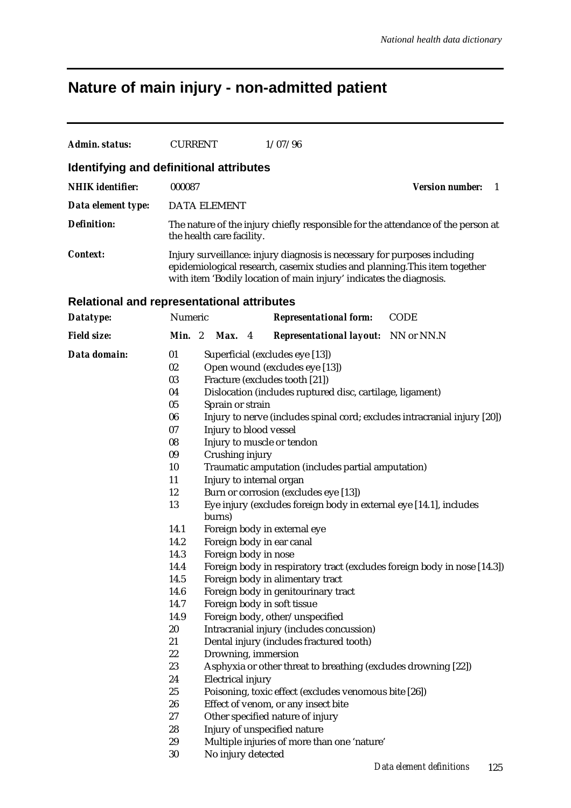# **Nature of main injury - non-admitted patient**

| <b>Admin. status:</b>                             | <b>CURRENT</b>                                                                                                 |                                                                                                                                                                | 1/07/96                                                                                                                                                                                                                                                                                                                                                                                                                                                                                  |                                                                                                             |
|---------------------------------------------------|----------------------------------------------------------------------------------------------------------------|----------------------------------------------------------------------------------------------------------------------------------------------------------------|------------------------------------------------------------------------------------------------------------------------------------------------------------------------------------------------------------------------------------------------------------------------------------------------------------------------------------------------------------------------------------------------------------------------------------------------------------------------------------------|-------------------------------------------------------------------------------------------------------------|
| Identifying and definitional attributes           |                                                                                                                |                                                                                                                                                                |                                                                                                                                                                                                                                                                                                                                                                                                                                                                                          |                                                                                                             |
| <b>NHIK</b> identifier:                           | 000087                                                                                                         |                                                                                                                                                                |                                                                                                                                                                                                                                                                                                                                                                                                                                                                                          | <b>Version number:</b><br>1                                                                                 |
| Data element type:                                |                                                                                                                | <b>DATA ELEMENT</b>                                                                                                                                            |                                                                                                                                                                                                                                                                                                                                                                                                                                                                                          |                                                                                                             |
| <b>Definition:</b>                                |                                                                                                                | the health care facility.                                                                                                                                      |                                                                                                                                                                                                                                                                                                                                                                                                                                                                                          | The nature of the injury chiefly responsible for the attendance of the person at                            |
| <b>Context:</b>                                   |                                                                                                                |                                                                                                                                                                | Injury surveillance: injury diagnosis is necessary for purposes including<br>epidemiological research, casemix studies and planning. This item together<br>with item 'Bodily location of main injury' indicates the diagnosis.                                                                                                                                                                                                                                                           |                                                                                                             |
| <b>Relational and representational attributes</b> |                                                                                                                |                                                                                                                                                                |                                                                                                                                                                                                                                                                                                                                                                                                                                                                                          |                                                                                                             |
| Datatype:                                         | Numeric                                                                                                        |                                                                                                                                                                | <b>Representational form:</b>                                                                                                                                                                                                                                                                                                                                                                                                                                                            | <b>CODE</b>                                                                                                 |
| <b>Field size:</b>                                | Min. 2                                                                                                         | Max. 4                                                                                                                                                         | <b>Representational layout:</b> NN or NN.N                                                                                                                                                                                                                                                                                                                                                                                                                                               |                                                                                                             |
|                                                   |                                                                                                                |                                                                                                                                                                |                                                                                                                                                                                                                                                                                                                                                                                                                                                                                          |                                                                                                             |
| Data domain:                                      | 01<br>02<br>03<br>04<br>05<br>06<br>07<br>08<br>09<br>10<br>11<br>12<br>13<br>14.1<br>14.2                     | Sprain or strain<br>Injury to blood vessel<br>Injury to muscle or tendon<br>Crushing injury<br>Injury to internal organ<br>burns)<br>Foreign body in ear canal | Superficial (excludes eye [13])<br>Open wound (excludes eye [13])<br>Fracture (excludes tooth [21])<br>Dislocation (includes ruptured disc, cartilage, ligament)<br>Traumatic amputation (includes partial amputation)<br>Burn or corrosion (excludes eye [13])<br>Eye injury (excludes foreign body in external eye [14.1], includes<br>Foreign body in external eye                                                                                                                    | Injury to nerve (includes spinal cord; excludes intracranial injury [20])                                   |
|                                                   | 14.3<br>14.4<br>14.5<br>14.6<br>14.7<br>14.9<br>20<br>21<br>22<br>23<br>24<br>25<br>26<br>27<br>28<br>29<br>30 | Foreign body in nose<br>Foreign body in soft tissue<br>Drowning, immersion<br><b>Electrical injury</b><br>No injury detected                                   | Foreign body in alimentary tract<br>Foreign body in genitourinary tract<br>Foreign body, other/unspecified<br>Intracranial injury (includes concussion)<br>Dental injury (includes fractured tooth)<br>Asphyxia or other threat to breathing (excludes drowning [22])<br>Poisoning, toxic effect (excludes venomous bite [26])<br>Effect of venom, or any insect bite<br>Other specified nature of injury<br>Injury of unspecified nature<br>Multiple injuries of more than one 'nature' | Foreign body in respiratory tract (excludes foreign body in nose [14.3])<br>Data element definitions<br>125 |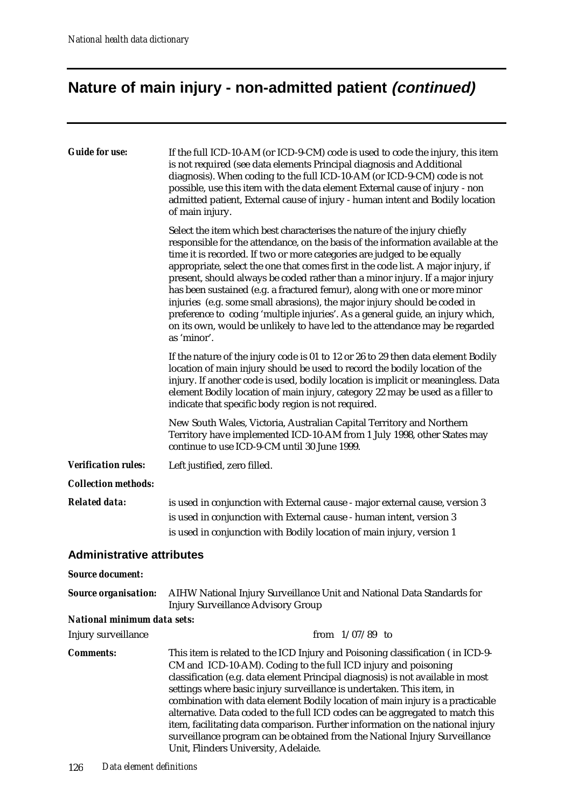# **Nature of main injury - non-admitted patient (continued)**

| <b>Guide for use:</b>            | If the full ICD-10-AM (or ICD-9-CM) code is used to code the injury, this item<br>is not required (see data elements Principal diagnosis and Additional<br>diagnosis). When coding to the full ICD-10-AM (or ICD-9-CM) code is not<br>possible, use this item with the data element External cause of injury - non<br>admitted patient, External cause of injury - human intent and Bodily location<br>of main injury.                                                                                                                                                                                                                                                                                                                                   |
|----------------------------------|----------------------------------------------------------------------------------------------------------------------------------------------------------------------------------------------------------------------------------------------------------------------------------------------------------------------------------------------------------------------------------------------------------------------------------------------------------------------------------------------------------------------------------------------------------------------------------------------------------------------------------------------------------------------------------------------------------------------------------------------------------|
|                                  | Select the item which best characterises the nature of the injury chiefly<br>responsible for the attendance, on the basis of the information available at the<br>time it is recorded. If two or more categories are judged to be equally<br>appropriate, select the one that comes first in the code list. A major injury, if<br>present, should always be coded rather than a minor injury. If a major injury<br>has been sustained (e.g. a fractured femur), along with one or more minor<br>injuries (e.g. some small abrasions), the major injury should be coded in<br>preference to coding 'multiple injuries'. As a general guide, an injury which,<br>on its own, would be unlikely to have led to the attendance may be regarded<br>as 'minor'. |
|                                  | If the nature of the injury code is 01 to 12 or 26 to 29 then data element Bodily<br>location of main injury should be used to record the bodily location of the<br>injury. If another code is used, bodily location is implicit or meaningless. Data<br>element Bodily location of main injury, category 22 may be used as a filler to<br>indicate that specific body region is not required.                                                                                                                                                                                                                                                                                                                                                           |
|                                  | New South Wales, Victoria, Australian Capital Territory and Northern<br>Territory have implemented ICD-10-AM from 1 July 1998, other States may<br>continue to use ICD-9-CM until 30 June 1999.                                                                                                                                                                                                                                                                                                                                                                                                                                                                                                                                                          |
| <b>Verification rules:</b>       | Left justified, zero filled.                                                                                                                                                                                                                                                                                                                                                                                                                                                                                                                                                                                                                                                                                                                             |
| <b>Collection methods:</b>       |                                                                                                                                                                                                                                                                                                                                                                                                                                                                                                                                                                                                                                                                                                                                                          |
| <b>Related data:</b>             | is used in conjunction with External cause - major external cause, version 3<br>is used in conjunction with External cause - human intent, version 3<br>is used in conjunction with Bodily location of main injury, version 1                                                                                                                                                                                                                                                                                                                                                                                                                                                                                                                            |
| <b>Administrative attributes</b> |                                                                                                                                                                                                                                                                                                                                                                                                                                                                                                                                                                                                                                                                                                                                                          |
| <b>Source document:</b>          |                                                                                                                                                                                                                                                                                                                                                                                                                                                                                                                                                                                                                                                                                                                                                          |
| <b>Source organisation:</b>      | AIHW National Injury Surveillance Unit and National Data Standards for<br><b>Injury Surveillance Advisory Group</b>                                                                                                                                                                                                                                                                                                                                                                                                                                                                                                                                                                                                                                      |
| National minimum data sets:      |                                                                                                                                                                                                                                                                                                                                                                                                                                                                                                                                                                                                                                                                                                                                                          |
| Injury surveillance              | from $1/07/89$ to                                                                                                                                                                                                                                                                                                                                                                                                                                                                                                                                                                                                                                                                                                                                        |
| <b>Comments:</b>                 | This item is related to the ICD Injury and Poisoning classification (in ICD-9-<br>CM and ICD-10-AM). Coding to the full ICD injury and poisoning<br>classification (e.g. data element Principal diagnosis) is not available in most<br>settings where basic injury surveillance is undertaken. This item, in<br>combination with data element Bodily location of main injury is a practicable<br>alternative. Data coded to the full ICD codes can be aggregated to match this<br>item, facilitating data comparison. Further information on the national injury<br>surveillance program can be obtained from the National Injury Surveillance<br>Unit, Flinders University, Adelaide.                                                                   |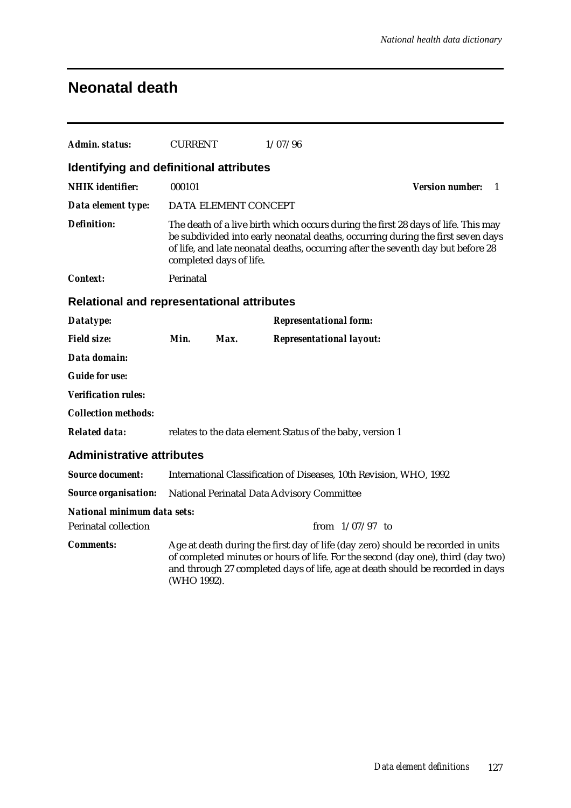## **Neonatal death**

| Admin. status:                                    | <b>CURRENT</b> |                                                                                                                                                                                                                                                                                     | 1/07/96                                                                                                                                                                                                                                                |                              |  |  |
|---------------------------------------------------|----------------|-------------------------------------------------------------------------------------------------------------------------------------------------------------------------------------------------------------------------------------------------------------------------------------|--------------------------------------------------------------------------------------------------------------------------------------------------------------------------------------------------------------------------------------------------------|------------------------------|--|--|
| Identifying and definitional attributes           |                |                                                                                                                                                                                                                                                                                     |                                                                                                                                                                                                                                                        |                              |  |  |
| <b>NHIK</b> identifier:                           | 000101         |                                                                                                                                                                                                                                                                                     |                                                                                                                                                                                                                                                        | <b>Version number:</b><br>-1 |  |  |
| Data element type:                                |                | DATA ELEMENT CONCEPT                                                                                                                                                                                                                                                                |                                                                                                                                                                                                                                                        |                              |  |  |
| <b>Definition:</b>                                |                | The death of a live birth which occurs during the first 28 days of life. This may<br>be subdivided into early neonatal deaths, occurring during the first seven days<br>of life, and late neonatal deaths, occurring after the seventh day but before 28<br>completed days of life. |                                                                                                                                                                                                                                                        |                              |  |  |
| Context:                                          | Perinatal      |                                                                                                                                                                                                                                                                                     |                                                                                                                                                                                                                                                        |                              |  |  |
| <b>Relational and representational attributes</b> |                |                                                                                                                                                                                                                                                                                     |                                                                                                                                                                                                                                                        |                              |  |  |
| Datatype:                                         |                |                                                                                                                                                                                                                                                                                     | <b>Representational form:</b>                                                                                                                                                                                                                          |                              |  |  |
| <b>Field size:</b>                                | Min.           | Max.                                                                                                                                                                                                                                                                                | <b>Representational layout:</b>                                                                                                                                                                                                                        |                              |  |  |
| Data domain:                                      |                |                                                                                                                                                                                                                                                                                     |                                                                                                                                                                                                                                                        |                              |  |  |
| <b>Guide for use:</b>                             |                |                                                                                                                                                                                                                                                                                     |                                                                                                                                                                                                                                                        |                              |  |  |
| <b>Verification rules:</b>                        |                |                                                                                                                                                                                                                                                                                     |                                                                                                                                                                                                                                                        |                              |  |  |
| <b>Collection methods:</b>                        |                |                                                                                                                                                                                                                                                                                     |                                                                                                                                                                                                                                                        |                              |  |  |
| <b>Related data:</b>                              |                |                                                                                                                                                                                                                                                                                     | relates to the data element Status of the baby, version 1                                                                                                                                                                                              |                              |  |  |
| <b>Administrative attributes</b>                  |                |                                                                                                                                                                                                                                                                                     |                                                                                                                                                                                                                                                        |                              |  |  |
| <b>Source document:</b>                           |                |                                                                                                                                                                                                                                                                                     | International Classification of Diseases, 10th Revision, WHO, 1992                                                                                                                                                                                     |                              |  |  |
| <b>Source organisation:</b>                       |                |                                                                                                                                                                                                                                                                                     | National Perinatal Data Advisory Committee                                                                                                                                                                                                             |                              |  |  |
| <b>National minimum data sets:</b>                |                |                                                                                                                                                                                                                                                                                     |                                                                                                                                                                                                                                                        |                              |  |  |
| <b>Perinatal collection</b>                       |                |                                                                                                                                                                                                                                                                                     | from $1/07/97$ to                                                                                                                                                                                                                                      |                              |  |  |
| <b>Comments:</b>                                  | (WHO 1992).    |                                                                                                                                                                                                                                                                                     | Age at death during the first day of life (day zero) should be recorded in units<br>of completed minutes or hours of life. For the second (day one), third (day two)<br>and through 27 completed days of life, age at death should be recorded in days |                              |  |  |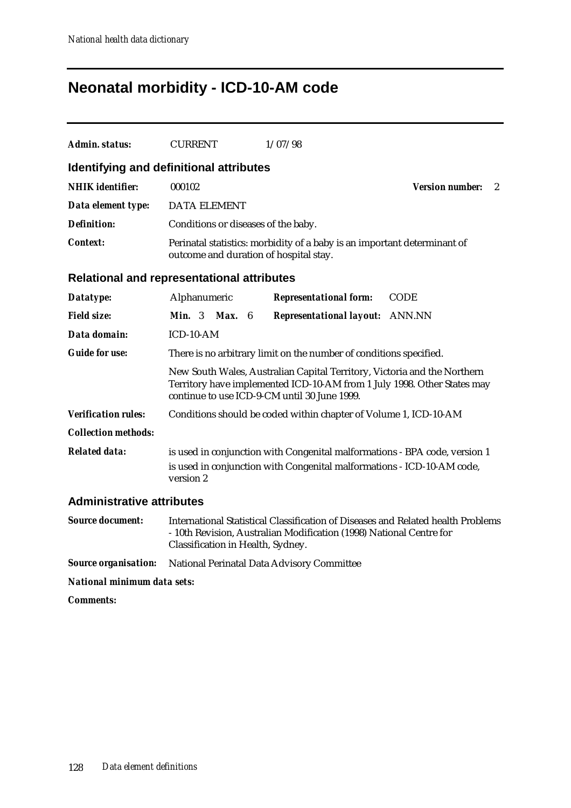## **Neonatal morbidity - ICD-10-AM code**

| Admin. status:                   | <b>CURRENT</b><br>1/07/98                                                                                                                                                                           |
|----------------------------------|-----------------------------------------------------------------------------------------------------------------------------------------------------------------------------------------------------|
|                                  | Identifying and definitional attributes                                                                                                                                                             |
| <b>NHIK</b> identifier:          | 000102<br><b>Version number:</b><br>$\overline{2}$                                                                                                                                                  |
| Data element type:               | <b>DATA ELEMENT</b>                                                                                                                                                                                 |
| <b>Definition:</b>               | Conditions or diseases of the baby.                                                                                                                                                                 |
| <b>Context:</b>                  | Perinatal statistics: morbidity of a baby is an important determinant of<br>outcome and duration of hospital stay.                                                                                  |
|                                  | <b>Relational and representational attributes</b>                                                                                                                                                   |
| Datatype:                        | Alphanumeric<br><b>Representational form:</b><br><b>CODE</b>                                                                                                                                        |
| <b>Field size:</b>               | <b>Min.</b> $3$<br>Max. 6<br><b>Representational layout:</b> ANN.NN                                                                                                                                 |
| Data domain:                     | ICD-10-AM                                                                                                                                                                                           |
| <b>Guide for use:</b>            | There is no arbitrary limit on the number of conditions specified.                                                                                                                                  |
|                                  | New South Wales, Australian Capital Territory, Victoria and the Northern<br>Territory have implemented ICD-10-AM from 1 July 1998. Other States may<br>continue to use ICD-9-CM until 30 June 1999. |
| <b>Verification rules:</b>       | Conditions should be coded within chapter of Volume 1, ICD-10-AM                                                                                                                                    |
| <b>Collection methods:</b>       |                                                                                                                                                                                                     |
| <b>Related data:</b>             | is used in conjunction with Congenital malformations - BPA code, version 1<br>is used in conjunction with Congenital malformations - ICD-10-AM code,<br>version 2                                   |
| <b>Administrative attributes</b> |                                                                                                                                                                                                     |
| <b>Source document:</b>          | International Statistical Classification of Diseases and Related health Problems<br>- 10th Revision, Australian Modification (1998) National Centre for                                             |

- 10th Revision, Australian Modification (1998) National Centre for Classification in Health, Sydney.

*Source organisation:* National Perinatal Data Advisory Committee

*National minimum data sets:*

*Comments:*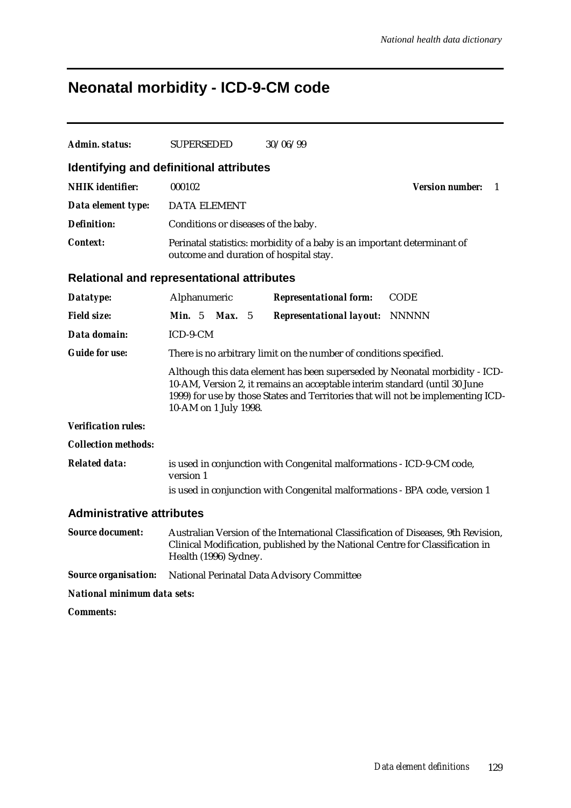## **Neonatal morbidity - ICD-9-CM code**

| Admin. status:                                    | <b>SUPERSEDED</b>                                                                                                                                                                                                                                                      | 30/06/99                                                                                                                                                           |                              |  |  |  |
|---------------------------------------------------|------------------------------------------------------------------------------------------------------------------------------------------------------------------------------------------------------------------------------------------------------------------------|--------------------------------------------------------------------------------------------------------------------------------------------------------------------|------------------------------|--|--|--|
| Identifying and definitional attributes           |                                                                                                                                                                                                                                                                        |                                                                                                                                                                    |                              |  |  |  |
| <b>NHIK</b> identifier:                           | 000102                                                                                                                                                                                                                                                                 |                                                                                                                                                                    | <b>Version number:</b><br>-1 |  |  |  |
| Data element type:                                | <b>DATA ELEMENT</b>                                                                                                                                                                                                                                                    |                                                                                                                                                                    |                              |  |  |  |
| <b>Definition:</b>                                | Conditions or diseases of the baby.                                                                                                                                                                                                                                    |                                                                                                                                                                    |                              |  |  |  |
| <b>Context:</b>                                   | outcome and duration of hospital stay.                                                                                                                                                                                                                                 | Perinatal statistics: morbidity of a baby is an important determinant of                                                                                           |                              |  |  |  |
| <b>Relational and representational attributes</b> |                                                                                                                                                                                                                                                                        |                                                                                                                                                                    |                              |  |  |  |
| Datatype:                                         | Alphanumeric                                                                                                                                                                                                                                                           | <b>Representational form:</b>                                                                                                                                      | <b>CODE</b>                  |  |  |  |
| <b>Field size:</b>                                | Max. 5<br><b>Min.</b> $5$                                                                                                                                                                                                                                              | <b>Representational layout: NNNNN</b>                                                                                                                              |                              |  |  |  |
| Data domain:                                      | ICD-9-CM                                                                                                                                                                                                                                                               |                                                                                                                                                                    |                              |  |  |  |
| <b>Guide for use:</b>                             |                                                                                                                                                                                                                                                                        | There is no arbitrary limit on the number of conditions specified.                                                                                                 |                              |  |  |  |
|                                                   | Although this data element has been superseded by Neonatal morbidity - ICD-<br>10-AM, Version 2, it remains an acceptable interim standard (until 30 June<br>1999) for use by those States and Territories that will not be implementing ICD-<br>10-AM on 1 July 1998. |                                                                                                                                                                    |                              |  |  |  |
| <b>Verification rules:</b>                        |                                                                                                                                                                                                                                                                        |                                                                                                                                                                    |                              |  |  |  |
| <b>Collection methods:</b>                        |                                                                                                                                                                                                                                                                        |                                                                                                                                                                    |                              |  |  |  |
| <b>Related data:</b>                              | version 1                                                                                                                                                                                                                                                              | is used in conjunction with Congenital malformations - ICD-9-CM code,<br>is used in conjunction with Congenital malformations - BPA code, version 1                |                              |  |  |  |
|                                                   |                                                                                                                                                                                                                                                                        |                                                                                                                                                                    |                              |  |  |  |
| <b>Administrative attributes</b>                  |                                                                                                                                                                                                                                                                        |                                                                                                                                                                    |                              |  |  |  |
| <b>Source document:</b>                           | Health (1996) Sydney.                                                                                                                                                                                                                                                  | Australian Version of the International Classification of Diseases, 9th Revision,<br>Clinical Modification, published by the National Centre for Classification in |                              |  |  |  |

*Source organisation:* National Perinatal Data Advisory Committee

*National minimum data sets:*

*Comments:*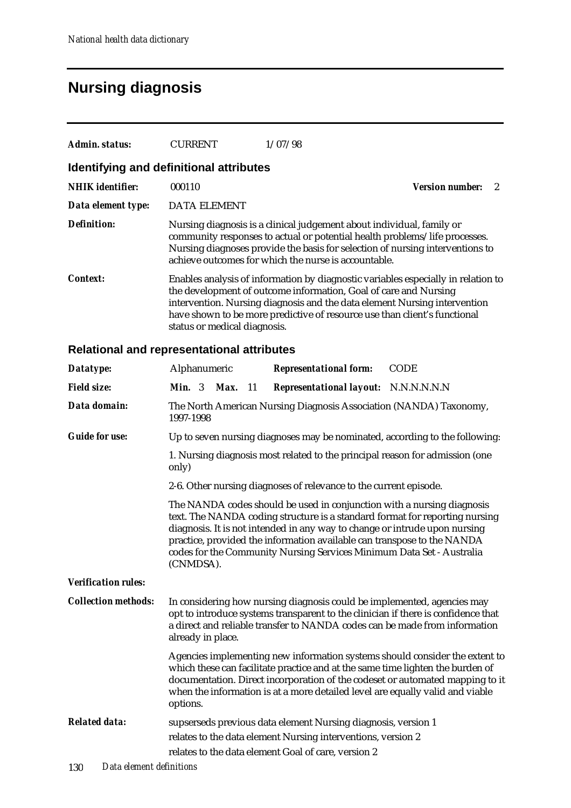## **Nursing diagnosis**

| Admin. status:          | <b>CURRENT</b>                          | 1/07/98                                                                                                                                                                                                                                                                                                         |                        |
|-------------------------|-----------------------------------------|-----------------------------------------------------------------------------------------------------------------------------------------------------------------------------------------------------------------------------------------------------------------------------------------------------------------|------------------------|
|                         | Identifying and definitional attributes |                                                                                                                                                                                                                                                                                                                 |                        |
| <b>NHIK</b> identifier: | 000110                                  |                                                                                                                                                                                                                                                                                                                 | <b>Version number:</b> |
| Data element type:      | <b>DATA ELEMENT</b>                     |                                                                                                                                                                                                                                                                                                                 |                        |
| <b>Definition:</b>      |                                         | Nursing diagnosis is a clinical judgement about individual, family or<br>community responses to actual or potential health problems/life processes.<br>Nursing diagnoses provide the basis for selection of nursing interventions to<br>achieve outcomes for which the nurse is accountable.                    |                        |
| Context:                | status or medical diagnosis.            | Enables analysis of information by diagnostic variables especially in relation to<br>the development of outcome information, Goal of care and Nursing<br>intervention. Nursing diagnosis and the data element Nursing intervention<br>have shown to be more predictive of resource use than client's functional |                        |

### **Relational and representational attributes**

| Datatype:                  | Alphanumeric                                                                                                                                                                                                                                                                                                                                                                                         |  |      |     | <b>Representational form:</b>                                                                                                                                                                                                              | <b>CODE</b>                                                                                                                                                  |
|----------------------------|------------------------------------------------------------------------------------------------------------------------------------------------------------------------------------------------------------------------------------------------------------------------------------------------------------------------------------------------------------------------------------------------------|--|------|-----|--------------------------------------------------------------------------------------------------------------------------------------------------------------------------------------------------------------------------------------------|--------------------------------------------------------------------------------------------------------------------------------------------------------------|
| <b>Field size:</b>         | <b>Min.</b> $3$                                                                                                                                                                                                                                                                                                                                                                                      |  | Max. | -11 | Representational layout: N.N.N.N.N.N.                                                                                                                                                                                                      |                                                                                                                                                              |
| Data domain:               | 1997-1998                                                                                                                                                                                                                                                                                                                                                                                            |  |      |     | The North American Nursing Diagnosis Association (NANDA) Taxonomy,                                                                                                                                                                         |                                                                                                                                                              |
| <b>Guide for use:</b>      |                                                                                                                                                                                                                                                                                                                                                                                                      |  |      |     | Up to seven nursing diagnoses may be nominated, according to the following:                                                                                                                                                                |                                                                                                                                                              |
|                            | only)                                                                                                                                                                                                                                                                                                                                                                                                |  |      |     | 1. Nursing diagnosis most related to the principal reason for admission (one                                                                                                                                                               |                                                                                                                                                              |
|                            |                                                                                                                                                                                                                                                                                                                                                                                                      |  |      |     | 2-6. Other nursing diagnoses of relevance to the current episode.                                                                                                                                                                          |                                                                                                                                                              |
|                            | The NANDA codes should be used in conjunction with a nursing diagnosis<br>text. The NANDA coding structure is a standard format for reporting nursing<br>diagnosis. It is not intended in any way to change or intrude upon nursing<br>practice, provided the information available can transpose to the NANDA<br>codes for the Community Nursing Services Minimum Data Set - Australia<br>(CNMDSA). |  |      |     |                                                                                                                                                                                                                                            |                                                                                                                                                              |
| <b>Verification rules:</b> |                                                                                                                                                                                                                                                                                                                                                                                                      |  |      |     |                                                                                                                                                                                                                                            |                                                                                                                                                              |
| <b>Collection methods:</b> | already in place.                                                                                                                                                                                                                                                                                                                                                                                    |  |      |     | In considering how nursing diagnosis could be implemented, agencies may<br>opt to introduce systems transparent to the clinician if there is confidence that<br>a direct and reliable transfer to NANDA codes can be made from information |                                                                                                                                                              |
|                            | options.                                                                                                                                                                                                                                                                                                                                                                                             |  |      |     | which these can facilitate practice and at the same time lighten the burden of<br>when the information is at a more detailed level are equally valid and viable                                                                            | Agencies implementing new information systems should consider the extent to<br>documentation. Direct incorporation of the codeset or automated mapping to it |
| <b>Related data:</b>       |                                                                                                                                                                                                                                                                                                                                                                                                      |  |      |     | supserseds previous data element Nursing diagnosis, version 1<br>relates to the data element Nursing interventions, version 2<br>relates to the data element Goal of care, version 2                                                       |                                                                                                                                                              |
|                            |                                                                                                                                                                                                                                                                                                                                                                                                      |  |      |     |                                                                                                                                                                                                                                            |                                                                                                                                                              |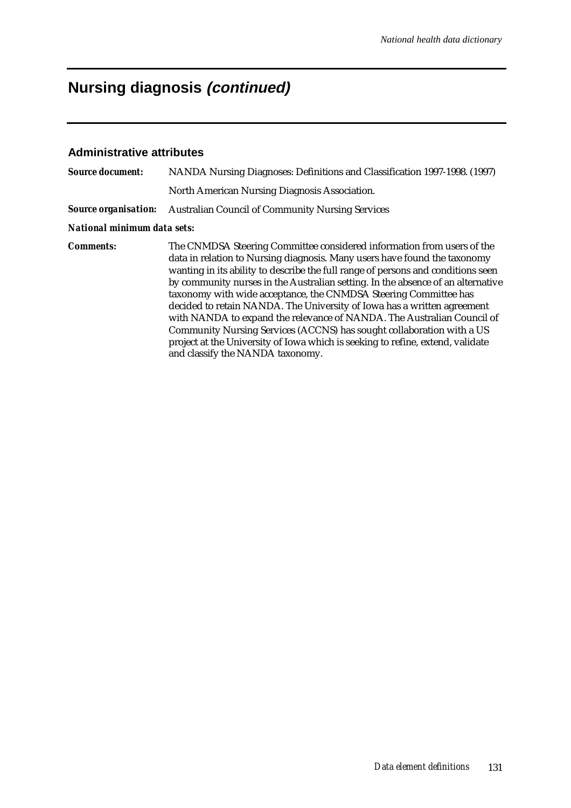# **Nursing diagnosis (continued)**

### **Administrative attributes**

| <b>Source document:</b>     | NANDA Nursing Diagnoses: Definitions and Classification 1997-1998. (1997)                                                                                                                                                                                                                                                                                                                                                                                                                                                                                                                                                                                                                                                                          |  |  |  |  |  |  |
|-----------------------------|----------------------------------------------------------------------------------------------------------------------------------------------------------------------------------------------------------------------------------------------------------------------------------------------------------------------------------------------------------------------------------------------------------------------------------------------------------------------------------------------------------------------------------------------------------------------------------------------------------------------------------------------------------------------------------------------------------------------------------------------------|--|--|--|--|--|--|
|                             | North American Nursing Diagnosis Association.                                                                                                                                                                                                                                                                                                                                                                                                                                                                                                                                                                                                                                                                                                      |  |  |  |  |  |  |
| <b>Source organisation:</b> | <b>Australian Council of Community Nursing Services</b>                                                                                                                                                                                                                                                                                                                                                                                                                                                                                                                                                                                                                                                                                            |  |  |  |  |  |  |
| National minimum data sets: |                                                                                                                                                                                                                                                                                                                                                                                                                                                                                                                                                                                                                                                                                                                                                    |  |  |  |  |  |  |
| <b>Comments:</b>            | The CNMDSA Steering Committee considered information from users of the<br>data in relation to Nursing diagnosis. Many users have found the taxonomy<br>wanting in its ability to describe the full range of persons and conditions seen<br>by community nurses in the Australian setting. In the absence of an alternative<br>taxonomy with wide acceptance, the CNMDSA Steering Committee has<br>decided to retain NANDA. The University of Iowa has a written agreement<br>with NANDA to expand the relevance of NANDA. The Australian Council of<br>Community Nursing Services (ACCNS) has sought collaboration with a US<br>project at the University of Iowa which is seeking to refine, extend, validate<br>and classify the NANDA taxonomy. |  |  |  |  |  |  |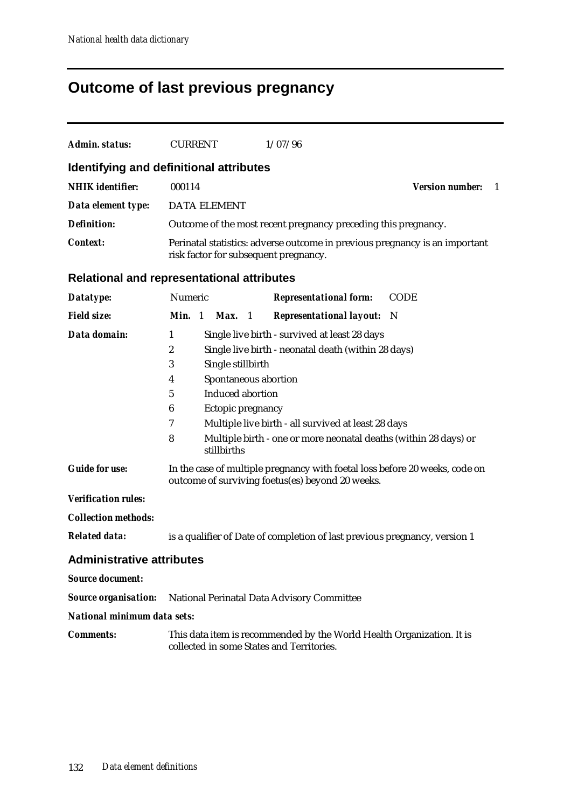# **Outcome of last previous pregnancy**

| <b>Admin. status:</b>            | <b>CURRENT</b>                                                                                                                                                                 | 1/07/96                                                                                                                                                                                                                         |                               |
|----------------------------------|--------------------------------------------------------------------------------------------------------------------------------------------------------------------------------|---------------------------------------------------------------------------------------------------------------------------------------------------------------------------------------------------------------------------------|-------------------------------|
|                                  |                                                                                                                                                                                |                                                                                                                                                                                                                                 |                               |
|                                  | Identifying and definitional attributes                                                                                                                                        |                                                                                                                                                                                                                                 |                               |
| <b>NHIK</b> identifier:          | 000114                                                                                                                                                                         |                                                                                                                                                                                                                                 | <b>Version number:</b><br>- 1 |
| Data element type:               | <b>DATA ELEMENT</b>                                                                                                                                                            |                                                                                                                                                                                                                                 |                               |
| <b>Definition:</b>               |                                                                                                                                                                                | Outcome of the most recent pregnancy preceding this pregnancy.                                                                                                                                                                  |                               |
| <b>Context:</b>                  | risk factor for subsequent pregnancy.                                                                                                                                          | Perinatal statistics: adverse outcome in previous pregnancy is an important                                                                                                                                                     |                               |
|                                  | <b>Relational and representational attributes</b>                                                                                                                              |                                                                                                                                                                                                                                 |                               |
| Datatype:                        | Numeric                                                                                                                                                                        | <b>Representational form:</b>                                                                                                                                                                                                   | <b>CODE</b>                   |
| <b>Field size:</b>               | Min. 1<br><b>Max.</b> 1                                                                                                                                                        | <b>Representational layout:</b> N                                                                                                                                                                                               |                               |
| Data domain:                     | 1<br>$\boldsymbol{2}$<br>Single stillbirth<br>3<br>Spontaneous abortion<br>4<br><b>Induced abortion</b><br>5<br>6<br>Ectopic pregnancy<br>$\boldsymbol{7}$<br>8<br>stillbirths | Single live birth - survived at least 28 days<br>Single live birth - neonatal death (within 28 days)<br>Multiple live birth - all survived at least 28 days<br>Multiple birth - one or more neonatal deaths (within 28 days) or |                               |
| <b>Guide for use:</b>            |                                                                                                                                                                                | In the case of multiple pregnancy with foetal loss before 20 weeks, code on<br>outcome of surviving foetus(es) beyond 20 weeks.                                                                                                 |                               |
| <b>Verification rules:</b>       |                                                                                                                                                                                |                                                                                                                                                                                                                                 |                               |
| <b>Collection methods:</b>       |                                                                                                                                                                                |                                                                                                                                                                                                                                 |                               |
| <b>Related data:</b>             |                                                                                                                                                                                | is a qualifier of Date of completion of last previous pregnancy, version 1                                                                                                                                                      |                               |
| <b>Administrative attributes</b> |                                                                                                                                                                                |                                                                                                                                                                                                                                 |                               |
| <b>Source document:</b>          |                                                                                                                                                                                |                                                                                                                                                                                                                                 |                               |
| <b>Source organisation:</b>      |                                                                                                                                                                                | National Perinatal Data Advisory Committee                                                                                                                                                                                      |                               |
| National minimum data sets:      |                                                                                                                                                                                |                                                                                                                                                                                                                                 |                               |
| <b>Comments:</b>                 | collected in some States and Territories.                                                                                                                                      | This data item is recommended by the World Health Organization. It is                                                                                                                                                           |                               |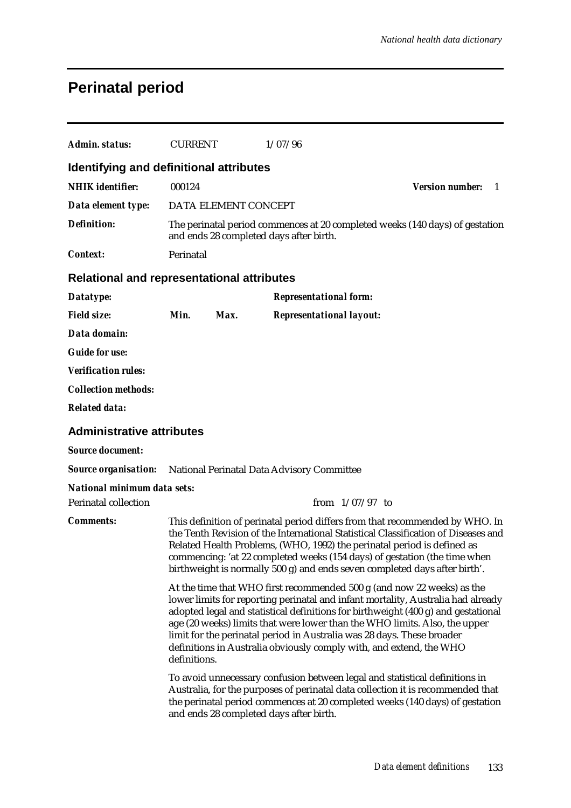# **Perinatal period**

| <b>Admin. status:</b>                                                  | <b>CURRENT</b> |                      | 1/07/96                                                                                                                                       |                                                                                                                                                                                                                                                                                                                                                                                                          |   |
|------------------------------------------------------------------------|----------------|----------------------|-----------------------------------------------------------------------------------------------------------------------------------------------|----------------------------------------------------------------------------------------------------------------------------------------------------------------------------------------------------------------------------------------------------------------------------------------------------------------------------------------------------------------------------------------------------------|---|
| Identifying and definitional attributes                                |                |                      |                                                                                                                                               |                                                                                                                                                                                                                                                                                                                                                                                                          |   |
| <b>NHIK</b> identifier:                                                | 000124         |                      |                                                                                                                                               | <b>Version number:</b>                                                                                                                                                                                                                                                                                                                                                                                   | 1 |
| Data element type:                                                     |                | DATA ELEMENT CONCEPT |                                                                                                                                               |                                                                                                                                                                                                                                                                                                                                                                                                          |   |
| <b>Definition:</b>                                                     |                |                      | and ends 28 completed days after birth.                                                                                                       | The perinatal period commences at 20 completed weeks (140 days) of gestation                                                                                                                                                                                                                                                                                                                             |   |
| Context:                                                               | Perinatal      |                      |                                                                                                                                               |                                                                                                                                                                                                                                                                                                                                                                                                          |   |
| <b>Relational and representational attributes</b>                      |                |                      |                                                                                                                                               |                                                                                                                                                                                                                                                                                                                                                                                                          |   |
| Datatype:                                                              |                |                      | <b>Representational form:</b>                                                                                                                 |                                                                                                                                                                                                                                                                                                                                                                                                          |   |
| <b>Field size:</b>                                                     | Min.           | Max.                 | <b>Representational layout:</b>                                                                                                               |                                                                                                                                                                                                                                                                                                                                                                                                          |   |
| Data domain:                                                           |                |                      |                                                                                                                                               |                                                                                                                                                                                                                                                                                                                                                                                                          |   |
| <b>Guide for use:</b>                                                  |                |                      |                                                                                                                                               |                                                                                                                                                                                                                                                                                                                                                                                                          |   |
| <b>Verification rules:</b>                                             |                |                      |                                                                                                                                               |                                                                                                                                                                                                                                                                                                                                                                                                          |   |
| <b>Collection methods:</b>                                             |                |                      |                                                                                                                                               |                                                                                                                                                                                                                                                                                                                                                                                                          |   |
| <b>Related data:</b>                                                   |                |                      |                                                                                                                                               |                                                                                                                                                                                                                                                                                                                                                                                                          |   |
| <b>Administrative attributes</b>                                       |                |                      |                                                                                                                                               |                                                                                                                                                                                                                                                                                                                                                                                                          |   |
| <b>Source document:</b>                                                |                |                      |                                                                                                                                               |                                                                                                                                                                                                                                                                                                                                                                                                          |   |
| <b>Source organisation:</b> National Perinatal Data Advisory Committee |                |                      |                                                                                                                                               |                                                                                                                                                                                                                                                                                                                                                                                                          |   |
| <b>National minimum data sets:</b>                                     |                |                      |                                                                                                                                               |                                                                                                                                                                                                                                                                                                                                                                                                          |   |
| <b>Perinatal collection</b>                                            |                |                      | from $1/07/97$ to                                                                                                                             |                                                                                                                                                                                                                                                                                                                                                                                                          |   |
| <b>Comments:</b>                                                       |                |                      |                                                                                                                                               | This definition of perinatal period differs from that recommended by WHO. In<br>the Tenth Revision of the International Statistical Classification of Diseases and<br>Related Health Problems, (WHO, 1992) the perinatal period is defined as<br>commencing: 'at 22 completed weeks (154 days) of gestation (the time when<br>birthweight is normally 500 g) and ends seven completed days after birth'. |   |
|                                                                        | definitions.   |                      | limit for the perinatal period in Australia was 28 days. These broader<br>definitions in Australia obviously comply with, and extend, the WHO | At the time that WHO first recommended 500 g (and now 22 weeks) as the<br>lower limits for reporting perinatal and infant mortality, Australia had already<br>adopted legal and statistical definitions for birthweight (400 g) and gestational<br>age (20 weeks) limits that were lower than the WHO limits. Also, the upper                                                                            |   |
|                                                                        |                |                      | and ends 28 completed days after birth.                                                                                                       | To avoid unnecessary confusion between legal and statistical definitions in<br>Australia, for the purposes of perinatal data collection it is recommended that<br>the perinatal period commences at 20 completed weeks (140 days) of gestation                                                                                                                                                           |   |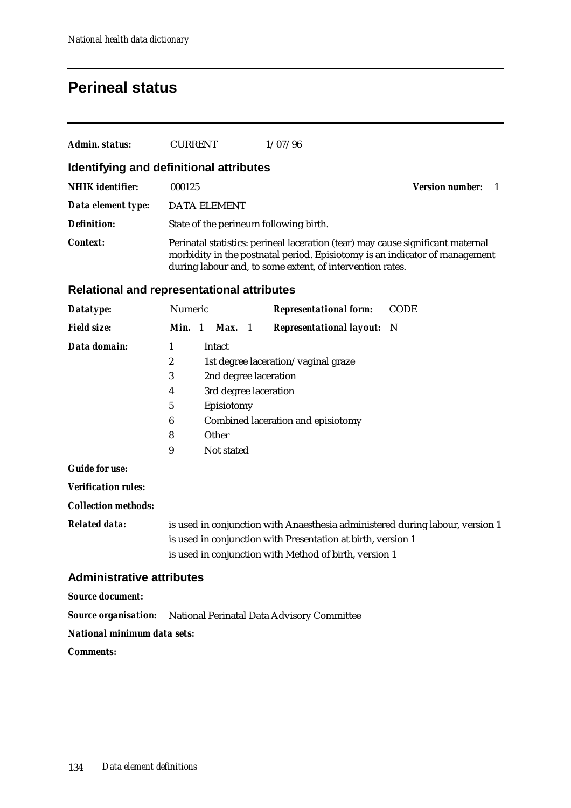## **Perineal status**

| Admin. status:          | <b>CURRENT</b>                          | 1/07/96                                                                                                                                                                                                                     |                        |  |
|-------------------------|-----------------------------------------|-----------------------------------------------------------------------------------------------------------------------------------------------------------------------------------------------------------------------------|------------------------|--|
|                         | Identifying and definitional attributes |                                                                                                                                                                                                                             |                        |  |
| <b>NHIK</b> identifier: | 000125                                  |                                                                                                                                                                                                                             | <b>Version number:</b> |  |
| Data element type:      | DATA ELEMENT                            |                                                                                                                                                                                                                             |                        |  |
| Definition:             | State of the perineum following birth.  |                                                                                                                                                                                                                             |                        |  |
| Context:                |                                         | Perinatal statistics: perineal laceration (tear) may cause significant maternal<br>morbidity in the postnatal period. Episiotomy is an indicator of management<br>during labour and, to some extent, of intervention rates. |                        |  |

#### **Relational and representational attributes**

| Datatype:          | <b>Numeric</b> |                       | <b>Representational form:</b>       | <b>CODE</b> |
|--------------------|----------------|-----------------------|-------------------------------------|-------------|
| <b>Field size:</b> | $Min.$ 1       | Max. 1                | <b>Representational layout:</b> N   |             |
| Data domain:       | 1              | Intact                |                                     |             |
|                    | 2              |                       | 1st degree laceration/vaginal graze |             |
|                    | 3              | 2nd degree laceration |                                     |             |
|                    | 4              | 3rd degree laceration |                                     |             |
|                    | 5              | Episiotomy            |                                     |             |
|                    | 6              |                       | Combined laceration and episiotomy  |             |
|                    | 8              | Other                 |                                     |             |
|                    | 9              | Not stated            |                                     |             |
|                    |                |                       |                                     |             |

#### *Guide for use:*

*Verification rules:*

*Collection methods:*

*Related data:* is used in conjunction with Anaesthesia administered during labour, version 1 is used in conjunction with Presentation at birth, version 1 is used in conjunction with Method of birth, version 1

### **Administrative attributes**

*Source document:*

*Source organisation:* National Perinatal Data Advisory Committee

*National minimum data sets:*

*Comments:*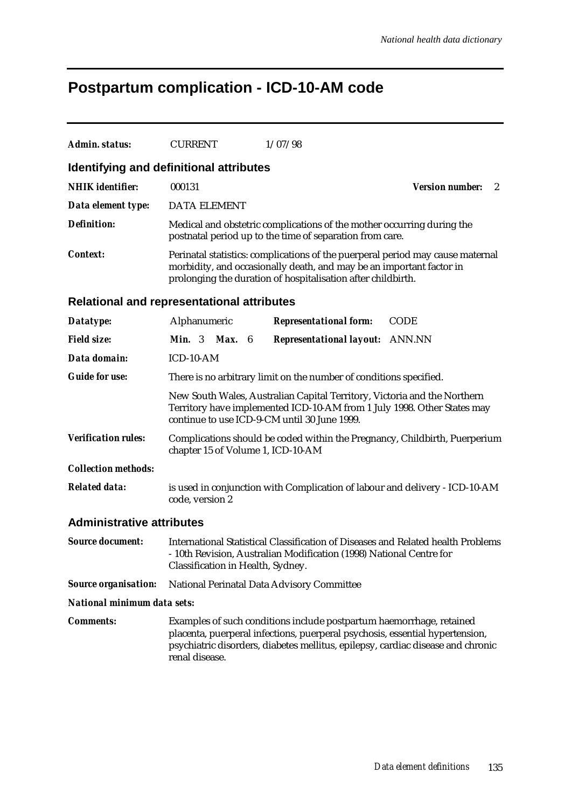# **Postpartum complication - ICD-10-AM code**

| <b>Admin. status:</b>                             | <b>CURRENT</b>                                                                                                                                                                                                                                            |  | 1/07/98                                                                                                                            |                                        |  |  |
|---------------------------------------------------|-----------------------------------------------------------------------------------------------------------------------------------------------------------------------------------------------------------------------------------------------------------|--|------------------------------------------------------------------------------------------------------------------------------------|----------------------------------------|--|--|
| Identifying and definitional attributes           |                                                                                                                                                                                                                                                           |  |                                                                                                                                    |                                        |  |  |
| <b>NHIK</b> identifier:                           | 000131                                                                                                                                                                                                                                                    |  |                                                                                                                                    | <b>Version number:</b><br>$\mathbf{2}$ |  |  |
| Data element type:                                | <b>DATA ELEMENT</b>                                                                                                                                                                                                                                       |  |                                                                                                                                    |                                        |  |  |
| <b>Definition:</b>                                |                                                                                                                                                                                                                                                           |  | Medical and obstetric complications of the mother occurring during the<br>postnatal period up to the time of separation from care. |                                        |  |  |
| <b>Context:</b>                                   | Perinatal statistics: complications of the puerperal period may cause maternal<br>morbidity, and occasionally death, and may be an important factor in<br>prolonging the duration of hospitalisation after childbirth.                                    |  |                                                                                                                                    |                                        |  |  |
| <b>Relational and representational attributes</b> |                                                                                                                                                                                                                                                           |  |                                                                                                                                    |                                        |  |  |
| Datatype:                                         | Alphanumeric                                                                                                                                                                                                                                              |  | <b>Representational form:</b>                                                                                                      | <b>CODE</b>                            |  |  |
| <b>Field size:</b>                                | <b>Min.</b> 3 <b>Max.</b> 6                                                                                                                                                                                                                               |  | <b>Representational layout:</b> ANN.NN                                                                                             |                                        |  |  |
| Data domain:                                      | ICD-10-AM                                                                                                                                                                                                                                                 |  |                                                                                                                                    |                                        |  |  |
| <b>Guide for use:</b>                             | There is no arbitrary limit on the number of conditions specified.                                                                                                                                                                                        |  |                                                                                                                                    |                                        |  |  |
|                                                   | New South Wales, Australian Capital Territory, Victoria and the Northern<br>Territory have implemented ICD-10-AM from 1 July 1998. Other States may<br>continue to use ICD-9-CM until 30 June 1999.                                                       |  |                                                                                                                                    |                                        |  |  |
| <b>Verification rules:</b>                        | Complications should be coded within the Pregnancy, Childbirth, Puerperium<br>chapter 15 of Volume 1, ICD-10-AM                                                                                                                                           |  |                                                                                                                                    |                                        |  |  |
| <b>Collection methods:</b>                        |                                                                                                                                                                                                                                                           |  |                                                                                                                                    |                                        |  |  |
| <b>Related data:</b>                              | is used in conjunction with Complication of labour and delivery - ICD-10-AM<br>code, version 2                                                                                                                                                            |  |                                                                                                                                    |                                        |  |  |
| <b>Administrative attributes</b>                  |                                                                                                                                                                                                                                                           |  |                                                                                                                                    |                                        |  |  |
| <b>Source document:</b>                           | International Statistical Classification of Diseases and Related health Problems<br>- 10th Revision, Australian Modification (1998) National Centre for<br>Classification in Health, Sydney.                                                              |  |                                                                                                                                    |                                        |  |  |
| <b>Source organisation:</b>                       | National Perinatal Data Advisory Committee                                                                                                                                                                                                                |  |                                                                                                                                    |                                        |  |  |
| National minimum data sets:                       |                                                                                                                                                                                                                                                           |  |                                                                                                                                    |                                        |  |  |
| <b>Comments:</b>                                  | Examples of such conditions include postpartum haemorrhage, retained<br>placenta, puerperal infections, puerperal psychosis, essential hypertension,<br>psychiatric disorders, diabetes mellitus, epilepsy, cardiac disease and chronic<br>renal disease. |  |                                                                                                                                    |                                        |  |  |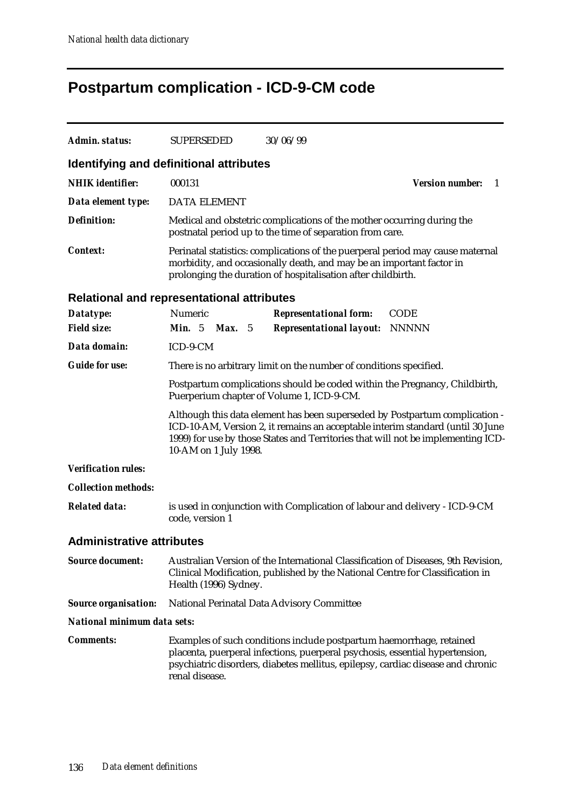# **Postpartum complication - ICD-9-CM code**

| <b>Admin. status:</b>                      | <b>SUPERSEDED</b>                                                                                                                                                                                                                                                          | 30/06/99                                                                                                                                                                                                                                |                              |  |  |  |
|--------------------------------------------|----------------------------------------------------------------------------------------------------------------------------------------------------------------------------------------------------------------------------------------------------------------------------|-----------------------------------------------------------------------------------------------------------------------------------------------------------------------------------------------------------------------------------------|------------------------------|--|--|--|
| Identifying and definitional attributes    |                                                                                                                                                                                                                                                                            |                                                                                                                                                                                                                                         |                              |  |  |  |
| <b>NHIK</b> identifier:                    | 000131                                                                                                                                                                                                                                                                     |                                                                                                                                                                                                                                         | <b>Version number:</b><br>-1 |  |  |  |
| Data element type:                         | <b>DATA ELEMENT</b>                                                                                                                                                                                                                                                        |                                                                                                                                                                                                                                         |                              |  |  |  |
| <b>Definition:</b>                         |                                                                                                                                                                                                                                                                            | Medical and obstetric complications of the mother occurring during the<br>postnatal period up to the time of separation from care.                                                                                                      |                              |  |  |  |
| <b>Context:</b>                            | Perinatal statistics: complications of the puerperal period may cause maternal<br>morbidity, and occasionally death, and may be an important factor in<br>prolonging the duration of hospitalisation after childbirth.                                                     |                                                                                                                                                                                                                                         |                              |  |  |  |
| Relational and representational attributes |                                                                                                                                                                                                                                                                            |                                                                                                                                                                                                                                         |                              |  |  |  |
| Datatype:                                  | Numeric                                                                                                                                                                                                                                                                    | <b>Representational form:</b>                                                                                                                                                                                                           | <b>CODE</b>                  |  |  |  |
| <b>Field size:</b>                         | <b>Min.</b> $5$<br><b>Max.</b> 5                                                                                                                                                                                                                                           | <b>Representational layout:</b>                                                                                                                                                                                                         | NNNNN                        |  |  |  |
| Data domain:                               | ICD-9-CM                                                                                                                                                                                                                                                                   |                                                                                                                                                                                                                                         |                              |  |  |  |
| <b>Guide for use:</b>                      |                                                                                                                                                                                                                                                                            | There is no arbitrary limit on the number of conditions specified.                                                                                                                                                                      |                              |  |  |  |
|                                            | Postpartum complications should be coded within the Pregnancy, Childbirth,<br>Puerperium chapter of Volume 1, ICD-9-CM.                                                                                                                                                    |                                                                                                                                                                                                                                         |                              |  |  |  |
|                                            | Although this data element has been superseded by Postpartum complication -<br>ICD-10-AM, Version 2, it remains an acceptable interim standard (until 30 June<br>1999) for use by those States and Territories that will not be implementing ICD-<br>10-AM on 1 July 1998. |                                                                                                                                                                                                                                         |                              |  |  |  |
| <b>Verification rules:</b>                 |                                                                                                                                                                                                                                                                            |                                                                                                                                                                                                                                         |                              |  |  |  |
| <b>Collection methods:</b>                 |                                                                                                                                                                                                                                                                            |                                                                                                                                                                                                                                         |                              |  |  |  |
| <b>Related data:</b>                       | is used in conjunction with Complication of labour and delivery - ICD-9-CM<br>code, version 1                                                                                                                                                                              |                                                                                                                                                                                                                                         |                              |  |  |  |
| <b>Administrative attributes</b>           |                                                                                                                                                                                                                                                                            |                                                                                                                                                                                                                                         |                              |  |  |  |
| <b>Source document:</b>                    | Australian Version of the International Classification of Diseases, 9th Revision,<br>Clinical Modification, published by the National Centre for Classification in<br>Health (1996) Sydney.                                                                                |                                                                                                                                                                                                                                         |                              |  |  |  |
| <b>Source organisation:</b>                |                                                                                                                                                                                                                                                                            | National Perinatal Data Advisory Committee                                                                                                                                                                                              |                              |  |  |  |
| National minimum data sets:                |                                                                                                                                                                                                                                                                            |                                                                                                                                                                                                                                         |                              |  |  |  |
| <b>Comments:</b>                           | renal disease.                                                                                                                                                                                                                                                             | Examples of such conditions include postpartum haemorrhage, retained<br>placenta, puerperal infections, puerperal psychosis, essential hypertension,<br>psychiatric disorders, diabetes mellitus, epilepsy, cardiac disease and chronic |                              |  |  |  |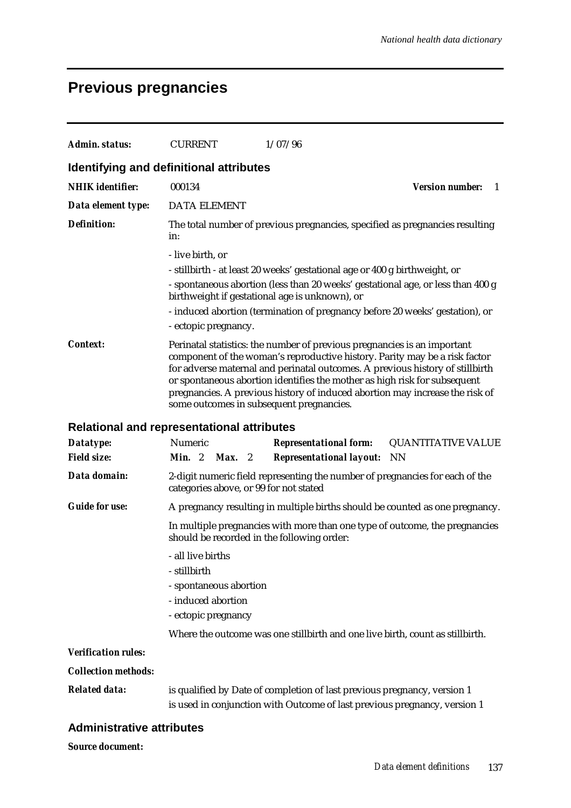## **Previous pregnancies**

| Admin. status:             | <b>CURRENT</b><br>1/07/96                                                                                                                                                                                                                                                                                                                                                                                                                        |
|----------------------------|--------------------------------------------------------------------------------------------------------------------------------------------------------------------------------------------------------------------------------------------------------------------------------------------------------------------------------------------------------------------------------------------------------------------------------------------------|
|                            | Identifying and definitional attributes                                                                                                                                                                                                                                                                                                                                                                                                          |
| <b>NHIK</b> identifier:    | 000134<br><b>Version number:</b><br>-1                                                                                                                                                                                                                                                                                                                                                                                                           |
| Data element type:         | <b>DATA ELEMENT</b>                                                                                                                                                                                                                                                                                                                                                                                                                              |
| <b>Definition:</b>         | The total number of previous pregnancies, specified as pregnancies resulting<br>in:                                                                                                                                                                                                                                                                                                                                                              |
|                            | - live birth, or<br>- stillbirth - at least 20 weeks' gestational age or 400 g birthweight, or<br>- spontaneous abortion (less than 20 weeks' gestational age, or less than 400 g                                                                                                                                                                                                                                                                |
|                            | birthweight if gestational age is unknown), or<br>- induced abortion (termination of pregnancy before 20 weeks' gestation), or<br>- ectopic pregnancy.                                                                                                                                                                                                                                                                                           |
| <b>Context:</b>            | Perinatal statistics: the number of previous pregnancies is an important<br>component of the woman's reproductive history. Parity may be a risk factor<br>for adverse maternal and perinatal outcomes. A previous history of stillbirth<br>or spontaneous abortion identifies the mother as high risk for subsequent<br>pregnancies. A previous history of induced abortion may increase the risk of<br>some outcomes in subsequent pregnancies. |
|                            | <b>Relational and representational attributes</b>                                                                                                                                                                                                                                                                                                                                                                                                |
| Datatype:                  | Numeric<br><b>Representational form:</b><br><b>QUANTITATIVE VALUE</b>                                                                                                                                                                                                                                                                                                                                                                            |
| <b>Field size:</b>         | Min. 2<br><b>Representational layout:</b><br>Max. 2<br>NN                                                                                                                                                                                                                                                                                                                                                                                        |
| Data domain:               | 2-digit numeric field representing the number of pregnancies for each of the<br>categories above, or 99 for not stated                                                                                                                                                                                                                                                                                                                           |
| <b>Guide for use:</b>      | A pregnancy resulting in multiple births should be counted as one pregnancy.                                                                                                                                                                                                                                                                                                                                                                     |
|                            | In multiple pregnancies with more than one type of outcome, the pregnancies<br>should be recorded in the following order:                                                                                                                                                                                                                                                                                                                        |
|                            | - all live births<br>- stillbirth                                                                                                                                                                                                                                                                                                                                                                                                                |
|                            | - spontaneous abortion                                                                                                                                                                                                                                                                                                                                                                                                                           |
|                            | - induced abortion                                                                                                                                                                                                                                                                                                                                                                                                                               |
|                            | - ectopic pregnancy                                                                                                                                                                                                                                                                                                                                                                                                                              |
| <b>Verification rules:</b> | Where the outcome was one stillbirth and one live birth, count as stillbirth.                                                                                                                                                                                                                                                                                                                                                                    |
| <b>Collection methods:</b> |                                                                                                                                                                                                                                                                                                                                                                                                                                                  |
|                            |                                                                                                                                                                                                                                                                                                                                                                                                                                                  |
| <b>Related data:</b>       | is qualified by Date of completion of last previous pregnancy, version 1<br>is used in conjunction with Outcome of last previous pregnancy, version 1                                                                                                                                                                                                                                                                                            |

### **Administrative attributes**

*Source document:*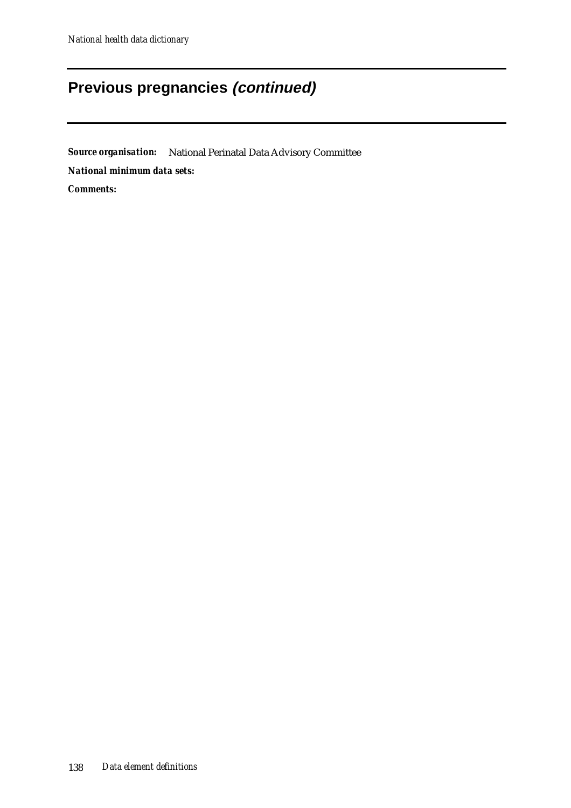## **Previous pregnancies (continued)**

*Source organisation:* National Perinatal Data Advisory Committee *National minimum data sets: Comments:*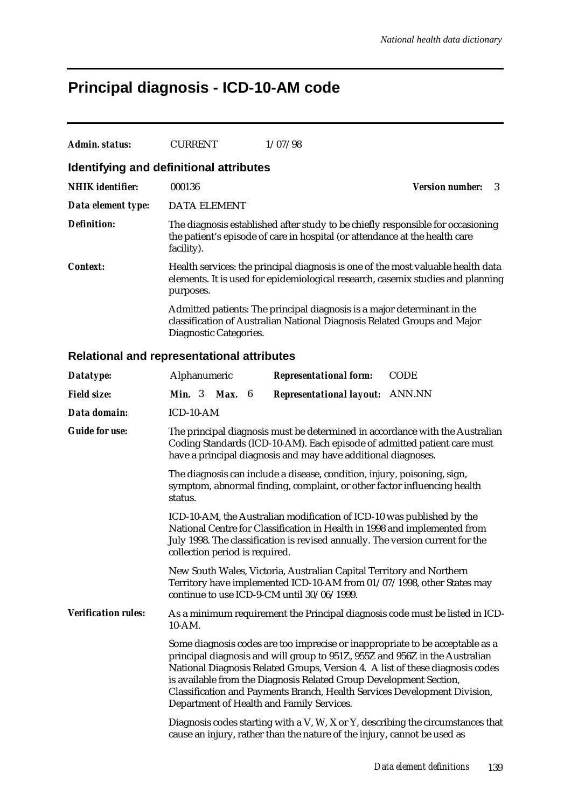# **Principal diagnosis - ICD-10-AM code**

| Admin. status:                          | <b>CURRENT</b>         | 1/07/98                                                                                                                                                             |                             |
|-----------------------------------------|------------------------|---------------------------------------------------------------------------------------------------------------------------------------------------------------------|-----------------------------|
| Identifying and definitional attributes |                        |                                                                                                                                                                     |                             |
| <b>NHIK</b> identifier:                 | 000136                 |                                                                                                                                                                     | <b>Version number:</b><br>3 |
| Data element type:                      | <b>DATA ELEMENT</b>    |                                                                                                                                                                     |                             |
| <b>Definition:</b>                      | facility).             | The diagnosis established after study to be chiefly responsible for occasioning<br>the patient's episode of care in hospital (or attendance at the health care      |                             |
| Context:                                | purposes.              | Health services: the principal diagnosis is one of the most valuable health data<br>elements. It is used for epidemiological research, casemix studies and planning |                             |
|                                         | Diagnostic Categories. | Admitted patients: The principal diagnosis is a major determinant in the<br>classification of Australian National Diagnosis Related Groups and Major                |                             |

### **Relational and representational attributes**

| Datatype:                                                                                                                                                                                    | Alphanumeric                                                                                                                                                                                                                                                                                                                                                                                                                                  |  |  |  | <b>Representational form:</b>                                            | <b>CODE</b>                                                                     |
|----------------------------------------------------------------------------------------------------------------------------------------------------------------------------------------------|-----------------------------------------------------------------------------------------------------------------------------------------------------------------------------------------------------------------------------------------------------------------------------------------------------------------------------------------------------------------------------------------------------------------------------------------------|--|--|--|--------------------------------------------------------------------------|---------------------------------------------------------------------------------|
| <b>Field size:</b>                                                                                                                                                                           | Min. 3 Max. 6                                                                                                                                                                                                                                                                                                                                                                                                                                 |  |  |  | <b>Representational layout:</b>                                          | <b>ANN.NN</b>                                                                   |
| Data domain:                                                                                                                                                                                 | ICD-10-AM                                                                                                                                                                                                                                                                                                                                                                                                                                     |  |  |  |                                                                          |                                                                                 |
| <b>Guide for use:</b>                                                                                                                                                                        | The principal diagnosis must be determined in accordance with the Australian<br>Coding Standards (ICD-10-AM). Each episode of admitted patient care must<br>have a principal diagnosis and may have additional diagnoses.                                                                                                                                                                                                                     |  |  |  |                                                                          |                                                                                 |
| The diagnosis can include a disease, condition, injury, poisoning, sign,<br>symptom, abnormal finding, complaint, or other factor influencing health<br>status.                              |                                                                                                                                                                                                                                                                                                                                                                                                                                               |  |  |  |                                                                          |                                                                                 |
|                                                                                                                                                                                              | ICD-10-AM, the Australian modification of ICD-10 was published by the<br>National Centre for Classification in Health in 1998 and implemented from<br>July 1998. The classification is revised annually. The version current for the<br>collection period is required.                                                                                                                                                                        |  |  |  |                                                                          |                                                                                 |
| New South Wales, Victoria, Australian Capital Territory and Northern<br>Territory have implemented ICD-10-AM from 01/07/1998, other States may<br>continue to use ICD-9-CM until 30/06/1999. |                                                                                                                                                                                                                                                                                                                                                                                                                                               |  |  |  |                                                                          |                                                                                 |
| <b>Verification rules:</b>                                                                                                                                                                   | As a minimum requirement the Principal diagnosis code must be listed in ICD-<br>10-AM.                                                                                                                                                                                                                                                                                                                                                        |  |  |  |                                                                          |                                                                                 |
|                                                                                                                                                                                              | Some diagnosis codes are too imprecise or inappropriate to be acceptable as a<br>principal diagnosis and will group to 951Z, 955Z and 956Z in the Australian<br>National Diagnosis Related Groups, Version 4. A list of these diagnosis codes<br>is available from the Diagnosis Related Group Development Section,<br>Classification and Payments Branch, Health Services Development Division,<br>Department of Health and Family Services. |  |  |  |                                                                          |                                                                                 |
|                                                                                                                                                                                              |                                                                                                                                                                                                                                                                                                                                                                                                                                               |  |  |  | cause an injury, rather than the nature of the injury, cannot be used as | Diagnosis codes starting with a V, W, X or Y, describing the circumstances that |
|                                                                                                                                                                                              |                                                                                                                                                                                                                                                                                                                                                                                                                                               |  |  |  |                                                                          |                                                                                 |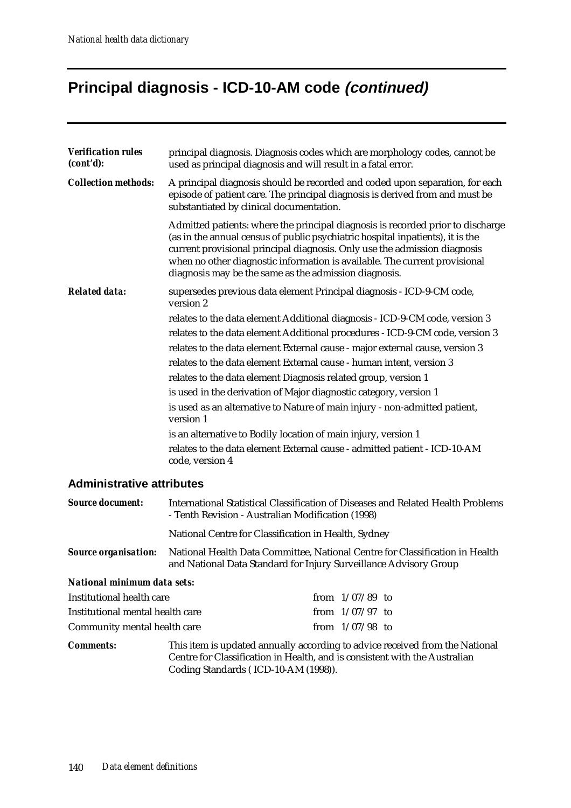## **Principal diagnosis - ICD-10-AM code (continued)**

| <b>Verification rules</b><br>(cont'd): | principal diagnosis. Diagnosis codes which are morphology codes, cannot be<br>used as principal diagnosis and will result in a fatal error.                                                                                                                                                                                                                                           |  |  |  |  |
|----------------------------------------|---------------------------------------------------------------------------------------------------------------------------------------------------------------------------------------------------------------------------------------------------------------------------------------------------------------------------------------------------------------------------------------|--|--|--|--|
| <b>Collection methods:</b>             | A principal diagnosis should be recorded and coded upon separation, for each<br>episode of patient care. The principal diagnosis is derived from and must be<br>substantiated by clinical documentation.                                                                                                                                                                              |  |  |  |  |
|                                        | Admitted patients: where the principal diagnosis is recorded prior to discharge<br>(as in the annual census of public psychiatric hospital inpatients), it is the<br>current provisional principal diagnosis. Only use the admission diagnosis<br>when no other diagnostic information is available. The current provisional<br>diagnosis may be the same as the admission diagnosis. |  |  |  |  |
| <b>Related data:</b>                   | supersedes previous data element Principal diagnosis - ICD-9-CM code,<br>version 2                                                                                                                                                                                                                                                                                                    |  |  |  |  |
|                                        | relates to the data element Additional diagnosis - ICD-9-CM code, version 3                                                                                                                                                                                                                                                                                                           |  |  |  |  |
|                                        | relates to the data element Additional procedures - ICD-9-CM code, version 3                                                                                                                                                                                                                                                                                                          |  |  |  |  |
|                                        | relates to the data element External cause - major external cause, version 3                                                                                                                                                                                                                                                                                                          |  |  |  |  |
|                                        | relates to the data element External cause - human intent, version 3                                                                                                                                                                                                                                                                                                                  |  |  |  |  |
|                                        | relates to the data element Diagnosis related group, version 1                                                                                                                                                                                                                                                                                                                        |  |  |  |  |
|                                        | is used in the derivation of Major diagnostic category, version 1                                                                                                                                                                                                                                                                                                                     |  |  |  |  |
|                                        | is used as an alternative to Nature of main injury - non-admitted patient,<br>version 1                                                                                                                                                                                                                                                                                               |  |  |  |  |
|                                        | is an alternative to Bodily location of main injury, version 1                                                                                                                                                                                                                                                                                                                        |  |  |  |  |
|                                        | relates to the data element External cause - admitted patient - ICD-10-AM<br>code, version 4                                                                                                                                                                                                                                                                                          |  |  |  |  |

### **Administrative attributes**

| <b>Source document:</b>                                                                                                                                                          | International Statistical Classification of Diseases and Related Health Problems<br>- Tenth Revision - Australian Modification (1998) |  |                   |  |  |
|----------------------------------------------------------------------------------------------------------------------------------------------------------------------------------|---------------------------------------------------------------------------------------------------------------------------------------|--|-------------------|--|--|
|                                                                                                                                                                                  | National Centre for Classification in Health, Sydney                                                                                  |  |                   |  |  |
| <b>Source organisation:</b><br>National Health Data Committee, National Centre for Classification in Health<br>and National Data Standard for Injury Surveillance Advisory Group |                                                                                                                                       |  |                   |  |  |
| National minimum data sets:                                                                                                                                                      |                                                                                                                                       |  |                   |  |  |
| Institutional health care                                                                                                                                                        |                                                                                                                                       |  | from $1/07/89$ to |  |  |
| Institutional mental health care                                                                                                                                                 |                                                                                                                                       |  | from $1/07/97$ to |  |  |
| Community mental health care                                                                                                                                                     |                                                                                                                                       |  | from $1/07/98$ to |  |  |
| <b>Comments:</b>                                                                                                                                                                 | This item is updated annually according to advice received from the National                                                          |  |                   |  |  |

Centre for Classification in Health, and is consistent with the Australian Coding Standards ( ICD-10-AM (1998)).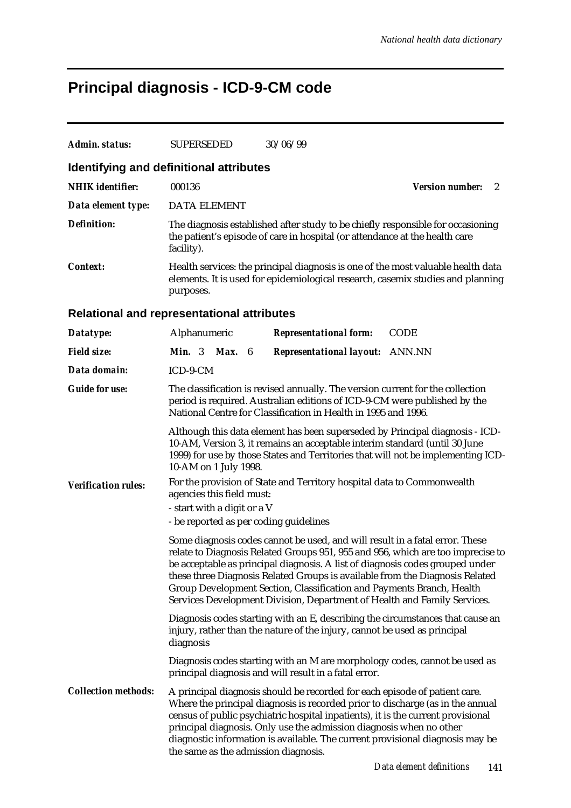# **Principal diagnosis - ICD-9-CM code**

| 000136                                                                                                                                                                                                                                                                                                                                                                                                                                                                                |  |                                                                                                                              | <b>Version number:</b><br>2                                                                                                                                                                                                                                                                                                                                                                                                                                                                                                                                                                                                                                                                                                                                                                                                                                                                                                                                                                                                                                                                                                                                                                                                                           |  |
|---------------------------------------------------------------------------------------------------------------------------------------------------------------------------------------------------------------------------------------------------------------------------------------------------------------------------------------------------------------------------------------------------------------------------------------------------------------------------------------|--|------------------------------------------------------------------------------------------------------------------------------|-------------------------------------------------------------------------------------------------------------------------------------------------------------------------------------------------------------------------------------------------------------------------------------------------------------------------------------------------------------------------------------------------------------------------------------------------------------------------------------------------------------------------------------------------------------------------------------------------------------------------------------------------------------------------------------------------------------------------------------------------------------------------------------------------------------------------------------------------------------------------------------------------------------------------------------------------------------------------------------------------------------------------------------------------------------------------------------------------------------------------------------------------------------------------------------------------------------------------------------------------------|--|
|                                                                                                                                                                                                                                                                                                                                                                                                                                                                                       |  |                                                                                                                              |                                                                                                                                                                                                                                                                                                                                                                                                                                                                                                                                                                                                                                                                                                                                                                                                                                                                                                                                                                                                                                                                                                                                                                                                                                                       |  |
| facility).                                                                                                                                                                                                                                                                                                                                                                                                                                                                            |  |                                                                                                                              |                                                                                                                                                                                                                                                                                                                                                                                                                                                                                                                                                                                                                                                                                                                                                                                                                                                                                                                                                                                                                                                                                                                                                                                                                                                       |  |
| purposes.                                                                                                                                                                                                                                                                                                                                                                                                                                                                             |  |                                                                                                                              |                                                                                                                                                                                                                                                                                                                                                                                                                                                                                                                                                                                                                                                                                                                                                                                                                                                                                                                                                                                                                                                                                                                                                                                                                                                       |  |
|                                                                                                                                                                                                                                                                                                                                                                                                                                                                                       |  |                                                                                                                              |                                                                                                                                                                                                                                                                                                                                                                                                                                                                                                                                                                                                                                                                                                                                                                                                                                                                                                                                                                                                                                                                                                                                                                                                                                                       |  |
|                                                                                                                                                                                                                                                                                                                                                                                                                                                                                       |  | <b>Representational form:</b>                                                                                                | <b>CODE</b>                                                                                                                                                                                                                                                                                                                                                                                                                                                                                                                                                                                                                                                                                                                                                                                                                                                                                                                                                                                                                                                                                                                                                                                                                                           |  |
|                                                                                                                                                                                                                                                                                                                                                                                                                                                                                       |  | <b>Representational layout:</b> ANN.NN                                                                                       |                                                                                                                                                                                                                                                                                                                                                                                                                                                                                                                                                                                                                                                                                                                                                                                                                                                                                                                                                                                                                                                                                                                                                                                                                                                       |  |
|                                                                                                                                                                                                                                                                                                                                                                                                                                                                                       |  |                                                                                                                              |                                                                                                                                                                                                                                                                                                                                                                                                                                                                                                                                                                                                                                                                                                                                                                                                                                                                                                                                                                                                                                                                                                                                                                                                                                                       |  |
| The classification is revised annually. The version current for the collection<br>period is required. Australian editions of ICD-9-CM were published by the<br>National Centre for Classification in Health in 1995 and 1996.                                                                                                                                                                                                                                                         |  |                                                                                                                              |                                                                                                                                                                                                                                                                                                                                                                                                                                                                                                                                                                                                                                                                                                                                                                                                                                                                                                                                                                                                                                                                                                                                                                                                                                                       |  |
| Although this data element has been superseded by Principal diagnosis - ICD-<br>10-AM, Version 3, it remains an acceptable interim standard (until 30 June<br>1999) for use by those States and Territories that will not be implementing ICD-                                                                                                                                                                                                                                        |  |                                                                                                                              |                                                                                                                                                                                                                                                                                                                                                                                                                                                                                                                                                                                                                                                                                                                                                                                                                                                                                                                                                                                                                                                                                                                                                                                                                                                       |  |
| For the provision of State and Territory hospital data to Commonwealth<br>agencies this field must:<br>- start with a digit or a V                                                                                                                                                                                                                                                                                                                                                    |  |                                                                                                                              |                                                                                                                                                                                                                                                                                                                                                                                                                                                                                                                                                                                                                                                                                                                                                                                                                                                                                                                                                                                                                                                                                                                                                                                                                                                       |  |
|                                                                                                                                                                                                                                                                                                                                                                                                                                                                                       |  |                                                                                                                              |                                                                                                                                                                                                                                                                                                                                                                                                                                                                                                                                                                                                                                                                                                                                                                                                                                                                                                                                                                                                                                                                                                                                                                                                                                                       |  |
| Some diagnosis codes cannot be used, and will result in a fatal error. These<br>relate to Diagnosis Related Groups 951, 955 and 956, which are too imprecise to<br>be acceptable as principal diagnosis. A list of diagnosis codes grouped under<br>these three Diagnosis Related Groups is available from the Diagnosis Related<br>Group Development Section, Classification and Payments Branch, Health<br>Services Development Division, Department of Health and Family Services. |  |                                                                                                                              |                                                                                                                                                                                                                                                                                                                                                                                                                                                                                                                                                                                                                                                                                                                                                                                                                                                                                                                                                                                                                                                                                                                                                                                                                                                       |  |
| diagnosis                                                                                                                                                                                                                                                                                                                                                                                                                                                                             |  |                                                                                                                              |                                                                                                                                                                                                                                                                                                                                                                                                                                                                                                                                                                                                                                                                                                                                                                                                                                                                                                                                                                                                                                                                                                                                                                                                                                                       |  |
|                                                                                                                                                                                                                                                                                                                                                                                                                                                                                       |  |                                                                                                                              |                                                                                                                                                                                                                                                                                                                                                                                                                                                                                                                                                                                                                                                                                                                                                                                                                                                                                                                                                                                                                                                                                                                                                                                                                                                       |  |
|                                                                                                                                                                                                                                                                                                                                                                                                                                                                                       |  |                                                                                                                              |                                                                                                                                                                                                                                                                                                                                                                                                                                                                                                                                                                                                                                                                                                                                                                                                                                                                                                                                                                                                                                                                                                                                                                                                                                                       |  |
|                                                                                                                                                                                                                                                                                                                                                                                                                                                                                       |  | <b>SUPERSEDED</b><br><b>DATA ELEMENT</b><br>Alphanumeric<br><b>Min.</b> 3 <b>Max.</b> 6<br>ICD-9-CM<br>10-AM on 1 July 1998. | 30/06/99<br>Identifying and definitional attributes<br>The diagnosis established after study to be chiefly responsible for occasioning<br>the patient's episode of care in hospital (or attendance at the health care<br>Health services: the principal diagnosis is one of the most valuable health data<br>elements. It is used for epidemiological research, casemix studies and planning<br><b>Relational and representational attributes</b><br>- be reported as per coding guidelines<br>Diagnosis codes starting with an E, describing the circumstances that cause an<br>injury, rather than the nature of the injury, cannot be used as principal<br>Diagnosis codes starting with an M are morphology codes, cannot be used as<br>principal diagnosis and will result in a fatal error.<br>A principal diagnosis should be recorded for each episode of patient care.<br>Where the principal diagnosis is recorded prior to discharge (as in the annual<br>census of public psychiatric hospital inpatients), it is the current provisional<br>principal diagnosis. Only use the admission diagnosis when no other<br>diagnostic information is available. The current provisional diagnosis may be<br>the same as the admission diagnosis. |  |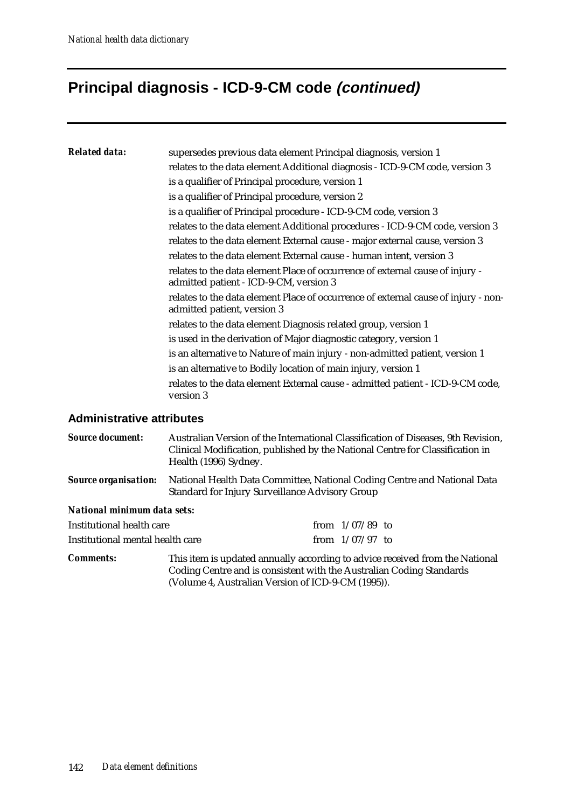## **Principal diagnosis - ICD-9-CM code (continued)**

| <b>Related data:</b> | supersedes previous data element Principal diagnosis, version 1                                                         |
|----------------------|-------------------------------------------------------------------------------------------------------------------------|
|                      | relates to the data element Additional diagnosis - ICD-9-CM code, version 3                                             |
|                      | is a qualifier of Principal procedure, version 1                                                                        |
|                      | is a qualifier of Principal procedure, version 2                                                                        |
|                      | is a qualifier of Principal procedure - ICD-9-CM code, version 3                                                        |
|                      | relates to the data element Additional procedures - ICD-9-CM code, version 3                                            |
|                      | relates to the data element External cause - major external cause, version 3                                            |
|                      | relates to the data element External cause - human intent, version 3                                                    |
|                      | relates to the data element Place of occurrence of external cause of injury -<br>admitted patient - ICD-9-CM, version 3 |
|                      | relates to the data element Place of occurrence of external cause of injury - non-<br>admitted patient, version 3       |
|                      | relates to the data element Diagnosis related group, version 1                                                          |
|                      | is used in the derivation of Major diagnostic category, version 1                                                       |
|                      | is an alternative to Nature of main injury - non-admitted patient, version 1                                            |
|                      | is an alternative to Bodily location of main injury, version 1                                                          |
|                      | relates to the data element External cause - admitted patient - ICD-9-CM code,<br>version 3                             |
|                      |                                                                                                                         |

### **Administrative attributes**

| <b>Source document:</b>          | Australian Version of the International Classification of Diseases, 9th Revision,<br>Clinical Modification, published by the National Centre for Classification in<br>Health (1996) Sydney.<br>National Health Data Committee, National Coding Centre and National Data<br>Standard for Injury Surveillance Advisory Group |                   |  |  |  |
|----------------------------------|----------------------------------------------------------------------------------------------------------------------------------------------------------------------------------------------------------------------------------------------------------------------------------------------------------------------------|-------------------|--|--|--|
| <b>Source organisation:</b>      |                                                                                                                                                                                                                                                                                                                            |                   |  |  |  |
| National minimum data sets:      |                                                                                                                                                                                                                                                                                                                            |                   |  |  |  |
| Institutional health care        |                                                                                                                                                                                                                                                                                                                            | from $1/07/89$ to |  |  |  |
| Institutional mental health care |                                                                                                                                                                                                                                                                                                                            | from $1/07/97$ to |  |  |  |
| <b>Comments:</b>                 | This item is updated annually according to advice received from the National<br>Coding Centre and is consistent with the Australian Coding Standards<br>(Volume 4, Australian Version of ICD-9-CM (1995)).                                                                                                                 |                   |  |  |  |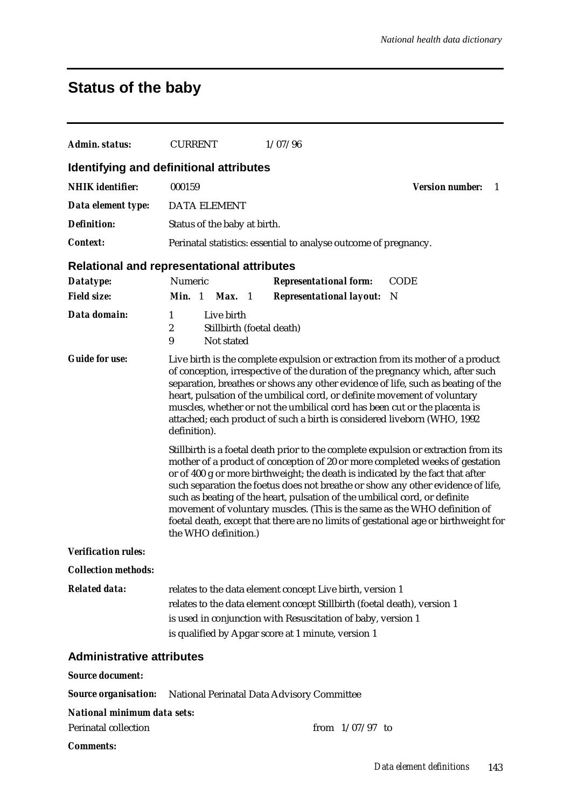## **Status of the baby**

| Admin. status:                     | <b>CURRENT</b>                                                                                                                                                                                                                                                                                                                                                                                                                                                                                                                                                                                                     | 1/07/96                                                          |             |  |  |
|------------------------------------|--------------------------------------------------------------------------------------------------------------------------------------------------------------------------------------------------------------------------------------------------------------------------------------------------------------------------------------------------------------------------------------------------------------------------------------------------------------------------------------------------------------------------------------------------------------------------------------------------------------------|------------------------------------------------------------------|-------------|--|--|
|                                    | Identifying and definitional attributes                                                                                                                                                                                                                                                                                                                                                                                                                                                                                                                                                                            |                                                                  |             |  |  |
| <b>NHIK</b> identifier:            | 000159<br><b>Version number:</b><br>-1                                                                                                                                                                                                                                                                                                                                                                                                                                                                                                                                                                             |                                                                  |             |  |  |
| Data element type:                 | <b>DATA ELEMENT</b>                                                                                                                                                                                                                                                                                                                                                                                                                                                                                                                                                                                                |                                                                  |             |  |  |
| <b>Definition:</b>                 | Status of the baby at birth.                                                                                                                                                                                                                                                                                                                                                                                                                                                                                                                                                                                       |                                                                  |             |  |  |
| <b>Context:</b>                    |                                                                                                                                                                                                                                                                                                                                                                                                                                                                                                                                                                                                                    | Perinatal statistics: essential to analyse outcome of pregnancy. |             |  |  |
|                                    | <b>Relational and representational attributes</b>                                                                                                                                                                                                                                                                                                                                                                                                                                                                                                                                                                  |                                                                  |             |  |  |
| Datatype:                          | Numeric                                                                                                                                                                                                                                                                                                                                                                                                                                                                                                                                                                                                            | <b>Representational form:</b>                                    | <b>CODE</b> |  |  |
| <b>Field size:</b>                 | Min. 1 Max. 1                                                                                                                                                                                                                                                                                                                                                                                                                                                                                                                                                                                                      | <b>Representational layout:</b>                                  | - N         |  |  |
| Data domain:                       | Live birth<br>1<br>$\boldsymbol{2}$<br>Stillbirth (foetal death)<br>9<br>Not stated                                                                                                                                                                                                                                                                                                                                                                                                                                                                                                                                |                                                                  |             |  |  |
| <b>Guide for use:</b>              | Live birth is the complete expulsion or extraction from its mother of a product<br>of conception, irrespective of the duration of the pregnancy which, after such<br>separation, breathes or shows any other evidence of life, such as beating of the<br>heart, pulsation of the umbilical cord, or definite movement of voluntary<br>muscles, whether or not the umbilical cord has been cut or the placenta is<br>attached; each product of such a birth is considered liveborn (WHO, 1992<br>definition).                                                                                                       |                                                                  |             |  |  |
|                                    | Stillbirth is a foetal death prior to the complete expulsion or extraction from its<br>mother of a product of conception of 20 or more completed weeks of gestation<br>or of 400 g or more birthweight; the death is indicated by the fact that after<br>such separation the foetus does not breathe or show any other evidence of life,<br>such as beating of the heart, pulsation of the umbilical cord, or definite<br>movement of voluntary muscles. (This is the same as the WHO definition of<br>foetal death, except that there are no limits of gestational age or birthweight for<br>the WHO definition.) |                                                                  |             |  |  |
| <b>Verification rules:</b>         |                                                                                                                                                                                                                                                                                                                                                                                                                                                                                                                                                                                                                    |                                                                  |             |  |  |
| <b>Collection methods:</b>         |                                                                                                                                                                                                                                                                                                                                                                                                                                                                                                                                                                                                                    |                                                                  |             |  |  |
| <b>Related data:</b>               | relates to the data element concept Live birth, version 1<br>relates to the data element concept Stillbirth (foetal death), version 1<br>is used in conjunction with Resuscitation of baby, version 1<br>is qualified by Apgar score at 1 minute, version 1                                                                                                                                                                                                                                                                                                                                                        |                                                                  |             |  |  |
| <b>Administrative attributes</b>   |                                                                                                                                                                                                                                                                                                                                                                                                                                                                                                                                                                                                                    |                                                                  |             |  |  |
| <b>Source document:</b>            |                                                                                                                                                                                                                                                                                                                                                                                                                                                                                                                                                                                                                    |                                                                  |             |  |  |
|                                    | <b>Source organisation:</b> National Perinatal Data Advisory Committee                                                                                                                                                                                                                                                                                                                                                                                                                                                                                                                                             |                                                                  |             |  |  |
| <b>National minimum data sets:</b> |                                                                                                                                                                                                                                                                                                                                                                                                                                                                                                                                                                                                                    |                                                                  |             |  |  |
| Perinatal collection               |                                                                                                                                                                                                                                                                                                                                                                                                                                                                                                                                                                                                                    | from $1/07/97$ to                                                |             |  |  |
| <b>Comments:</b>                   |                                                                                                                                                                                                                                                                                                                                                                                                                                                                                                                                                                                                                    |                                                                  |             |  |  |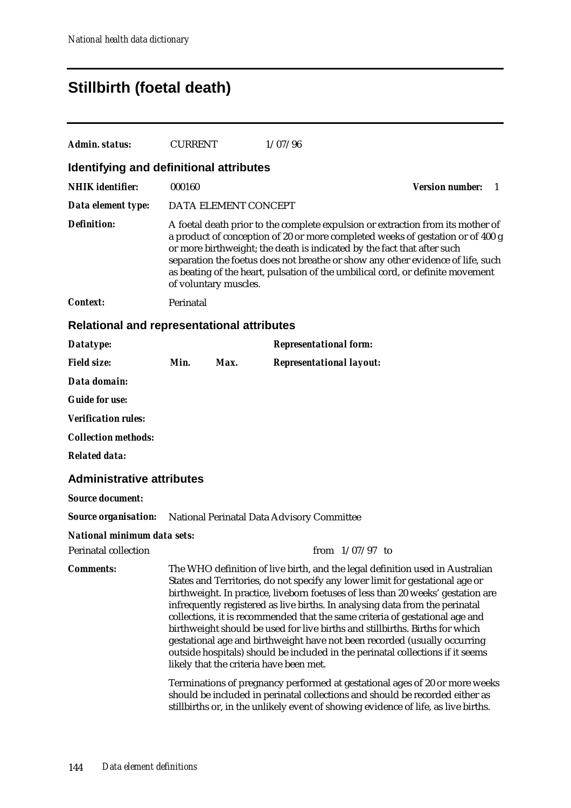## **Stillbirth (foetal death)**

| Admin. status:                                                         | <b>CURRENT</b>                                                                                                                                                                                                                                                                                                                                                                                                                             |                      | 1/07/96                                                                                                                                                                                                                                                                                                                                                                                                                                                                                                                                                                                                                                                                                                                                                                                                                                                                                                                                                           |                             |  |
|------------------------------------------------------------------------|--------------------------------------------------------------------------------------------------------------------------------------------------------------------------------------------------------------------------------------------------------------------------------------------------------------------------------------------------------------------------------------------------------------------------------------------|----------------------|-------------------------------------------------------------------------------------------------------------------------------------------------------------------------------------------------------------------------------------------------------------------------------------------------------------------------------------------------------------------------------------------------------------------------------------------------------------------------------------------------------------------------------------------------------------------------------------------------------------------------------------------------------------------------------------------------------------------------------------------------------------------------------------------------------------------------------------------------------------------------------------------------------------------------------------------------------------------|-----------------------------|--|
| Identifying and definitional attributes                                |                                                                                                                                                                                                                                                                                                                                                                                                                                            |                      |                                                                                                                                                                                                                                                                                                                                                                                                                                                                                                                                                                                                                                                                                                                                                                                                                                                                                                                                                                   |                             |  |
| <b>NHIK</b> identifier:                                                | 000160                                                                                                                                                                                                                                                                                                                                                                                                                                     |                      |                                                                                                                                                                                                                                                                                                                                                                                                                                                                                                                                                                                                                                                                                                                                                                                                                                                                                                                                                                   | <b>Version number:</b><br>1 |  |
| Data element type:                                                     |                                                                                                                                                                                                                                                                                                                                                                                                                                            | DATA ELEMENT CONCEPT |                                                                                                                                                                                                                                                                                                                                                                                                                                                                                                                                                                                                                                                                                                                                                                                                                                                                                                                                                                   |                             |  |
| <b>Definition:</b>                                                     | A foetal death prior to the complete expulsion or extraction from its mother of<br>a product of conception of 20 or more completed weeks of gestation or of 400 g<br>or more birthweight; the death is indicated by the fact that after such<br>separation the foetus does not breathe or show any other evidence of life, such<br>as beating of the heart, pulsation of the umbilical cord, or definite movement<br>of voluntary muscles. |                      |                                                                                                                                                                                                                                                                                                                                                                                                                                                                                                                                                                                                                                                                                                                                                                                                                                                                                                                                                                   |                             |  |
| <b>Context:</b>                                                        | Perinatal                                                                                                                                                                                                                                                                                                                                                                                                                                  |                      |                                                                                                                                                                                                                                                                                                                                                                                                                                                                                                                                                                                                                                                                                                                                                                                                                                                                                                                                                                   |                             |  |
| <b>Relational and representational attributes</b>                      |                                                                                                                                                                                                                                                                                                                                                                                                                                            |                      |                                                                                                                                                                                                                                                                                                                                                                                                                                                                                                                                                                                                                                                                                                                                                                                                                                                                                                                                                                   |                             |  |
| Datatype:                                                              |                                                                                                                                                                                                                                                                                                                                                                                                                                            |                      | <b>Representational form:</b>                                                                                                                                                                                                                                                                                                                                                                                                                                                                                                                                                                                                                                                                                                                                                                                                                                                                                                                                     |                             |  |
| <b>Field size:</b>                                                     | Min.                                                                                                                                                                                                                                                                                                                                                                                                                                       | Max.                 | <b>Representational layout:</b>                                                                                                                                                                                                                                                                                                                                                                                                                                                                                                                                                                                                                                                                                                                                                                                                                                                                                                                                   |                             |  |
| Data domain:                                                           |                                                                                                                                                                                                                                                                                                                                                                                                                                            |                      |                                                                                                                                                                                                                                                                                                                                                                                                                                                                                                                                                                                                                                                                                                                                                                                                                                                                                                                                                                   |                             |  |
| <b>Guide for use:</b>                                                  |                                                                                                                                                                                                                                                                                                                                                                                                                                            |                      |                                                                                                                                                                                                                                                                                                                                                                                                                                                                                                                                                                                                                                                                                                                                                                                                                                                                                                                                                                   |                             |  |
| <b>Verification rules:</b>                                             |                                                                                                                                                                                                                                                                                                                                                                                                                                            |                      |                                                                                                                                                                                                                                                                                                                                                                                                                                                                                                                                                                                                                                                                                                                                                                                                                                                                                                                                                                   |                             |  |
| <b>Collection methods:</b>                                             |                                                                                                                                                                                                                                                                                                                                                                                                                                            |                      |                                                                                                                                                                                                                                                                                                                                                                                                                                                                                                                                                                                                                                                                                                                                                                                                                                                                                                                                                                   |                             |  |
| <b>Related data:</b>                                                   |                                                                                                                                                                                                                                                                                                                                                                                                                                            |                      |                                                                                                                                                                                                                                                                                                                                                                                                                                                                                                                                                                                                                                                                                                                                                                                                                                                                                                                                                                   |                             |  |
| <b>Administrative attributes</b>                                       |                                                                                                                                                                                                                                                                                                                                                                                                                                            |                      |                                                                                                                                                                                                                                                                                                                                                                                                                                                                                                                                                                                                                                                                                                                                                                                                                                                                                                                                                                   |                             |  |
| <b>Source document:</b>                                                |                                                                                                                                                                                                                                                                                                                                                                                                                                            |                      |                                                                                                                                                                                                                                                                                                                                                                                                                                                                                                                                                                                                                                                                                                                                                                                                                                                                                                                                                                   |                             |  |
| <b>Source organisation:</b> National Perinatal Data Advisory Committee |                                                                                                                                                                                                                                                                                                                                                                                                                                            |                      |                                                                                                                                                                                                                                                                                                                                                                                                                                                                                                                                                                                                                                                                                                                                                                                                                                                                                                                                                                   |                             |  |
| <b>National minimum data sets:</b>                                     |                                                                                                                                                                                                                                                                                                                                                                                                                                            |                      |                                                                                                                                                                                                                                                                                                                                                                                                                                                                                                                                                                                                                                                                                                                                                                                                                                                                                                                                                                   |                             |  |
| <b>Perinatal collection</b>                                            |                                                                                                                                                                                                                                                                                                                                                                                                                                            |                      | from $1/07/97$ to                                                                                                                                                                                                                                                                                                                                                                                                                                                                                                                                                                                                                                                                                                                                                                                                                                                                                                                                                 |                             |  |
| <b>Comments:</b>                                                       |                                                                                                                                                                                                                                                                                                                                                                                                                                            |                      | The WHO definition of live birth, and the legal definition used in Australian<br>States and Territories, do not specify any lower limit for gestational age or<br>birthweight. In practice, liveborn foetuses of less than 20 weeks' gestation are<br>infrequently registered as live births. In analysing data from the perinatal<br>collections, it is recommended that the same criteria of gestational age and<br>birthweight should be used for live births and stillbirths. Births for which<br>gestational age and birthweight have not been recorded (usually occurring<br>outside hospitals) should be included in the perinatal collections if it seems<br>likely that the criteria have been met.<br>Terminations of pregnancy performed at gestational ages of 20 or more weeks<br>should be included in perinatal collections and should be recorded either as<br>stillbirths or, in the unlikely event of showing evidence of life, as live births. |                             |  |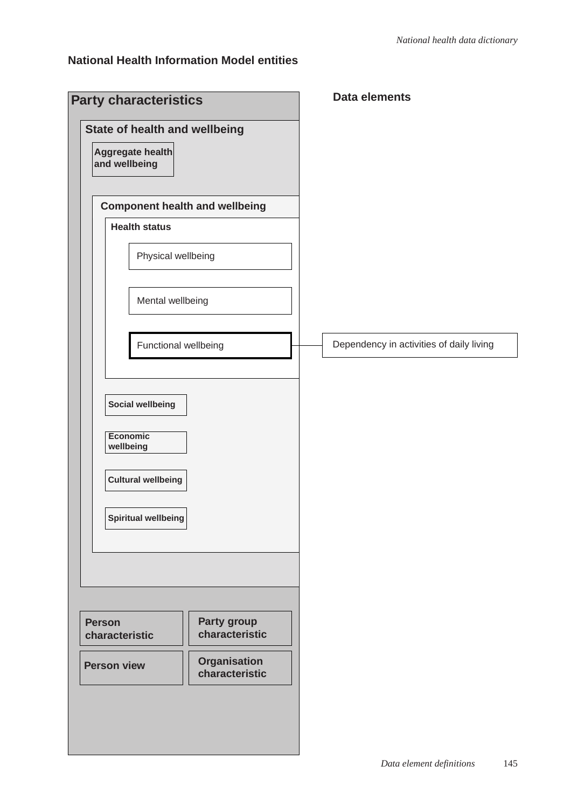### **National Health Information Model entities**

| <b>Party characteristics</b>                                       |  | <b>Data elements</b>                     |
|--------------------------------------------------------------------|--|------------------------------------------|
| State of health and wellbeing<br>Aggregate health<br>and wellbeing |  |                                          |
|                                                                    |  |                                          |
| <b>Component health and wellbeing</b>                              |  |                                          |
| <b>Health status</b>                                               |  |                                          |
| Physical wellbeing                                                 |  |                                          |
| Mental wellbeing                                                   |  |                                          |
| Functional wellbeing                                               |  | Dependency in activities of daily living |
| <b>Social wellbeing</b><br><b>Economic</b><br>wellbeing            |  |                                          |
| <b>Cultural wellbeing</b><br>Spiritual wellbeing                   |  |                                          |
|                                                                    |  |                                          |
| Party group<br><b>Person</b><br>characteristic<br>characteristic   |  |                                          |
| <b>Organisation</b><br><b>Person view</b><br>characteristic        |  |                                          |
|                                                                    |  |                                          |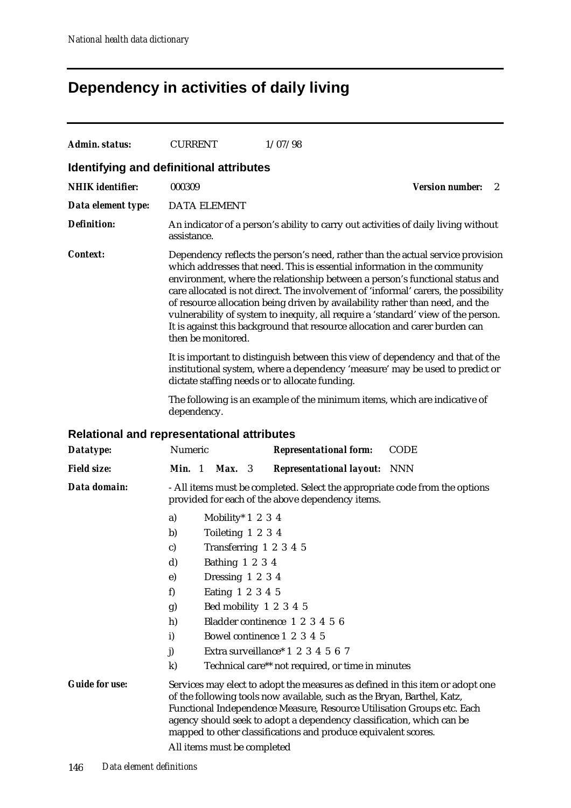# **Dependency in activities of daily living**

| Admin. status:                                    | <b>CURRENT</b>                                                                                                                                                                                                                                                                                                                                                                                                                                                                                                                                                                                                 | 1/07/98                                                                                                                                                                                                                                                                                                                                                                       |                             |  |  |  |  |
|---------------------------------------------------|----------------------------------------------------------------------------------------------------------------------------------------------------------------------------------------------------------------------------------------------------------------------------------------------------------------------------------------------------------------------------------------------------------------------------------------------------------------------------------------------------------------------------------------------------------------------------------------------------------------|-------------------------------------------------------------------------------------------------------------------------------------------------------------------------------------------------------------------------------------------------------------------------------------------------------------------------------------------------------------------------------|-----------------------------|--|--|--|--|
| Identifying and definitional attributes           |                                                                                                                                                                                                                                                                                                                                                                                                                                                                                                                                                                                                                |                                                                                                                                                                                                                                                                                                                                                                               |                             |  |  |  |  |
| <b>NHIK</b> identifier:                           | 000309                                                                                                                                                                                                                                                                                                                                                                                                                                                                                                                                                                                                         |                                                                                                                                                                                                                                                                                                                                                                               | <b>Version number:</b><br>2 |  |  |  |  |
| Data element type:                                | <b>DATA ELEMENT</b>                                                                                                                                                                                                                                                                                                                                                                                                                                                                                                                                                                                            |                                                                                                                                                                                                                                                                                                                                                                               |                             |  |  |  |  |
| <b>Definition:</b>                                | assistance.                                                                                                                                                                                                                                                                                                                                                                                                                                                                                                                                                                                                    | An indicator of a person's ability to carry out activities of daily living without                                                                                                                                                                                                                                                                                            |                             |  |  |  |  |
| <i>Context:</i>                                   | Dependency reflects the person's need, rather than the actual service provision<br>which addresses that need. This is essential information in the community<br>environment, where the relationship between a person's functional status and<br>care allocated is not direct. The involvement of 'informal' carers, the possibility<br>of resource allocation being driven by availability rather than need, and the<br>vulnerability of system to inequity, all require a 'standard' view of the person.<br>It is against this background that resource allocation and carer burden can<br>then be monitored. |                                                                                                                                                                                                                                                                                                                                                                               |                             |  |  |  |  |
|                                                   | It is important to distinguish between this view of dependency and that of the<br>institutional system, where a dependency 'measure' may be used to predict or<br>dictate staffing needs or to allocate funding.                                                                                                                                                                                                                                                                                                                                                                                               |                                                                                                                                                                                                                                                                                                                                                                               |                             |  |  |  |  |
|                                                   | dependency.                                                                                                                                                                                                                                                                                                                                                                                                                                                                                                                                                                                                    | The following is an example of the minimum items, which are indicative of                                                                                                                                                                                                                                                                                                     |                             |  |  |  |  |
| <b>Relational and representational attributes</b> |                                                                                                                                                                                                                                                                                                                                                                                                                                                                                                                                                                                                                |                                                                                                                                                                                                                                                                                                                                                                               |                             |  |  |  |  |
| Datatype:                                         | Numeric                                                                                                                                                                                                                                                                                                                                                                                                                                                                                                                                                                                                        | <b>Representational form:</b>                                                                                                                                                                                                                                                                                                                                                 | <b>CODE</b>                 |  |  |  |  |
| <b>Field size:</b>                                | Min. 1<br>Max. 3                                                                                                                                                                                                                                                                                                                                                                                                                                                                                                                                                                                               | <b>Representational layout:</b>                                                                                                                                                                                                                                                                                                                                               | <b>NNN</b>                  |  |  |  |  |
| Data domain:                                      | - All items must be completed. Select the appropriate code from the options<br>provided for each of the above dependency items.                                                                                                                                                                                                                                                                                                                                                                                                                                                                                |                                                                                                                                                                                                                                                                                                                                                                               |                             |  |  |  |  |
|                                                   | a)                                                                                                                                                                                                                                                                                                                                                                                                                                                                                                                                                                                                             | Mobility* $1\ 2\ 3\ 4$                                                                                                                                                                                                                                                                                                                                                        |                             |  |  |  |  |
|                                                   | b)                                                                                                                                                                                                                                                                                                                                                                                                                                                                                                                                                                                                             | Toileting 1 2 3 4                                                                                                                                                                                                                                                                                                                                                             |                             |  |  |  |  |
|                                                   | $\mathbf{c}$                                                                                                                                                                                                                                                                                                                                                                                                                                                                                                                                                                                                   | Transferring 1 2 3 4 5                                                                                                                                                                                                                                                                                                                                                        |                             |  |  |  |  |
|                                                   | Bathing 1 2 3 4<br>d)                                                                                                                                                                                                                                                                                                                                                                                                                                                                                                                                                                                          |                                                                                                                                                                                                                                                                                                                                                                               |                             |  |  |  |  |
|                                                   | $\bf{e})$                                                                                                                                                                                                                                                                                                                                                                                                                                                                                                                                                                                                      | Dressing 1 2 3 4                                                                                                                                                                                                                                                                                                                                                              |                             |  |  |  |  |
|                                                   | f)                                                                                                                                                                                                                                                                                                                                                                                                                                                                                                                                                                                                             | Eating 1 2 3 4 5                                                                                                                                                                                                                                                                                                                                                              |                             |  |  |  |  |
|                                                   | g)                                                                                                                                                                                                                                                                                                                                                                                                                                                                                                                                                                                                             | Bed mobility 1 2 3 4 5                                                                                                                                                                                                                                                                                                                                                        |                             |  |  |  |  |
|                                                   | h)<br>i)                                                                                                                                                                                                                                                                                                                                                                                                                                                                                                                                                                                                       | Bladder continence 1 2 3 4 5 6<br>Bowel continence 1 2 3 4 5                                                                                                                                                                                                                                                                                                                  |                             |  |  |  |  |
|                                                   | j)                                                                                                                                                                                                                                                                                                                                                                                                                                                                                                                                                                                                             | Extra surveillance* 1 2 3 4 5 6 7                                                                                                                                                                                                                                                                                                                                             |                             |  |  |  |  |
|                                                   | $\bf k)$                                                                                                                                                                                                                                                                                                                                                                                                                                                                                                                                                                                                       | Technical care** not required, or time in minutes                                                                                                                                                                                                                                                                                                                             |                             |  |  |  |  |
| <b>Guide for use:</b>                             | All items must be completed                                                                                                                                                                                                                                                                                                                                                                                                                                                                                                                                                                                    | Services may elect to adopt the measures as defined in this item or adopt one<br>of the following tools now available, such as the Bryan, Barthel, Katz,<br>Functional Independence Measure, Resource Utilisation Groups etc. Each<br>agency should seek to adopt a dependency classification, which can be<br>mapped to other classifications and produce equivalent scores. |                             |  |  |  |  |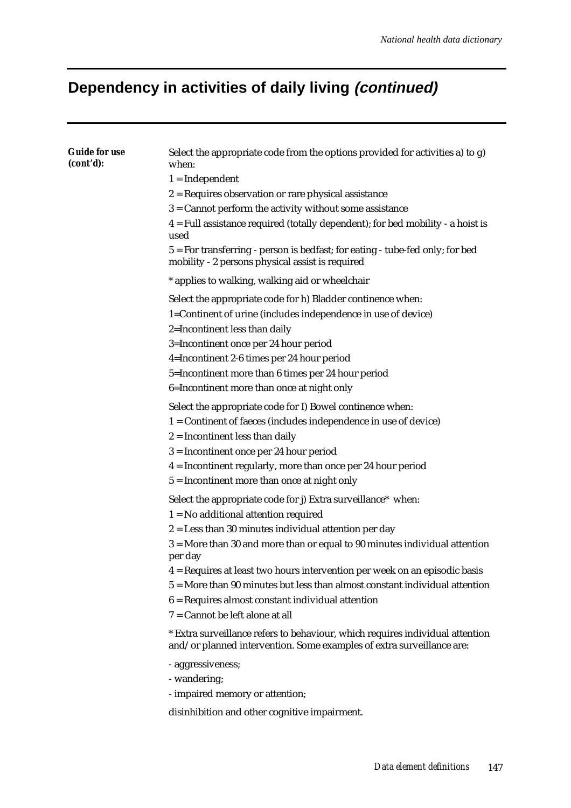# **Dependency in activities of daily living (continued)**

| <b>Guide for use</b><br>(cont'd): | Select the appropriate code from the options provided for activities a) to g)<br>when:                                                                 |
|-----------------------------------|--------------------------------------------------------------------------------------------------------------------------------------------------------|
|                                   | $1 = Independent$                                                                                                                                      |
|                                   | $2$ = Requires observation or rare physical assistance                                                                                                 |
|                                   | 3 = Cannot perform the activity without some assistance                                                                                                |
|                                   | 4 = Full assistance required (totally dependent); for bed mobility - a hoist is<br>used                                                                |
|                                   | 5 = For transferring - person is bedfast; for eating - tube-fed only; for bed<br>mobility - 2 persons physical assist is required                      |
|                                   | * applies to walking, walking aid or wheelchair                                                                                                        |
|                                   | Select the appropriate code for h) Bladder continence when:                                                                                            |
|                                   | 1=Continent of urine (includes independence in use of device)                                                                                          |
|                                   | 2=Incontinent less than daily                                                                                                                          |
|                                   | 3=Incontinent once per 24 hour period                                                                                                                  |
|                                   | 4=Incontinent 2-6 times per 24 hour period                                                                                                             |
|                                   | 5=Incontinent more than 6 times per 24 hour period                                                                                                     |
|                                   | 6=Incontinent more than once at night only                                                                                                             |
|                                   | Select the appropriate code for I) Bowel continence when:                                                                                              |
|                                   | 1 = Continent of faeces (includes independence in use of device)                                                                                       |
|                                   | $2 =$ Incontinent less than daily                                                                                                                      |
|                                   | $3 =$ Incontinent once per 24 hour period                                                                                                              |
|                                   | 4 = Incontinent regularly, more than once per 24 hour period                                                                                           |
|                                   | $5 =$ Incontinent more than once at night only                                                                                                         |
|                                   | Select the appropriate code for j) Extra surveillance* when:                                                                                           |
|                                   | $1 = No$ additional attention required                                                                                                                 |
|                                   | $2 =$ Less than 30 minutes individual attention per day                                                                                                |
|                                   | 3 = More than 30 and more than or equal to 90 minutes individual attention                                                                             |
|                                   | per day<br>4 = Requires at least two hours intervention per week on an episodic basis                                                                  |
|                                   | 5 = More than 90 minutes but less than almost constant individual attention                                                                            |
|                                   | $6$ = Requires almost constant individual attention                                                                                                    |
|                                   | 7 = Cannot be left alone at all                                                                                                                        |
|                                   | * Extra surveillance refers to behaviour, which requires individual attention<br>and/or planned intervention. Some examples of extra surveillance are: |
|                                   | - aggressiveness;                                                                                                                                      |
|                                   | - wandering;                                                                                                                                           |
|                                   | - impaired memory or attention;                                                                                                                        |
|                                   | disinhibition and other cognitive impairment.                                                                                                          |